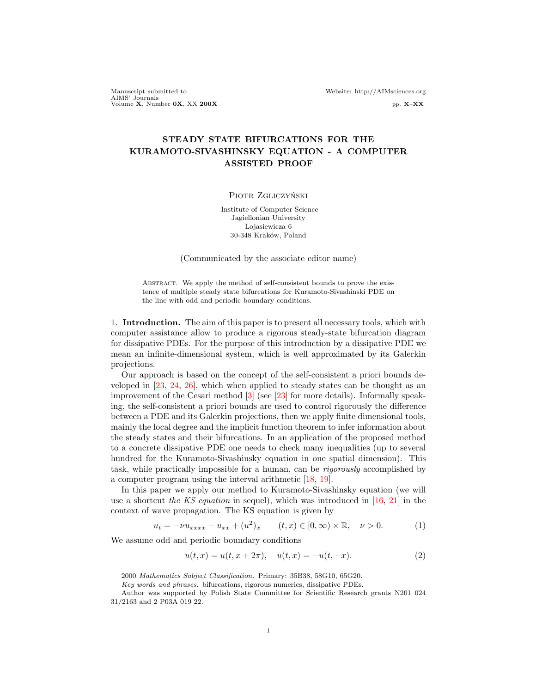Manuscript submitted to Website: http://AIMsciences.org AIMS' Journals<br>Volume X, Number 0X, XX 200X pp. X–XX pp. X–XX

# STEADY STATE BIFURCATIONS FOR THE KURAMOTO-SIVASHINSKY EQUATION - A COMPUTER ASSISTED PROOF

#### PIOTR ZGLICZYŃSKI

Institute of Computer Science Jagiellonian University Lojasiewicza 6 30-348 Kraków, Poland

(Communicated by the associate editor name)

ABSTRACT. We apply the method of self-consistent bounds to prove the existence of multiple steady state bifurcations for Kuramoto-Sivashinski PDE on the line with odd and periodic boundary conditions.

1. Introduction. The aim of this paper is to present all necessary tools, which with computer assistance allow to produce a rigorous steady-state bifurcation diagram for dissipative PDEs. For the purpose of this introduction by a dissipative PDE we mean an infinite-dimensional system, which is well approximated by its Galerkin projections.

Our approach is based on the concept of the self-consistent a priori bounds developed in [\[23,](#page-46-0) [24,](#page-46-1) [26\]](#page-46-2), which when applied to steady states can be thought as an improvement of the Cesari method [\[3\]](#page-45-0) (see [\[23\]](#page-46-0) for more details). Informally speaking, the self-consistent a priori bounds are used to control rigorously the difference between a PDE and its Galerkin projections, then we apply finite dimensional tools, mainly the local degree and the implicit function theorem to infer information about the steady states and their bifurcations. In an application of the proposed method to a concrete dissipative PDE one needs to check many inequalities (up to several hundred for the Kuramoto-Sivashinsky equation in one spatial dimension). This task, while practically impossible for a human, can be rigorously accomplished by a computer program using the interval arithmetic [\[18,](#page-46-3) [19\]](#page-46-4).

In this paper we apply our method to Kuramoto-Sivashinsky equation (we will use a shortcut the KS equation in sequel), which was introduced in  $[16, 21]$  $[16, 21]$  $[16, 21]$  in the context of wave propagation. The KS equation is given by

<span id="page-0-0"></span>
$$
u_t = -\nu u_{xxxx} - u_{xx} + (u^2)_x \qquad (t, x) \in [0, \infty) \times \mathbb{R}, \quad \nu > 0.
$$
 (1)

We assume odd and periodic boundary conditions

<span id="page-0-1"></span>
$$
u(t,x) = u(t, x + 2\pi), \quad u(t,x) = -u(t, -x). \tag{2}
$$

<sup>2000</sup> Mathematics Subject Classification. Primary: 35B38, 58G10, 65G20.

Key words and phrases. bifurcations, rigorous numerics, dissipative PDEs.

Author was supported by Polish State Committee for Scientific Research grants N201 024 31/2163 and 2 P03A 019 22.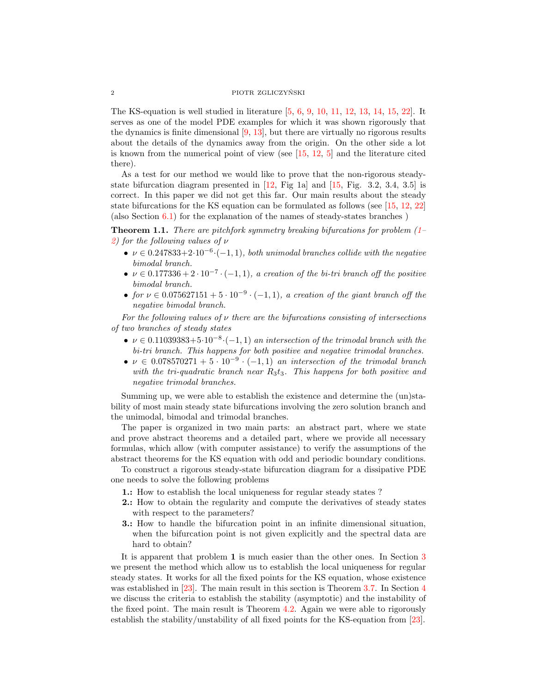### 2 PIOTR ZGLICZYNSKI ´

The KS-equation is well studied in literature [\[5,](#page-45-1) [6,](#page-45-2) [9,](#page-45-3) [10,](#page-45-4) [11,](#page-45-5) [12,](#page-45-6) [13,](#page-46-7) [14,](#page-46-8) [15,](#page-46-9) [22\]](#page-46-10). It serves as one of the model PDE examples for which it was shown rigorously that the dynamics is finite dimensional  $[9, 13]$  $[9, 13]$  $[9, 13]$ , but there are virtually no rigorous results about the details of the dynamics away from the origin. On the other side a lot is known from the numerical point of view (see  $[15, 12, 5]$  $[15, 12, 5]$  $[15, 12, 5]$  $[15, 12, 5]$  $[15, 12, 5]$  and the literature cited there).

As a test for our method we would like to prove that the non-rigorous steadystate bifurcation diagram presented in  $[12, Fig 1a]$  $[12, Fig 1a]$  and  $[15, Fig. 3.2, 3.4, 3.5]$  $[15, Fig. 3.2, 3.4, 3.5]$  is correct. In this paper we did not get this far. Our main results about the steady state bifurcations for the KS equation can be formulated as follows (see [\[15,](#page-46-9) [12,](#page-45-6) [22\]](#page-46-10) (also Section [6.1\)](#page-21-0) for the explanation of the names of steady-states branches )

<span id="page-1-0"></span>**Theorem 1.1.** There are pitchfork symmetry breaking bifurcations for problem  $(1 -$ [2\)](#page-0-1) for the following values of  $\nu$ 

- $\nu \in 0.247833 + 2 \cdot 10^{-6} \cdot (-1, 1)$ , both unimodal branches collide with the negative bimodal branch.
- $\nu \in 0.177336 + 2 \cdot 10^{-7} \cdot (-1, 1)$ , a creation of the bi-tri branch off the positive bimodal branch.
- for  $\nu \in 0.075627151 + 5 \cdot 10^{-9} \cdot (-1,1)$ , a creation of the giant branch off the negative bimodal branch.

For the following values of  $\nu$  there are the bifurcations consisting of intersections of two branches of steady states

- $\nu \in 0.11039383 + 5 \cdot 10^{-8} \cdot (-1, 1)$  an intersection of the trimodal branch with the bi-tri branch. This happens for both positive and negative trimodal branches.
- $\nu \in 0.078570271 + 5 \cdot 10^{-9} \cdot (-1, 1)$  an intersection of the trimodal branch with the tri-quadratic branch near  $R_3t_3$ . This happens for both positive and negative trimodal branches.

Summing up, we were able to establish the existence and determine the (un)stability of most main steady state bifurcations involving the zero solution branch and the unimodal, bimodal and trimodal branches.

The paper is organized in two main parts: an abstract part, where we state and prove abstract theorems and a detailed part, where we provide all necessary formulas, which allow (with computer assistance) to verify the assumptions of the abstract theorems for the KS equation with odd and periodic boundary conditions.

To construct a rigorous steady-state bifurcation diagram for a dissipative PDE one needs to solve the following problems

- 1.: How to establish the local uniqueness for regular steady states ?
- 2.: How to obtain the regularity and compute the derivatives of steady states with respect to the parameters?
- 3.: How to handle the bifurcation point in an infinite dimensional situation, when the bifurcation point is not given explicitly and the spectral data are hard to obtain?

It is apparent that problem 1 is much easier than the other ones. In Section [3](#page-5-0) we present the method which allow us to establish the local uniqueness for regular steady states. It works for all the fixed points for the KS equation, whose existence was established in [\[23\]](#page-46-0). The main result in this section is Theorem [3.7.](#page-8-0) In Section [4](#page-8-1) we discuss the criteria to establish the stability (asymptotic) and the instability of the fixed point. The main result is Theorem [4.2.](#page-9-0) Again we were able to rigorously establish the stability/unstability of all fixed points for the KS-equation from [\[23\]](#page-46-0).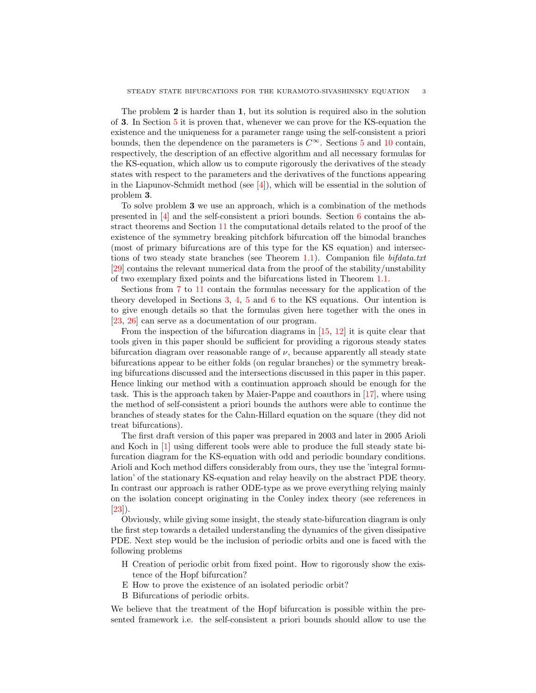The problem 2 is harder than 1, but its solution is required also in the solution of 3. In Section [5](#page-11-0) it is proven that, whenever we can prove for the KS-equation the existence and the uniqueness for a parameter range using the self-consistent a priori bounds, then the dependence on the parameters is  $C^{\infty}$ . Sections [5](#page-11-0) and [10](#page-39-0) contain, respectively, the description of an effective algorithm and all necessary formulas for the KS-equation, which allow us to compute rigorously the derivatives of the steady states with respect to the parameters and the derivatives of the functions appearing in the Liapunov-Schmidt method (see [\[4\]](#page-45-7)), which will be essential in the solution of problem 3.

To solve problem 3 we use an approach, which is a combination of the methods presented in [\[4\]](#page-45-7) and the self-consistent a priori bounds. Section [6](#page-21-1) contains the abstract theorems and Section [11](#page-43-0) the computational details related to the proof of the existence of the symmetry breaking pitchfork bifurcation off the bimodal branches (most of primary bifurcations are of this type for the KS equation) and intersec-tions of two steady state branches (see Theorem [1.1\)](#page-1-0). Companion file  $\textit{bifdata.txt}$ [\[29\]](#page-46-11) contains the relevant numerical data from the proof of the stability/unstability of two exemplary fixed points and the bifurcations listed in Theorem [1.1.](#page-1-0)

Sections from [7](#page-26-0) to [11](#page-43-0) contain the formulas necessary for the application of the theory developed in Sections [3,](#page-5-0) [4,](#page-8-1) [5](#page-11-0) and [6](#page-21-1) to the KS equations. Our intention is to give enough details so that the formulas given here together with the ones in [\[23,](#page-46-0) [26\]](#page-46-2) can serve as a documentation of our program.

From the inspection of the bifurcation diagrams in [\[15,](#page-46-9) [12\]](#page-45-6) it is quite clear that tools given in this paper should be sufficient for providing a rigorous steady states bifurcation diagram over reasonable range of  $\nu$ , because apparently all steady state bifurcations appear to be either folds (on regular branches) or the symmetry breaking bifurcations discussed and the intersections discussed in this paper in this paper. Hence linking our method with a continuation approach should be enough for the task. This is the approach taken by Maier-Pappe and coauthors in [\[17\]](#page-46-12), where using the method of self-consistent a priori bounds the authors were able to continue the branches of steady states for the Cahn-Hillard equation on the square (they did not treat bifurcations).

The first draft version of this paper was prepared in 2003 and later in 2005 Arioli and Koch in [\[1\]](#page-45-8) using different tools were able to produce the full steady state bifurcation diagram for the KS-equation with odd and periodic boundary conditions. Arioli and Koch method differs considerably from ours, they use the 'integral formulation' of the stationary KS-equation and relay heavily on the abstract PDE theory. In contrast our approach is rather ODE-type as we prove everything relying mainly on the isolation concept originating in the Conley index theory (see references in  $[23]$ .

Obviously, while giving some insight, the steady state-bifurcation diagram is only the first step towards a detailed understanding the dynamics of the given dissipative PDE. Next step would be the inclusion of periodic orbits and one is faced with the following problems

- H Creation of periodic orbit from fixed point. How to rigorously show the existence of the Hopf bifurcation?
- E How to prove the existence of an isolated periodic orbit?
- B Bifurcations of periodic orbits.

We believe that the treatment of the Hopf bifurcation is possible within the presented framework i.e. the self-consistent a priori bounds should allow to use the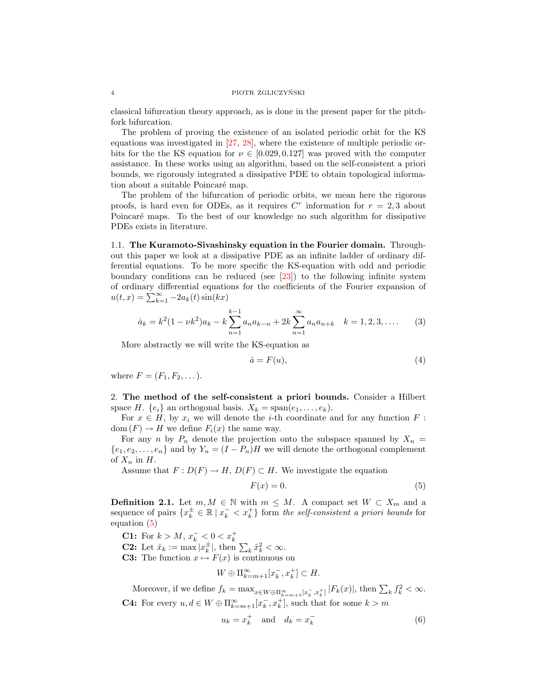classical bifurcation theory approach, as is done in the present paper for the pitchfork bifurcation.

The problem of proving the existence of an isolated periodic orbit for the KS equations was investigated in [\[27,](#page-46-13) [28\]](#page-46-14), where the existence of multiple periodic orbits for the the KS equation for  $\nu \in [0.029, 0.127]$  was proved with the computer assistance. In these works using an algorithm, based on the self-consistent a priori bounds, we rigorously integrated a dissipative PDE to obtain topological information about a suitable Poincaré map.

The problem of the bifurcation of periodic orbits, we mean here the rigorous proofs, is hard even for ODEs, as it requires  $C<sup>r</sup>$  information for  $r = 2,3$  about Poincaré maps. To the best of our knowledge no such algorithm for dissipative PDEs exists in literature.

<span id="page-3-2"></span>1.1. The Kuramoto-Sivashinsky equation in the Fourier domain. Throughout this paper we look at a dissipative PDE as an infinite ladder of ordinary differential equations. To be more specific the KS-equation with odd and periodic boundary conditions can be reduced (see [\[23\]](#page-46-0)) to the following infinite system of ordinary differential equations for the coefficients of the Fourier expansion of  $u(t,x) = \sum_{k=1}^{\infty} -2a_k(t)\sin(kx)$ 

<span id="page-3-1"></span>
$$
\dot{a}_k = k^2 (1 - \nu k^2) a_k - k \sum_{n=1}^{k-1} a_n a_{k-n} + 2k \sum_{n=1}^{\infty} a_n a_{n+k} \quad k = 1, 2, 3, .... \tag{3}
$$

More abstractly we will write the KS-equation as

$$
\dot{a} = F(u),\tag{4}
$$

where  $F = (F_1, F_2, \dots).$ 

2. The method of the self-consistent a priori bounds. Consider a Hilbert space H.  $\{e_i\}$  an orthogonal basis.  $X_k = \text{span}(e_1, \ldots, e_k)$ .

For  $x \in H$ , by  $x_i$  we will denote the *i*-th coordinate and for any function  $F$ : dom  $(F) \to H$  we define  $F_i(x)$  the same way.

For any n by  $P_n$  denote the projection onto the subspace spanned by  $X_n =$  $\{e_1, e_2, \ldots, e_n\}$  and by  $Y_n = (I - P_n)H$  we will denote the orthogonal complement of  $X_n$  in  $H$ .

Assume that  $F: D(F) \to H$ ,  $D(F) \subset H$ . We investigate the equation

<span id="page-3-0"></span>
$$
F(x) = 0.\t\t(5)
$$

**Definition 2.1.** Let  $m, M \in \mathbb{N}$  with  $m \leq M$ . A compact set  $W \subset X_m$  and a sequence of pairs  $\{x_k^{\pm} \in \mathbb{R} \mid x_k^- < x_k^+\}$  form the self-consistent a priori bounds for equation [\(5\)](#page-3-0)

**C1:** For  $k > M$ ,  $x_k^- < 0 < x_k^+$ 

**C2:** Let  $\hat{x}_k := \max |x_k^{\pm}|$ , then  $\sum_k \hat{x}_k^2 < \infty$ .

**C3:** The function  $x \mapsto F(x)$  is continuous on

$$
W \oplus \Pi_{k=m+1}^{\infty} [x_k^-, x_k^+] \subset H.
$$

Moreover, if we define  $f_k = \max_{x \in W \oplus \prod_{k=m+1}^{\infty} [x_k^-, x_k^+]}|F_k(x)|$ , then  $\sum_k f_k^2 < \infty$ . **C4:** For every  $u, d \in W \oplus \Pi_{k=m+1}^{\infty}[x_k^-, x_k^+]$ , such that for some  $k > m$ 

$$
u_k = x_k^+ \quad \text{and} \quad d_k = x_k^- \tag{6}
$$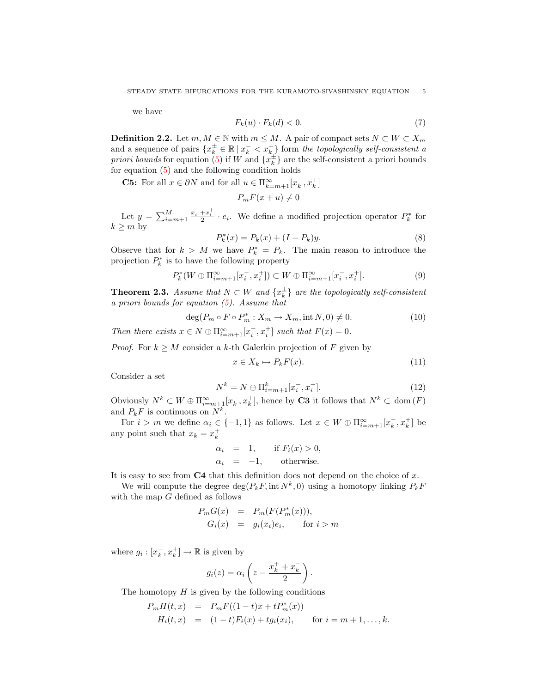we have

$$
F_k(u) \cdot F_k(d) < 0. \tag{7}
$$

**Definition 2.2.** Let  $m, M \in \mathbb{N}$  with  $m \leq M$ . A pair of compact sets  $N \subset W \subset X_m$ and a sequence of pairs  $\{x_k^{\pm} \in \mathbb{R} \mid x_k^- < x_k^+\}$  form the topologically self-consistent a priori bounds for equation [\(5\)](#page-3-0) if W and  $\{x_k^{\pm}\}\$ are the self-consistent a priori bounds for equation [\(5\)](#page-3-0) and the following condition holds

**C5:** For all  $x \in \partial N$  and for all  $u \in \Pi_{k=m+1}^{\infty}[x_k^-, x_k^+]$ 

$$
P_m F(x+u) \neq 0
$$

Let  $y = \sum_{i=m+1}^{M}$  $\frac{x_i^- + x_i^+}{2} \cdot e_i$ . We define a modified projection operator  $P_k^*$  for  $k \geq m$  by

$$
P_k^*(x) = P_k(x) + (I - P_k)y.
$$
\n(8)

Observe that for  $k > M$  we have  $P_k^* = P_k$ . The main reason to introduce the projection  $P_k^*$  is to have the following property

$$
P_k^*(W \oplus \Pi_{i=m+1}^{\infty}[x_i^-, x_i^+]) \subset W \oplus \Pi_{i=m+1}^{\infty}[x_i^-, x_i^+].
$$
\n(9)

**Theorem 2.3.** Assume that  $N \subset W$  and  $\{x_k^{\pm}\}\$ are the topologically self-consistent a priori bounds for equation [\(5\)](#page-3-0). Assume that

$$
\deg(P_m \circ F \circ P_m^* : X_m \to X_m, \text{int } N, 0) \neq 0. \tag{10}
$$

Then there exists  $x \in N \oplus \Pi_{i=m+1}^{\infty}[x_i^-, x_i^+]$  such that  $F(x) = 0$ .

*Proof.* For  $k \geq M$  consider a k-th Galerkin projection of F given by

$$
x \in X_k \mapsto P_k F(x). \tag{11}
$$

Consider a set

$$
N^{k} = N \oplus \Pi_{i=m+1}^{k} [x_{i}^{-}, x_{i}^{+}].
$$
\n(12)

Obviously  $N^k \subset W \oplus \Pi_{i=m+1}^{\infty}[x_k^-, x_k^+]$ , hence by **C3** it follows that  $N^k \subset \text{dom}(F)$ and  $P_k F$  is continuous on  $N^k$ .

For  $i > m$  we define  $\alpha_i \in \{-1, 1\}$  as follows. Let  $x \in W \oplus \Pi_{i=m+1}^{\infty}[x_k^-, x_k^+]$  be any point such that  $x_k = x_k^+$ 

$$
\begin{array}{rcl}\n\alpha_i & = & 1, \qquad \text{if } F_i(x) > 0, \\
\alpha_i & = & -1, \qquad \text{otherwise.}\n\end{array}
$$

It is easy to see from  $C4$  that this definition does not depend on the choice of x.

We will compute the degree  $\deg(P_k F, \text{int } N^k, 0)$  using a homotopy linking  $P_k F$ with the map G defined as follows

$$
P_m G(x) = P_m(F(P_m^*(x))),
$$
  
\n
$$
G_i(x) = g_i(x_i)e_i, \quad \text{for } i > m
$$

where  $g_i : [x_k^-, x_k^+] \to \mathbb{R}$  is given by

$$
g_i(z) = \alpha_i \left( z - \frac{x_k^+ + x_k^-}{2} \right).
$$

The homotopy  $H$  is given by the following conditions

$$
P_m H(t, x) = P_m F((1-t)x + t P_m^*(x))
$$
  
\n
$$
H_i(t, x) = (1-t)F_i(x) + t g_i(x_i), \quad \text{for } i = m+1, ..., k.
$$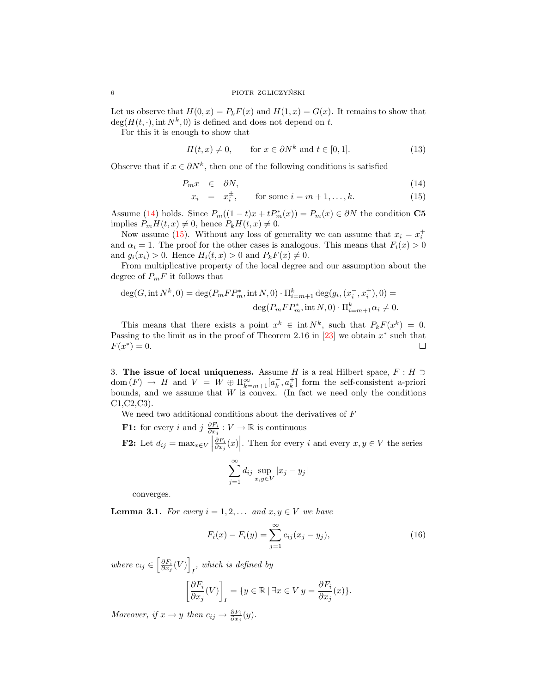Let us observe that  $H(0, x) = P_k F(x)$  and  $H(1, x) = G(x)$ . It remains to show that  $deg(H(t, \cdot), int N^k, 0)$  is defined and does not depend on t.

For this it is enough to show that

$$
H(t, x) \neq 0, \qquad \text{for } x \in \partial N^k \text{ and } t \in [0, 1]. \tag{13}
$$

Observe that if  $x \in \partial N^k$ , then one of the following conditions is satisfied

<span id="page-5-1"></span>
$$
P_m x \quad \in \quad \partial N,\tag{14}
$$

$$
x_i = x_i^{\pm}, \qquad \text{for some } i = m+1, \dots, k. \tag{15}
$$

Assume [\(14\)](#page-5-1) holds. Since  $P_m((1-t)x+tP_m^*(x)) = P_m(x) \in \partial N$  the condition C5 implies  $P_m H(t, x) \neq 0$ , hence  $P_k H(t, x) \neq 0$ .

Now assume [\(15\)](#page-5-1). Without any loss of generality we can assume that  $x_i = x_i^+$ and  $\alpha_i = 1$ . The proof for the other cases is analogous. This means that  $F_i(x) > 0$ and  $g_i(x_i) > 0$ . Hence  $H_i(t, x) > 0$  and  $P_k F(x) \neq 0$ .

From multiplicative property of the local degree and our assumption about the degree of  $P_mF$  it follows that

$$
deg(G, int N^{k}, 0) = deg(P_{m}FP_{m}^{*}, int N, 0) \cdot \Pi_{i=m+1}^{k} deg(g_{i}, (x_{i}^{-}, x_{i}^{+}), 0) =
$$
  

$$
deg(P_{m}FP_{m}^{*}, int N, 0) \cdot \Pi_{i=m+1}^{k} \alpha_{i} \neq 0.
$$

This means that there exists a point  $x^k \in \text{int } N^k$ , such that  $P_k F(x^k) = 0$ . Passing to the limit as in the proof of Theorem 2.16 in  $[23]$  we obtain  $x^*$  such that  $F(x^*) = 0.$  $\Box$ 

<span id="page-5-0"></span>3. The issue of local uniqueness. Assume H is a real Hilbert space,  $F : H \supset$  $dom(F) \rightarrow H$  and  $V = W \oplus \Pi_{k=m+1}^{\infty} [a_k^-, a_k^+]$  form the self-consistent a-priori bounds, and we assume that  $W$  is convex. (In fact we need only the conditions C1,C2,C3).

We need two additional conditions about the derivatives of  $F$ 

**F1:** for every i and  $j \frac{\partial F_i}{\partial x_j} : V \to \mathbb{R}$  is continuous **F2:** Let  $d_{ij} = \max_{x \in V}$  $\left. \frac{\partial F_i}{\partial x_j}(x) \right|$ . Then for every *i* and every  $x, y \in V$  the series

$$
\sum_{j=1}^{\infty} d_{ij} \sup_{x,y \in V} |x_j - y_j|
$$

converges.

<span id="page-5-2"></span>**Lemma 3.1.** For every  $i = 1, 2, \ldots$  and  $x, y \in V$  we have

$$
F_i(x) - F_i(y) = \sum_{j=1}^{\infty} c_{ij}(x_j - y_j),
$$
\n(16)

where  $c_{ij} \in \left[\frac{\partial F_i}{\partial x_j}(V)\right]$  $I<sub>I</sub>$ , which is defined by  $\lceil$  $\partial F_i$ 1

$$
\left[\frac{\partial F_i}{\partial x_j}(V)\right]_I = \{y \in \mathbb{R} \mid \exists x \in V \ y = \frac{\partial F_i}{\partial x_j}(x)\}.
$$

Moreover, if  $x \to y$  then  $c_{ij} \to \frac{\partial F_i}{\partial x_j}(y)$ .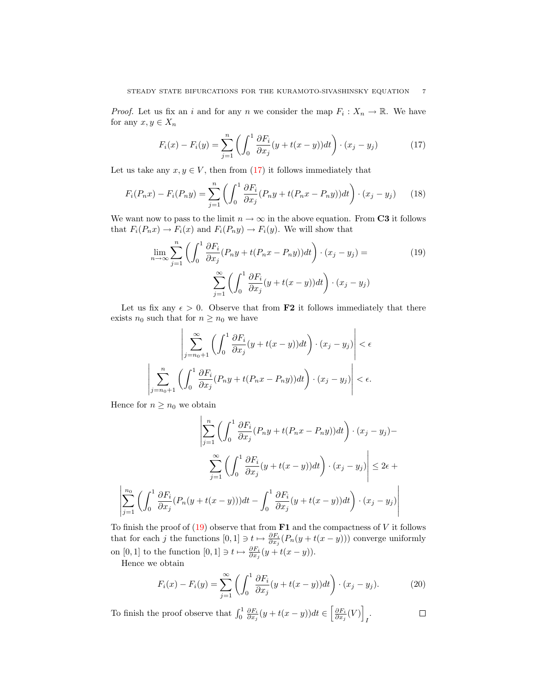*Proof.* Let us fix an i and for any n we consider the map  $F_i: X_n \to \mathbb{R}$ . We have for any  $x, y \in X_n$ 

<span id="page-6-0"></span>
$$
F_i(x) - F_i(y) = \sum_{j=1}^n \left( \int_0^1 \frac{\partial F_i}{\partial x_j} (y + t(x - y)) dt \right) \cdot (x_j - y_j)
$$
 (17)

Let us take any  $x, y \in V$ , then from [\(17\)](#page-6-0) it follows immediately that

$$
F_i(P_n x) - F_i(P_n y) = \sum_{j=1}^n \left( \int_0^1 \frac{\partial F_i}{\partial x_j} (P_n y + t(P_n x - P_n y)) dt \right) \cdot (x_j - y_j) \tag{18}
$$

We want now to pass to the limit  $n \to \infty$  in the above equation. From C3 it follows that  $F_i(P_nx) \to F_i(x)$  and  $F_i(P_ny) \to F_i(y)$ . We will show that

<span id="page-6-1"></span>
$$
\lim_{n \to \infty} \sum_{j=1}^{n} \left( \int_{0}^{1} \frac{\partial F_i}{\partial x_j} (P_n y + t(P_n x - P_n y)) dt \right) \cdot (x_j - y_j) =
$$
\n
$$
\sum_{j=1}^{\infty} \left( \int_{0}^{1} \frac{\partial F_i}{\partial x_j} (y + t(x - y)) dt \right) \cdot (x_j - y_j)
$$
\n(19)

Let us fix any  $\epsilon > 0$ . Observe that from **F2** it follows immediately that there exists  $n_0$  such that for  $n \geq n_0$  we have

$$
\left| \sum_{j=n_0+1}^{\infty} \left( \int_0^1 \frac{\partial F_i}{\partial x_j} (y + t(x - y)) dt \right) \cdot (x_j - y_j) \right| < \epsilon
$$
  

$$
\left| \sum_{j=n_0+1}^n \left( \int_0^1 \frac{\partial F_i}{\partial x_j} (P_n y + t(P_n x - P_n y)) dt \right) \cdot (x_j - y_j) \right| < \epsilon.
$$

Hence for  $n \geq n_0$  we obtain

$$
\left| \sum_{j=1}^{n} \left( \int_{0}^{1} \frac{\partial F_{i}}{\partial x_{j}} (P_{n}y + t(P_{n}x - P_{n}y)) dt \right) \cdot (x_{j} - y_{j}) - \sum_{j=1}^{\infty} \left( \int_{0}^{1} \frac{\partial F_{i}}{\partial x_{j}} (y + t(x - y)) dt \right) \cdot (x_{j} - y_{j}) \right| \leq 2\epsilon + \left| \sum_{j=1}^{n_{0}} \left( \int_{0}^{1} \frac{\partial F_{i}}{\partial x_{j}} (P_{n}(y + t(x - y))) dt - \int_{0}^{1} \frac{\partial F_{i}}{\partial x_{j}} (y + t(x - y)) dt \right) \cdot (x_{j} - y_{j}) \right|
$$

To finish the proof of  $(19)$  observe that from  **and the compactness of V it follows** that for each j the functions  $[0,1] \ni t \mapsto \frac{\partial F_i}{\partial x_j}(P_n(y+t(x-y)))$  converge uniformly on [0, 1] to the function  $[0, 1] \ni t \mapsto \frac{\partial F_i}{\partial x_j}(y + t(x - y)).$ 

Hence we obtain

$$
F_i(x) - F_i(y) = \sum_{j=1}^{\infty} \left( \int_0^1 \frac{\partial F_i}{\partial x_j} (y + t(x - y)) dt \right) \cdot (x_j - y_j). \tag{20}
$$

<span id="page-6-2"></span>To finish the proof observe that  $\int_0^1 \frac{\partial F_i}{\partial x_j}(y+t(x-y))dt \in \left[\frac{\partial F_i}{\partial x_j}(V)\right]$  $\overline{I}$  $\Box$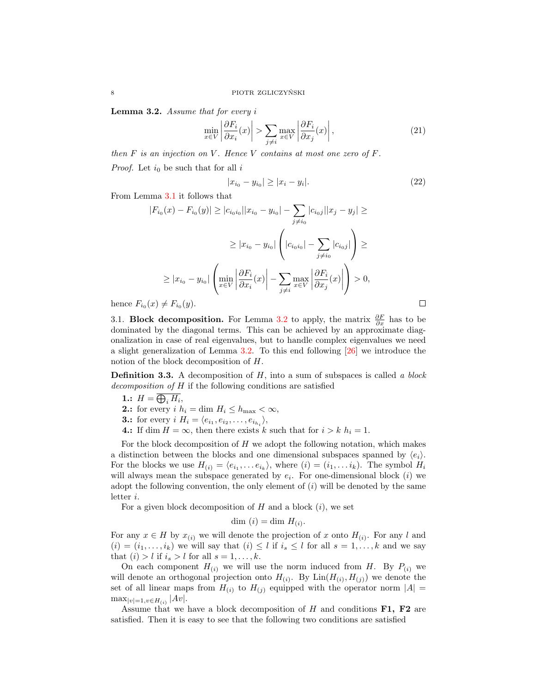Lemma 3.2. Assume that for every i

$$
\min_{x \in V} \left| \frac{\partial F_i}{\partial x_i}(x) \right| > \sum_{j \neq i} \max_{x \in V} \left| \frac{\partial F_i}{\partial x_j}(x) \right|,\tag{21}
$$

then  $F$  is an injection on  $V$ . Hence  $V$  contains at most one zero of  $F$ . *Proof.* Let  $i_0$  be such that for all i

$$
|x_{i_0} - y_{i_0}| \ge |x_i - y_i|.\tag{22}
$$

 $\Box$ 

From Lemma [3.1](#page-5-2) it follows that

$$
|F_{i_0}(x) - F_{i_0}(y)| \ge |c_{i_0i_0}||x_{i_0} - y_{i_0}| - \sum_{j \ne i_0} |c_{i_0j}||x_j - y_j| \ge
$$
  

$$
\ge |x_{i_0} - y_{i_0}| \left( |c_{i_0i_0}| - \sum_{j \ne i_0} |c_{i_0j}| \right) \ge
$$
  

$$
\ge |x_{i_0} - y_{i_0}| \left( \min_{x \in V} \left| \frac{\partial F_i}{\partial x_i}(x) \right| - \sum_{j \ne i} \max_{x \in V} \left| \frac{\partial F_i}{\partial x_j}(x) \right| \right) > 0,
$$

hence  $F_{i_0}(x) \neq F_{i_0}(y)$ .

3.1. **Block decomposition.** For Lemma [3.2](#page-6-2) to apply, the matrix  $\frac{\partial F}{\partial x}$  has to be dominated by the diagonal terms. This can be achieved by an approximate diagonalization in case of real eigenvalues, but to handle complex eigenvalues we need a slight generalization of Lemma [3.2.](#page-6-2) To this end following [\[26\]](#page-46-2) we introduce the notion of the block decomposition of H.

**Definition 3.3.** A decomposition of  $H$ , into a sum of subspaces is called a block decomposition of H if the following conditions are satisfied

1.:  $H = \bigoplus_i H_i$ , 2.: for every  $i \; h_i = \dim \, H_i \leq h_{\max} < \infty$ , **3.:** for every  $i \ H_i = \langle e_{i_1}, e_{i_2}, \ldots, e_{i_{h_i}} \rangle,$ 4.: If dim  $H = \infty$ , then there exists k such that for  $i > k$   $h_i = 1$ .

For the block decomposition of  $H$  we adopt the following notation, which makes a distinction between the blocks and one dimensional subspaces spanned by  $\langle e_i \rangle$ . For the blocks we use  $H_{(i)} = \langle e_{i_1}, \ldots e_{i_k} \rangle$ , where  $(i) = (i_1, \ldots i_k)$ . The symbol  $H_i$ will always mean the subspace generated by  $e_i$ . For one-dimensional block  $(i)$  we adopt the following convention, the only element of  $(i)$  will be denoted by the same letter i.

For a given block decomposition of  $H$  and a block  $(i)$ , we set

$$
\dim(i) = \dim H_{(i)}.
$$

For any  $x \in H$  by  $x_{(i)}$  we will denote the projection of x onto  $H_{(i)}$ . For any l and  $(i) = (i_1, \ldots, i_k)$  we will say that  $(i) \leq l$  if  $i_s \leq l$  for all  $s = 1, \ldots, k$  and we say that  $(i) > l$  if  $i_s > l$  for all  $s = 1, \ldots, k$ .

On each component  $H_{(i)}$  we will use the norm induced from H. By  $P_{(i)}$  we will denote an orthogonal projection onto  $H_{(i)}$ . By  $\text{Lin}(H_{(i)}, H_{(j)})$  we denote the set of all linear maps from  $H_{(i)}$  to  $H_{(j)}$  equipped with the operator norm  $|A|$  =  $\max_{|v|=1, v \in H_{(i)}} |Av|.$ 

Assume that we have a block decomposition of H and conditions  $F1$ ,  $F2$  are satisfied. Then it is easy to see that the following two conditions are satisfied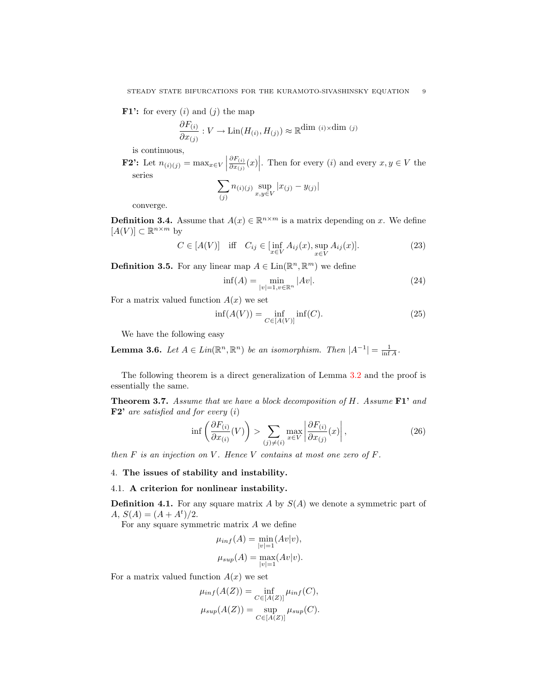**F1':** for every  $(i)$  and  $(j)$  the map

$$
\frac{\partial F_{(i)}}{\partial x_{(j)}} : V \to \text{Lin}(H_{(i)}, H_{(j)}) \approx \mathbb{R}^{\dim (i) \times \dim (j)}
$$

is continuous,

**F2':** Let  $n_{(i)(j)} = \max_{x \in V}$  $\partial F_{(i)}$  $\left. \frac{\partial F_{(i)}}{\partial x_{(j)}}(x) \right|$ . Then for every  $(i)$  and every  $x, y \in V$  the series  $\sum n_{(i)(j)}$  sup  $|x_{(j)} - y_{(j)}|$ 

$$
\sum_{(j)} n(i)(j) \sup_{x,y \in V} |x(j)|
$$

converge.

**Definition 3.4.** Assume that  $A(x) \in \mathbb{R}^{n \times m}$  is a matrix depending on x. We define  $[A(V)] \subset \mathbb{R}^{n \times m}$  by

$$
C \in [A(V)] \quad \text{iff} \quad C_{ij} \in \left[\inf_{x \in V} A_{ij}(x), \sup_{x \in V} A_{ij}(x)\right]. \tag{23}
$$

<span id="page-8-3"></span>**Definition 3.5.** For any linear map  $A \in \text{Lin}(\mathbb{R}^n, \mathbb{R}^m)$  we define

$$
\inf(A) = \min_{|v|=1, v \in \mathbb{R}^n} |Av|.
$$
 (24)

For a matrix valued function  $A(x)$  we set

$$
\inf(A(V)) = \inf_{C \in [A(V)]} \inf(C). \tag{25}
$$

We have the following easy

<span id="page-8-4"></span>**Lemma 3.6.** Let  $A \in Lin(\mathbb{R}^n, \mathbb{R}^n)$  be an isomorphism. Then  $|A^{-1}| = \frac{1}{\inf A}$ .

The following theorem is a direct generalization of Lemma [3.2](#page-6-2) and the proof is essentially the same.

<span id="page-8-0"></span>**Theorem 3.7.** Assume that we have a block decomposition of H. Assume  $\mathbf{F1'}$  and  **are satisfied and for every**  $(i)$ 

$$
\inf \left( \frac{\partial F_{(i)}}{\partial x_{(i)}}(V) \right) > \sum_{(j) \neq (i)} \max_{x \in V} \left| \frac{\partial F_{(i)}}{\partial x_{(j)}}(x) \right|,
$$
\n(26)

then  $F$  is an injection on  $V$ . Hence  $V$  contains at most one zero of  $F$ .

#### <span id="page-8-1"></span>4. The issues of stability and instability.

### 4.1. A criterion for nonlinear instability.

**Definition 4.1.** For any square matrix A by  $S(A)$  we denote a symmetric part of  $A, S(A) = (A + A^t)/2.$ 

For any square symmetric matrix  $A$  we define

$$
\mu_{inf}(A) = \min_{|v|=1} (Av|v),
$$
  

$$
\mu_{sup}(A) = \max_{|v|=1} (Av|v).
$$

<span id="page-8-2"></span>For a matrix valued function  $A(x)$  we set

$$
\mu_{inf}(A(Z)) = \inf_{C \in [A(Z)]} \mu_{inf}(C),
$$
  

$$
\mu_{sup}(A(Z)) = \sup_{C \in [A(Z)]} \mu_{sup}(C).
$$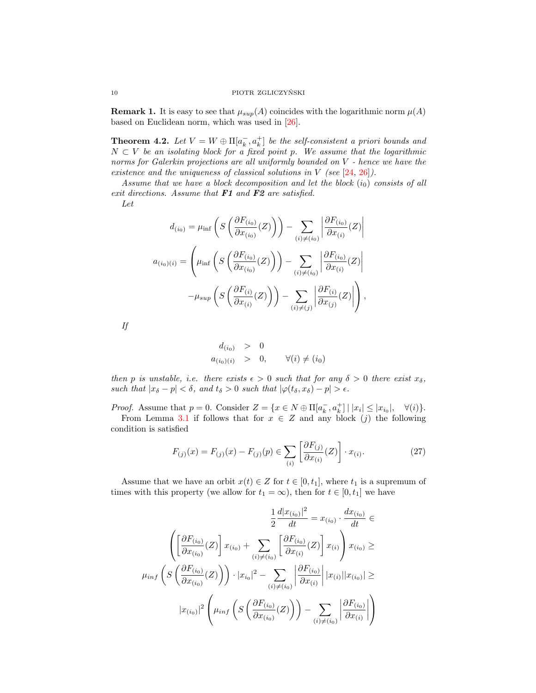**Remark 1.** It is easy to see that  $\mu_{sup}(A)$  coincides with the logarithmic norm  $\mu(A)$ based on Euclidean norm, which was used in [\[26\]](#page-46-2).

<span id="page-9-0"></span>**Theorem 4.2.** Let  $V = W \oplus \Pi[a_k^-, a_k^+]$  be the self-consistent a priori bounds and  $N \subset V$  be an isolating block for a fixed point p. We assume that the logarithmic norms for Galerkin projections are all uniformly bounded on V - hence we have the existence and the uniqueness of classical solutions in V (see  $[24, 26]$  $[24, 26]$  $[24, 26]$ ).

Assume that we have a block decomposition and let the block  $(i_0)$  consists of all exit directions. Assume that **F1** and **F2** are satisfied. Let

$$
d_{(i_0)} = \mu_{\inf} \left( S \left( \frac{\partial F_{(i_0)}}{\partial x_{(i_0)}} (Z) \right) \right) - \sum_{(i) \neq (i_0)} \left| \frac{\partial F_{(i_0)}}{\partial x_{(i)}} (Z) \right|
$$

$$
a_{(i_0)(i)} = \left( \mu_{\inf} \left( S \left( \frac{\partial F_{(i_0)}}{\partial x_{(i_0)}} (Z) \right) \right) - \sum_{(i) \neq (i_0)} \left| \frac{\partial F_{(i_0)}}{\partial x_{(i)}} (Z) \right|
$$

$$
- \mu_{\sup} \left( S \left( \frac{\partial F_{(i)}}{\partial x_{(i)}} (Z) \right) \right) - \sum_{(i) \neq (j)} \left| \frac{\partial F_{(i)}}{\partial x_{(j)}} (Z) \right| \right),
$$

If

$$
d_{(i_0)} > 0
$$
  
\n
$$
a_{(i_0)(i)} > 0, \quad \forall (i) \neq (i_0)
$$

then p is unstable, i.e. there exists  $\epsilon > 0$  such that for any  $\delta > 0$  there exist  $x_{\delta}$ , such that  $|x_{\delta} - p| < \delta$ , and  $t_{\delta} > 0$  such that  $|\varphi(t_{\delta}, x_{\delta}) - p| > \epsilon$ .

*Proof.* Assume that  $p = 0$ . Consider  $Z = \{x \in N \oplus \Pi[a_k^-, a_k^+] \mid |x_i| \leq |x_{i_0}|, \quad \forall (i)\}.$ 

From Lemma [3.1](#page-5-2) if follows that for  $x \in Z$  and any block  $(j)$  the following condition is satisfied

$$
F_{(j)}(x) = F_{(j)}(x) - F_{(j)}(p) \in \sum_{(i)} \left[ \frac{\partial F_{(j)}}{\partial x_{(i)}}(Z) \right] \cdot x_{(i)}.
$$
 (27)

Assume that we have an orbit  $x(t) \in Z$  for  $t \in [0, t_1]$ , where  $t_1$  is a supremum of times with this property (we allow for  $t_1 = \infty$ ), then for  $t \in [0, t_1]$  we have

$$
\frac{1}{2} \frac{d|x_{(i_0)}|^2}{dt} = x_{(i_0)} \cdot \frac{dx_{(i_0)}}{dt} \in
$$

$$
\left( \left[ \frac{\partial F_{(i_0)}}{\partial x_{(i_0)}}(Z) \right] x_{(i_0)} + \sum_{(i) \neq (i_0)} \left[ \frac{\partial F_{(i_0)}}{\partial x_{(i)}}(Z) \right] x_{(i)} \right) x_{(i_0)} \ge
$$

$$
\mu_{inf} \left( S \left( \frac{\partial F_{(i_0)}}{\partial x_{(i_0)}}(Z) \right) \right) \cdot |x_{i_0}|^2 - \sum_{(i) \neq (i_0)} \left| \frac{\partial F_{(i_0)}}{\partial x_{(i)}} \right| |x_{(i)}||x_{(i_0)}| \ge
$$

$$
|x_{(i_0)}|^2 \left( \mu_{inf} \left( S \left( \frac{\partial F_{(i_0)}}{\partial x_{(i_0)}}(Z) \right) \right) - \sum_{(i) \neq (i_0)} \left| \frac{\partial F_{(i_0)}}{\partial x_{(i)}} \right| \right)
$$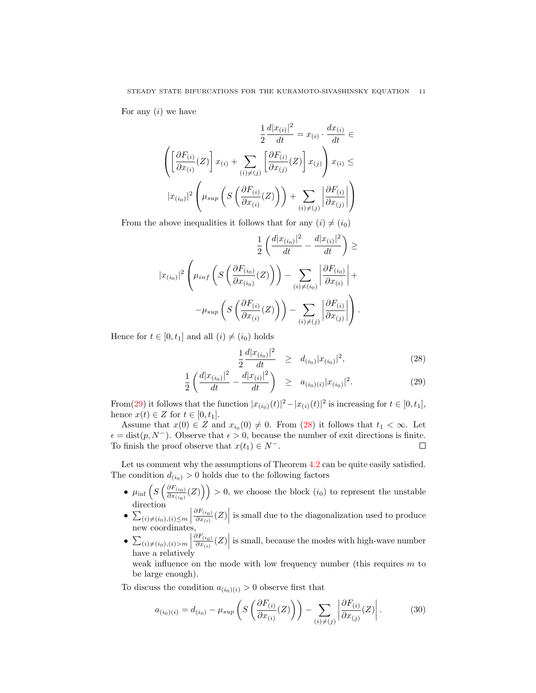For any  $(i)$  we have

$$
\frac{1}{2}\frac{d|x_{(i)}|^2}{dt} = x_{(i)} \cdot \frac{dx_{(i)}}{dt} \in
$$

$$
\left( \left[ \frac{\partial F_{(i)}}{\partial x_{(i)}}(Z) \right] x_{(i)} + \sum_{(i) \neq (j)} \left[ \frac{\partial F_{(i)}}{\partial x_{(j)}}(Z) \right] x_{(j)} \right) x_{(i)} \le
$$

$$
|x_{(i_0)}|^2 \left( \mu_{sup} \left( S \left( \frac{\partial F_{(i)}}{\partial x_{(i)}}(Z) \right) \right) + \sum_{(i) \neq (j)} \left| \frac{\partial F_{(i)}}{\partial x_{(j)}} \right| \right)
$$

From the above inequalities it follows that for any  $(i) \neq (i_0)$ 

$$
\frac{1}{2} \left( \frac{d|x_{(i_0)}|^2}{dt} - \frac{d|x_{(i)}|^2}{dt} \right) \ge
$$

$$
|x_{(i_0)}|^2 \left( \mu_{inf} \left( S \left( \frac{\partial F_{(i_0)}}{\partial x_{(i_0)}} (Z) \right) \right) - \sum_{(i) \neq (i_0)} \left| \frac{\partial F_{(i_0)}}{\partial x_{(i)}} \right| +
$$

$$
-\mu_{sup} \left( S \left( \frac{\partial F_{(i)}}{\partial x_{(i)}} (Z) \right) \right) - \sum_{(i) \neq (j)} \left| \frac{\partial F_{(i)}}{\partial x_{(j)}} \right| \right).
$$

Hence for  $t \in [0, t_1]$  and all  $(i) \neq (i_0)$  holds

<span id="page-10-0"></span>
$$
\frac{1}{2}\frac{d|x_{(i_0)}|^2}{dt} \geq d_{(i_0)}|x_{(i_0)}|^2,\tag{28}
$$

$$
\frac{1}{2} \left( \frac{d|x_{(i_0)}|^2}{dt} - \frac{d|x_{(i)}|^2}{dt} \right) \geq a_{(i_0)(i)} |x_{(i_0)}|^2.
$$
\n(29)

From[\(29\)](#page-10-0) it follows that the function  $|x_{(i_0)}(t)|^2 - |x_{(i)}(t)|^2$  is increasing for  $t \in [0, t_1]$ , hence  $x(t) \in Z$  for  $t \in [0, t_1]$ .

Assume that  $x(0) \in Z$  and  $x_{i_0}(0) \neq 0$ . From [\(28\)](#page-10-0) it follows that  $t_1 < \infty$ . Let  $\epsilon = \text{dist}(p, N^-)$ . Observe that  $\epsilon > 0$ , because the number of exit directions is finite. To finish the proof observe that  $x(t_1) \in N^-$ .  $\Box$ 

Let us comment why the assumptions of Theorem  $4.2$  can be quite easily satisfied. The condition  $d(i_0) > 0$  holds due to the following factors

- $\mu_{\inf}\left(S\left(\frac{\partial F_{(i_0)}}{\partial x_{(i_0)}}\right)\right)$  $\left(\frac{\partial F_{(i_0)}}{\partial x_{(i_0)}}(Z)\right) > 0$ , we choose the block  $(i_0)$  to represent the unstable direction
- $\sum_{(i)\neq(i_0),(i)\leq m}$  $\sum_{(i)\neq(i_0),(i)\leq m} \left| \frac{\partial F_{(i_0)}}{\partial x_{(i)}}(Z) \right|$  is small due to the diagonalization used to produce new coordinates,
- $\bullet$   $\sum_{(i)\neq(i_0),(i)>m}$  $\left.\frac{\partial F_{(i_0)}}{\partial x_{(i)}}(Z)\right|$  is small, because the modes with high-wave number have a relatively

weak influence on the mode with low frequency number (this requires  $m$  to be large enough).

To discuss the condition  $a_{(i_0)(i)} > 0$  observe first that

$$
a_{(i_0)(i)} = d_{(i_0)} - \mu_{sup} \left( S \left( \frac{\partial F_{(i)}}{\partial x_{(i)}} (Z) \right) \right) - \sum_{(i) \neq (j)} \left| \frac{\partial F_{(i)}}{\partial x_{(j)}} (Z) \right|.
$$
 (30)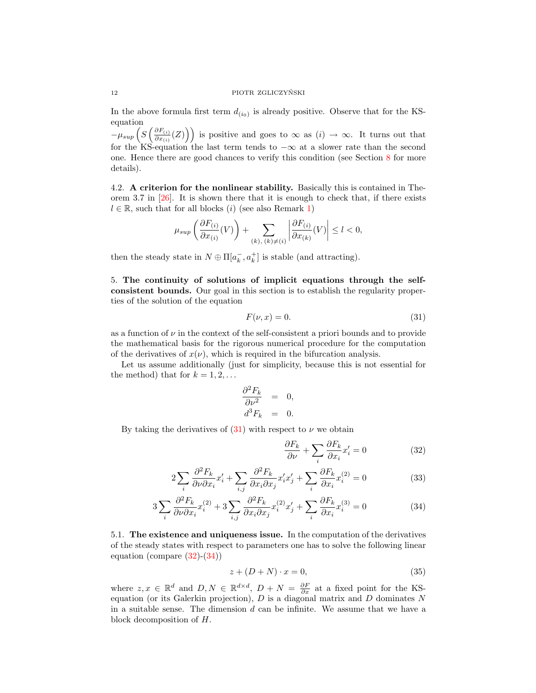### 12 PIOTR ZGLICZYŃSKI

In the above formula first term  $d_{(i_0)}$  is already positive. Observe that for the KSequation

 $-\mu_{sup}\left(S\left(\frac{\partial F_{(i)}}{\partial x_{(i)}}\right)\right)$  $\left(\frac{\partial F_{(i)}}{\partial x_{(i)}}(Z)\right)$  is positive and goes to  $\infty$  as  $(i) \to \infty$ . It turns out that for the KS-equation the last term tends to  $-\infty$  at a slower rate than the second one. Hence there are good chances to verify this condition (see Section [8](#page-33-0) for more details).

4.2. A criterion for the nonlinear stability. Basically this is contained in Theorem 3.7 in  $[26]$ . It is shown there that it is enough to check that, if there exists  $l \in \mathbb{R}$ , such that for all blocks (i) (see also Remark [1\)](#page-8-2)

$$
\mu_{sup}\left(\frac{\partial F_{(i)}}{\partial x_{(i)}}(V)\right) + \sum_{(k),\ (k)\neq(i)} \left|\frac{\partial F_{(i)}}{\partial x_{(k)}}(V)\right| \le l < 0,
$$

then the steady state in  $N \oplus \Pi[a_k^-, a_k^+]$  is stable (and attracting).

<span id="page-11-0"></span>5. The continuity of solutions of implicit equations through the selfconsistent bounds. Our goal in this section is to establish the regularity properties of the solution of the equation

<span id="page-11-1"></span>
$$
F(\nu, x) = 0.\t\t(31)
$$

as a function of  $\nu$  in the context of the self-consistent a priori bounds and to provide the mathematical basis for the rigorous numerical procedure for the computation of the derivatives of  $x(\nu)$ , which is required in the bifurcation analysis.

Let us assume additionally (just for simplicity, because this is not essential for the method) that for  $k = 1, 2, \ldots$ 

$$
\begin{aligned}\n\frac{\partial^2 F_k}{\partial \nu^2} &= 0, \\
d^3 F_k &= 0.\n\end{aligned}
$$

By taking the derivatives of  $(31)$  with respect to  $\nu$  we obtain

<span id="page-11-2"></span>
$$
\frac{\partial F_k}{\partial \nu} + \sum_i \frac{\partial F_k}{\partial x_i} x'_i = 0 \tag{32}
$$

$$
2\sum_{i} \frac{\partial^2 F_k}{\partial \nu \partial x_i} x'_i + \sum_{i,j} \frac{\partial^2 F_k}{\partial x_i \partial x_j} x'_i x'_j + \sum_{i} \frac{\partial F_k}{\partial x_i} x_i^{(2)} = 0
$$
 (33)

$$
3\sum_{i} \frac{\partial^2 F_k}{\partial \nu \partial x_i} x_i^{(2)} + 3\sum_{i,j} \frac{\partial^2 F_k}{\partial x_i \partial x_j} x_i^{(2)} x_j' + \sum_{i} \frac{\partial F_k}{\partial x_i} x_i^{(3)} = 0
$$
\n(34)

5.1. The existence and uniqueness issue. In the computation of the derivatives of the steady states with respect to parameters one has to solve the following linear equation (compare [\(32\)](#page-11-2)-[\(34\)](#page-11-2))

<span id="page-11-3"></span>
$$
z + (D + N) \cdot x = 0,\t\t(35)
$$

where  $z, x \in \mathbb{R}^d$  and  $D, N \in \mathbb{R}^{d \times d}$ ,  $D + N = \frac{\partial F}{\partial x}$  at a fixed point for the KSequation (or its Galerkin projection),  $D$  is a diagonal matrix and  $D$  dominates  $N$ in a suitable sense. The dimension  $d$  can be infinite. We assume that we have a block decomposition of H.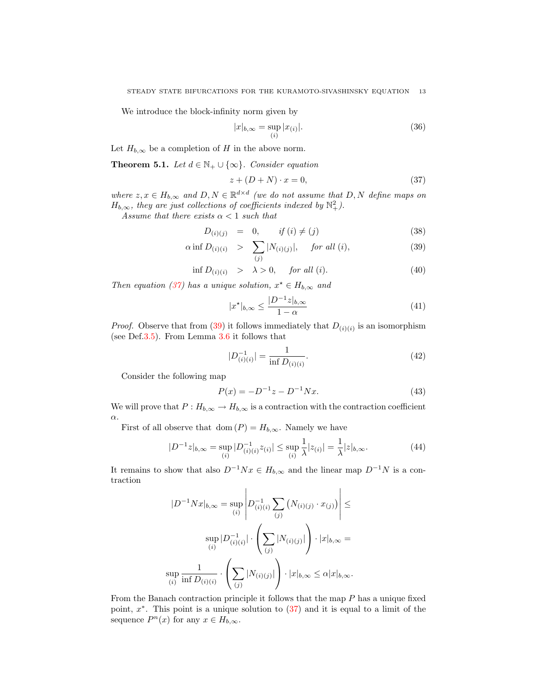We introduce the block-infinity norm given by

$$
|x|_{b,\infty} = \sup_{(i)} |x_{(i)}|.
$$
 (36)

Let  $H_{b,\infty}$  be a completion of H in the above norm.

<span id="page-12-2"></span>**Theorem 5.1.** Let  $d \in \mathbb{N}_+ \cup \{\infty\}$ . Consider equation

<span id="page-12-0"></span>
$$
z + (D + N) \cdot x = 0,\t\t(37)
$$

where  $z, x \in H_{b,\infty}$  and  $D, N \in \mathbb{R}^{d \times d}$  (we do not assume that  $D, N$  define maps on  $H_{b,\infty}$ , they are just collections of coefficients indexed by  $\mathbb{N}^2_+$ ).

Assume that there exists  $\alpha < 1$  such that

<span id="page-12-1"></span>
$$
D_{(i)(j)} = 0, \t if (i) \neq (j)
$$
\t(38)

$$
\alpha \inf D_{(i)(i)} > \sum_{(j)} |N_{(i)(j)}|, \quad \text{for all } (i), \tag{39}
$$

$$
\inf D_{(i)(i)} > \lambda > 0, \quad \text{for all } (i). \tag{40}
$$

Then equation [\(37\)](#page-12-0) has a unique solution,  $x^* \in H_{b,\infty}$  and

$$
|x^{\star}|_{b,\infty} \le \frac{|D^{-1}z|_{b,\infty}}{1-\alpha} \tag{41}
$$

*Proof.* Observe that from [\(39\)](#page-12-1) it follows immediately that  $D_{(i)(i)}$  is an isomorphism (see Def[.3.5\)](#page-8-3). From Lemma [3.6](#page-8-4) it follows that

$$
|D_{(i)(i)}^{-1}| = \frac{1}{\inf D_{(i)(i)}}.\t(42)
$$

Consider the following map

$$
P(x) = -D^{-1}z - D^{-1}Nx.\tag{43}
$$

We will prove that  $P: H_{b,\infty} \to H_{b,\infty}$  is a contraction with the contraction coefficient α.

First of all observe that dom  $(P) = H_{b,\infty}$ . Namely we have

$$
|D^{-1}z|_{b,\infty} = \sup_{(i)} |D^{-1}_{(i)(i)}z_{(i)}| \le \sup_{(i)} \frac{1}{\lambda}|z_{(i)}| = \frac{1}{\lambda}|z|_{b,\infty}.
$$
 (44)

It remains to show that also  $D^{-1}Nx \in H_{b,\infty}$  and the linear map  $D^{-1}N$  is a contraction

$$
|D^{-1}Nx|_{b,\infty} = \sup_{(i)} \left| D_{(i)(i)}^{-1} \sum_{(j)} (N_{(i)(j)} \cdot x_{(j)}) \right| \le
$$
  

$$
\sup_{(i)} |D_{(i)(i)}^{-1}| \cdot \left( \sum_{(j)} |N_{(i)(j)}| \right) \cdot |x|_{b,\infty} =
$$
  

$$
\sup_{(i)} \frac{1}{\inf D_{(i)(i)}} \cdot \left( \sum_{(j)} |N_{(i)(j)}| \right) \cdot |x|_{b,\infty} \le \alpha |x|_{b,\infty}.
$$

From the Banach contraction principle it follows that the map P has a unique fixed point,  $x^*$ . This point is a unique solution to  $(37)$  and it is equal to a limit of the sequence  $P^n(x)$  for any  $x \in H_{b,\infty}$ .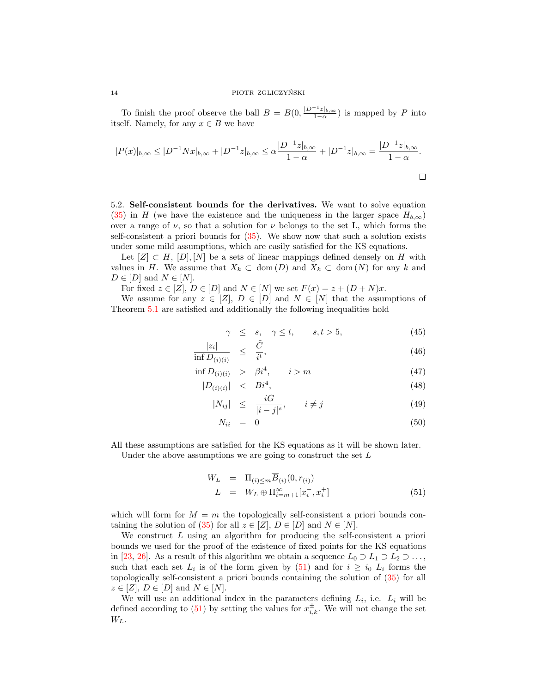To finish the proof observe the ball  $B = B(0, \frac{|D^{-1}z|_{b,\infty}}{1-\alpha})$  is mapped by P into itself. Namely, for any  $x \in B$  we have

$$
|P(x)|_{b,\infty} \le |D^{-1}Nx|_{b,\infty} + |D^{-1}z|_{b,\infty} \le \alpha \frac{|D^{-1}z|_{b,\infty}}{1-\alpha} + |D^{-1}z|_{b,\infty} = \frac{|D^{-1}z|_{b,\infty}}{1-\alpha}.
$$

<span id="page-13-1"></span>5.2. Self-consistent bounds for the derivatives. We want to solve equation [\(35\)](#page-11-3) in H (we have the existence and the uniqueness in the larger space  $H_{b,\infty}$ ) over a range of  $\nu$ , so that a solution for  $\nu$  belongs to the set L, which forms the self-consistent a priori bounds for [\(35\)](#page-11-3). We show now that such a solution exists under some mild assumptions, which are easily satisfied for the KS equations.

Let  $[Z] \subset H$ ,  $[D], [N]$  be a sets of linear mappings defined densely on H with values in H. We assume that  $X_k \subset \text{dom}(D)$  and  $X_k \subset \text{dom}(N)$  for any k and  $D \in [D]$  and  $N \in [N]$ .

For fixed  $z \in [Z], D \in [D]$  and  $N \in [N]$  we set  $F(x) = z + (D + N)x$ .

We assume for any  $z \in [Z], D \in [D]$  and  $N \in [N]$  that the assumptions of Theorem [5.1](#page-12-2) are satisfied and additionally the following inequalities hold

<span id="page-13-2"></span>
$$
\gamma \leq s, \quad \gamma \leq t, \qquad s, t > 5, \tag{45}
$$

$$
\frac{|z_i|}{\inf D_{(i)(i)}} \leq \frac{\tilde{C}}{i^t},\tag{46}
$$

$$
\inf D_{(i)(i)} > \beta i^4, \qquad i > m \tag{47}
$$

$$
|D_{(i)(i)}| \leq Bi^4,\tag{48}
$$

$$
|N_{ij}| \leq \frac{iG}{|i-j|^s}, \qquad i \neq j \tag{49}
$$

$$
N_{ii} = 0 \tag{50}
$$

All these assumptions are satisfied for the KS equations as it will be shown later. Under the above assumptions we are going to construct the set  $L$ 

<span id="page-13-0"></span>
$$
W_L = \Pi_{(i) \le m} \overline{B}_{(i)}(0, r_{(i)})
$$
  
\n
$$
L = W_L \oplus \Pi_{i=m+1}^{\infty} [x_i^-, x_i^+]
$$
\n(51)

which will form for  $M = m$  the topologically self-consistent a priori bounds con-taining the solution of [\(35\)](#page-11-3) for all  $z \in [Z], D \in [D]$  and  $N \in [N]$ .

We construct  $L$  using an algorithm for producing the self-consistent a priori bounds we used for the proof of the existence of fixed points for the KS equations in [\[23,](#page-46-0) [26\]](#page-46-2). As a result of this algorithm we obtain a sequence  $L_0 \supset L_1 \supset L_2 \supset \ldots$ , such that each set  $L_i$  is of the form given by [\(51\)](#page-13-0) and for  $i \geq i_0$   $L_i$  forms the topologically self-consistent a priori bounds containing the solution of [\(35\)](#page-11-3) for all  $z \in [Z], D \in [D]$  and  $N \in [N]$ .

We will use an additional index in the parameters defining  $L_i$ , i.e.  $L_i$  will be defined according to [\(51\)](#page-13-0) by setting the values for  $x_{i,k}^{\pm}$ . We will not change the set  $W_L$ .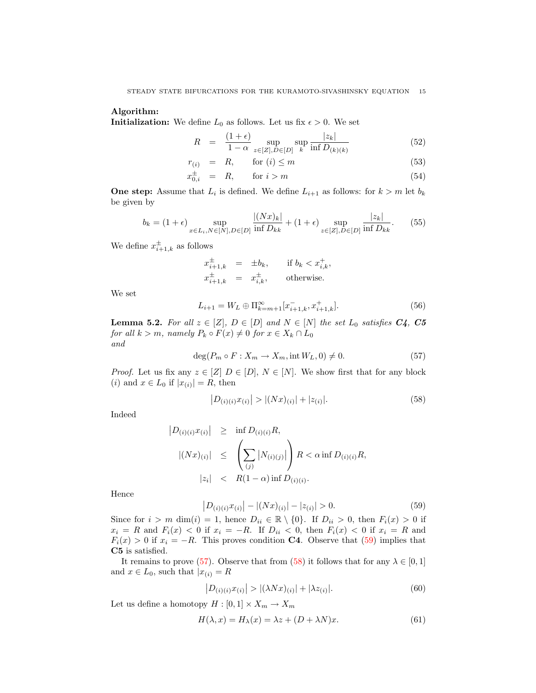### Algorithm:

**Initialization:** We define  $L_0$  as follows. Let us fix  $\epsilon > 0$ . We set

$$
R = \frac{(1+\epsilon)}{1-\alpha} \sup_{z \in [Z], D \in [D]} \sup_{k} \frac{|z_k|}{\inf D_{(k)(k)}} \tag{52}
$$

$$
r_{(i)} = R, \quad \text{for } (i) \le m \tag{53}
$$

$$
x_{0,i}^{\pm} = R, \qquad \text{for } i > m \tag{54}
$$

**One step:** Assume that  $L_i$  is defined. We define  $L_{i+1}$  as follows: for  $k > m$  let  $b_k$ be given by

$$
b_k = (1 + \epsilon) \sup_{x \in L_i, N \in [N], D \in [D]} \frac{|(Nx)_k|}{\inf D_{kk}} + (1 + \epsilon) \sup_{z \in [Z], D \in [D]} \frac{|z_k|}{\inf D_{kk}}.
$$
 (55)

We define  $x_{i+1,k}^{\pm}$  as follows

$$
x_{i+1,k}^{\pm} = \pm b_k, \quad \text{if } b_k < x_{i,k}^{\pm},
$$
  

$$
x_{i+1,k}^{\pm} = x_{i,k}^{\pm}, \quad \text{otherwise.}
$$

We set

$$
L_{i+1} = W_L \oplus \Pi_{k=m+1}^{\infty} [x_{i+1,k}^-, x_{i+1,k}^+].
$$
\n(56)

**Lemma 5.2.** For all  $z \in [Z]$ ,  $D \in [D]$  and  $N \in [N]$  the set  $L_0$  satisfies  $C_4$ ,  $C_5$ for all  $k > m$ , namely  $P_k \circ F(x) \neq 0$  for  $x \in X_k \cap L_0$ and

<span id="page-14-1"></span>
$$
\deg(P_m \circ F: X_m \to X_m, \text{int } W_L, 0) \neq 0. \tag{57}
$$

*Proof.* Let us fix any  $z \in [Z]$   $D \in [D]$ ,  $N \in [N]$ . We show first that for any block (*i*) and  $x \in L_0$  if  $|x_{(i)}| = R$ , then

<span id="page-14-2"></span>
$$
|D_{(i)(i)}x_{(i)}| > |(Nx)_{(i)}| + |z_{(i)}|.
$$
\n(58)

Indeed

$$
|D_{(i)(i)}x_{(i)}| \ge \inf D_{(i)(i)}R,
$$
  
\n
$$
|(Nx)_{(i)}| \le \left(\sum_{(j)} |N_{(i)(j)}|\right)R < \alpha \inf D_{(i)(i)}R,
$$
  
\n
$$
|z_i| < R(1-\alpha) \inf D_{(i)(i)}.
$$

Hence

<span id="page-14-0"></span>
$$
\left| D_{(i)(i)} x_{(i)} \right| - \left| (Nx)_{(i)} \right| - |z_{(i)}| > 0. \tag{59}
$$

Since for  $i > m$  dim $(i) = 1$ , hence  $D_{ii} \in \mathbb{R} \setminus \{0\}$ . If  $D_{ii} > 0$ , then  $F_i(x) > 0$  if  $x_i = R$  and  $F_i(x) < 0$  if  $x_i = -R$ . If  $D_{ii} < 0$ , then  $F_i(x) < 0$  if  $x_i = R$  and  $F_i(x) > 0$  if  $x_i = -R$ . This proves condition **C4**. Observe that [\(59\)](#page-14-0) implies that C5 is satisfied.

It remains to prove [\(57\)](#page-14-1). Observe that from [\(58\)](#page-14-2) it follows that for any  $\lambda \in [0,1]$ and  $x \in L_0$ , such that  $|x_{(i)}| = R$ 

<span id="page-14-3"></span>
$$
|D_{(i)(i)}x_{(i)}| > |(\lambda Nx)_{(i)}| + |\lambda z_{(i)}|.
$$
\n(60)

Let us define a homotopy  $H:[0,1]\times X_m\rightarrow X_m$ 

$$
H(\lambda, x) = H_{\lambda}(x) = \lambda z + (D + \lambda N)x.
$$
\n(61)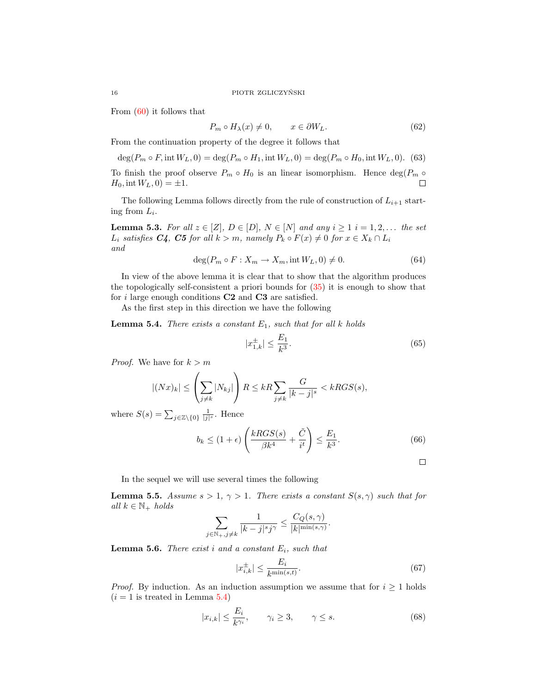From [\(60\)](#page-14-3) it follows that

$$
P_m \circ H_\lambda(x) \neq 0, \qquad x \in \partial W_L. \tag{62}
$$

From the continuation property of the degree it follows that

$$
\deg(P_m \circ F, \text{int } W_L, 0) = \deg(P_m \circ H_1, \text{int } W_L, 0) = \deg(P_m \circ H_0, \text{int } W_L, 0). \tag{63}
$$

To finish the proof observe  $P_m \circ H_0$  is an linear isomorphism. Hence  $\deg(P_m \circ$  $\Box$  $H_0$ , int  $W_L$ , 0) =  $\pm 1$ .

The following Lemma follows directly from the rule of construction of  $L_{i+1}$  starting from  $L_i$ .

**Lemma 5.3.** For all  $z \in [Z], D \in [D], N \in [N]$  and any  $i \geq 1$   $i = 1, 2, \ldots$  the set  $L_i$  satisfies  $C_4$ ,  $C_5$  for all  $k > m$ , namely  $P_k \circ F(x) \neq 0$  for  $x \in X_k \cap L_i$ and

$$
\deg(P_m \circ F : X_m \to X_m, \text{int } W_L, 0) \neq 0. \tag{64}
$$

In view of the above lemma it is clear that to show that the algorithm produces the topologically self-consistent a priori bounds for [\(35\)](#page-11-3) it is enough to show that for i large enough conditions  $C2$  and  $C3$  are satisfied.

As the first step in this direction we have the following

<span id="page-15-0"></span>**Lemma 5.4.** There exists a constant  $E_1$ , such that for all k holds

$$
|x_{1,k}^{\pm}| \le \frac{E_1}{k^3}.\tag{65}
$$

*Proof.* We have for  $k > m$ 

$$
|(Nx)_k| \le \left(\sum_{j\neq k} |N_{kj}|\right) R \le kR \sum_{j\neq k} \frac{G}{|k-j|^s} < kRGS(s),
$$

where  $S(s) = \sum_{j \in \mathbb{Z} \setminus \{0\}} \frac{1}{|j|^s}$ . Hence

$$
b_k \le (1 + \epsilon) \left( \frac{kRGS(s)}{\beta k^4} + \frac{\tilde{C}}{i^t} \right) \le \frac{E_1}{k^3}.
$$
 (66)

 $\Box$ 

In the sequel we will use several times the following

<span id="page-15-1"></span>**Lemma 5.5.** Assume  $s > 1$ ,  $\gamma > 1$ . There exists a constant  $S(s, \gamma)$  such that for all  $k \in \mathbb{N}_+$  holds

$$
\sum_{j \in \mathbb{N}_+, j \neq k} \frac{1}{|k-j|^s j^{\gamma}} \le \frac{C_Q(s, \gamma)}{|k|^{\min(s, \gamma)}}.
$$

**Lemma 5.6.** There exist i and a constant  $E_i$ , such that

$$
|x_{i,k}^{\pm}| \le \frac{E_i}{k^{\min(s,t)}}.\tag{67}
$$

*Proof.* By induction. As an induction assumption we assume that for  $i \geq 1$  holds  $(i = 1$  is treated in Lemma [5.4\)](#page-15-0)

$$
|x_{i,k}| \le \frac{E_i}{k^{\gamma_i}}, \qquad \gamma_i \ge 3, \qquad \gamma \le s. \tag{68}
$$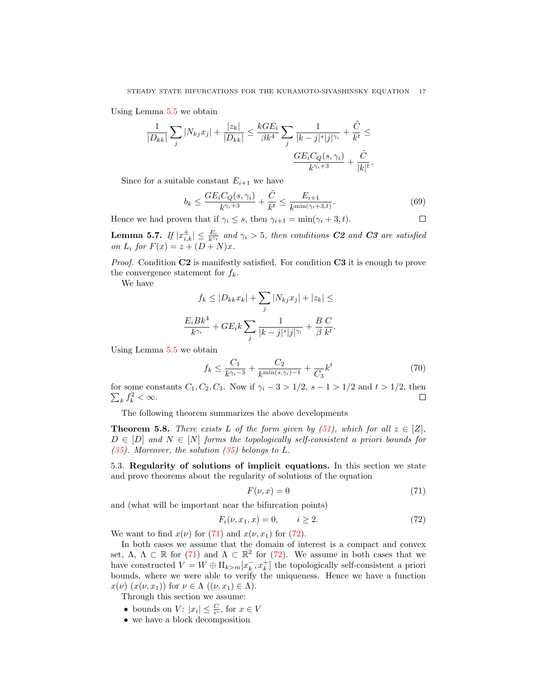Using Lemma [5.5](#page-15-1) we obtain

$$
\frac{1}{|D_{kk}|}\sum_j |N_{kj}x_j| + \frac{|z_k|}{|D_{kk}|}\leq \frac{kGE_i}{\beta k^4}\sum_j \frac{1}{|k-j|^s|j|^{\gamma_i}} + \frac{\tilde{C}}{k^t}\leq \frac{1}{k^t k^t}.
$$

Since for a suitable constant  $E_{i+1}$  we have

$$
b_k \le \frac{GE_i C_Q(s, \gamma_i)}{k^{\gamma_i + 3}} + \frac{\tilde{C}}{k^t} \le \frac{E_{i+1}}{k^{\min(\gamma_i + 3, t)}}.
$$
(69)

□

Hence we had proven that if  $\gamma_i \leq s$ , then  $\gamma_{i+1} = \min(\gamma_i + 3, t)$ .

**Lemma 5.7.** If  $|x_{i,k}^{\pm}| \leq \frac{E_i}{k^{\gamma_i}}$  and  $\gamma_i > 5$ , then conditions **C2** and **C3** are satisfied on  $L_i$  for  $F(x) = z + (D + N)x$ .

*Proof.* Condition  $C2$  is manifestly satisfied. For condition  $C3$  it is enough to prove the convergence statement for  $f_k$ .

We have

$$
f_k \le |D_{kk}x_k| + \sum_j |N_{kj}x_j| + |z_k| \le
$$
  

$$
\frac{E_i B k^4}{k^{\gamma_i}} + G E_i k \sum_j \frac{1}{|k-j|^s |j|^{\gamma_i}} + \frac{B}{\beta} \frac{C}{k^t}.
$$

Using Lemma [5.5](#page-15-1) we obtain

$$
f_k \le \frac{C_1}{k^{\gamma_i - 3}} + \frac{C_2}{k^{\min(s, \gamma_i) - 1}} + \frac{1}{C_3}k^t
$$
\n<sup>(70)</sup>

for some constants  $C_1, C_2, C_3$ . Now if  $\gamma_i - 3 > 1/2$ ,  $s - 1 > 1/2$  and  $t > 1/2$ , then  $\sum_k f_k^2 < \infty$ . П

The following theorem summarizes the above developments

<span id="page-16-2"></span>**Theorem 5.8.** There exists L of the form given by [\(51\)](#page-13-0), which for all  $z \in [Z]$ ,  $D \in [D]$  and  $N \in [N]$  forms the topologically self-consistent a priori bounds for [\(35\)](#page-11-3). Moreover, the solution  $(35)$  belongs to L.

5.3. Regularity of solutions of implicit equations. In this section we state and prove theorems about the regularity of solutions of the equation

<span id="page-16-0"></span>
$$
F(\nu, x) = 0 \tag{71}
$$

and (what will be important near the bifurcation points)

<span id="page-16-1"></span>
$$
F_i(\nu, x_1, x) = 0, \qquad i \ge 2. \tag{72}
$$

We want to find  $x(\nu)$  for [\(71\)](#page-16-0) and  $x(\nu, x_1)$  for [\(72\)](#page-16-1).

In both cases we assume that the domain of interest is a compact and convex set,  $\Lambda$ ,  $\Lambda \subset \mathbb{R}$  for [\(71\)](#page-16-0) and  $\Lambda \subset \mathbb{R}^2$  for [\(72\)](#page-16-1). We assume in both cases that we have constructed  $V = W \oplus \Pi_{k>m}[x_k^-, x_k^+]$  the topologically self-consistent a priori bounds, where we were able to verify the uniqueness. Hence we have a function  $x(\nu)$   $(x(\nu, x_1))$  for  $\nu \in \Lambda$   $((\nu, x_1) \in \Lambda)$ .

Through this section we assume:

- bounds on  $V: |x_i| \leq \frac{C}{i^s}$ , for  $x \in V$
- we have a block decomposition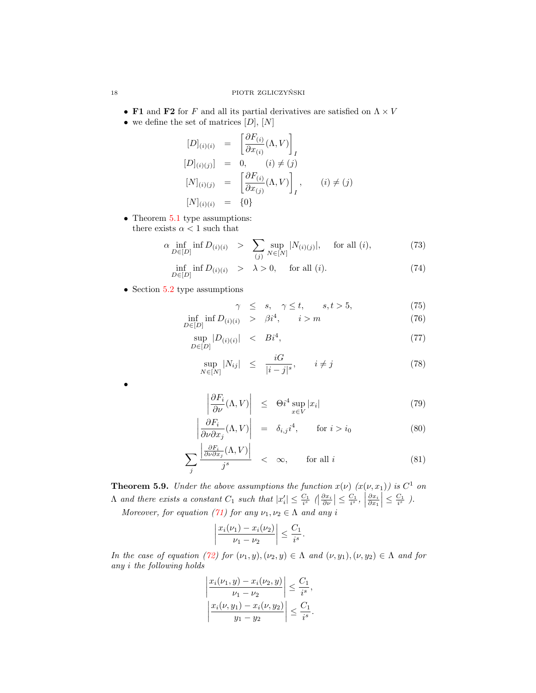- F1 and F2 for F and all its partial derivatives are satisfied on  $\Lambda \times V$
- we define the set of matrices  $[D], [N]$

$$
[D]_{(i)(i)} = \left[\frac{\partial F_{(i)}}{\partial x_{(i)}}(\Lambda, V)\right]_I
$$
  
\n
$$
[D]_{(i)(j)}] = 0, \quad (i) \neq (j)
$$
  
\n
$$
[N]_{(i)(j)} = \left[\frac{\partial F_{(i)}}{\partial x_{(j)}}(\Lambda, V)\right]_I, \quad (i) \neq (j)
$$
  
\n
$$
[N]_{(i)(i)} = \{0\}
$$

• Theorem [5.1](#page-12-2) type assumptions: there exists  $\alpha < 1$  such that

$$
\alpha \inf_{D \in [D]} \inf D_{(i)(i)} > \sum_{(j)} \sup_{N \in [N]} |N_{(i)(j)}|, \quad \text{for all } (i), \tag{73}
$$

$$
\inf_{D \in [D]} \inf D_{(i)(i)} \quad > \quad \lambda > 0, \quad \text{ for all } (i). \tag{74}
$$

• Section [5.2](#page-13-1) type assumptions

<span id="page-17-1"></span>
$$
\gamma \leq s, \quad \gamma \leq t, \qquad s, t > 5,\tag{75}
$$

$$
\inf_{D \in [D]} \inf D_{(i)(i)} \ge \beta i^4, \qquad i > m \tag{76}
$$

$$
\sup_{D \in [D]} |D_{(i)(i)}| < Bi^4,\tag{77}
$$

$$
\sup_{N \in [N]} |N_{ij}| \leq \frac{iG}{|i-j|^s}, \qquad i \neq j \tag{78}
$$

<span id="page-17-0"></span>
$$
\left| \frac{\partial F_i}{\partial \nu} (\Lambda, V) \right| \leq \Theta i^4 \sup_{x \in V} |x_i| \tag{79}
$$

$$
\left| \frac{\partial F_i}{\partial \nu \partial x_j} (\Lambda, V) \right| = \delta_{i,j} i^4, \quad \text{for } i > i_0
$$
\n(80)

$$
\sum_{j} \frac{\left| \frac{\partial F_i}{\partial \nu \partial x_j} (\Lambda, V) \right|}{j^s} < \infty, \qquad \text{for all } i \tag{81}
$$

<span id="page-17-2"></span>**Theorem 5.9.** Under the above assumptions the function  $x(\nu)$   $(x(\nu, x_1))$  is  $C^1$  on  $\Lambda$  and there exists a constant  $C_1$  such that  $|x'_i| \leq \frac{C_1}{i^s} \left( \left| \frac{\partial x_i}{\partial \nu} \right| \leq \frac{C_1}{i^s} \right)$  $\frac{\partial x_i}{\partial x_1} \leq \frac{C_1}{i^s}$ ). Moreover, for equation [\(71\)](#page-16-0) for any  $\nu_1, \nu_2 \in \Lambda$  and any i

$$
\left|\frac{x_i(\nu_1)-x_i(\nu_2)}{\nu_1-\nu_2}\right|\leq \frac{C_1}{i^s}.
$$

In the case of equation [\(72\)](#page-16-1) for  $(\nu_1, y), (\nu_2, y) \in \Lambda$  and  $(\nu, y_1), (\nu, y_2) \in \Lambda$  and for any i the following holds

$$
\left| \frac{x_i(\nu_1, y) - x_i(\nu_2, y)}{\nu_1 - \nu_2} \right| \le \frac{C_1}{i^s},
$$
  

$$
\left| \frac{x_i(\nu, y_1) - x_i(\nu, y_2)}{y_1 - y_2} \right| \le \frac{C_1}{i^s}.
$$

•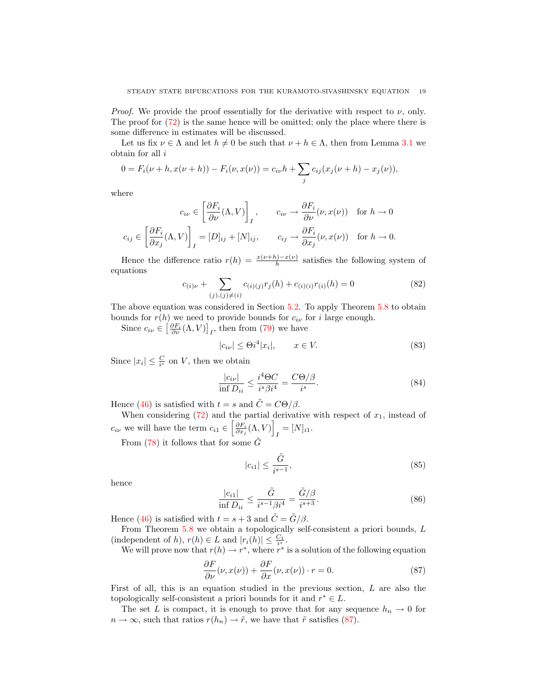*Proof.* We provide the proof essentially for the derivative with respect to  $\nu$ , only. The proof for [\(72\)](#page-16-1) is the same hence will be omitted; only the place where there is some difference in estimates will be discussed.

Let us fix  $\nu \in \Lambda$  and let  $h \neq 0$  be such that  $\nu + h \in \Lambda$ , then from Lemma [3.1](#page-5-2) we obtain for all  $i$ 

$$
0 = F_i(\nu + h, x(\nu + h)) - F_i(\nu, x(\nu)) = c_{i\nu}h + \sum_j c_{ij}(x_j(\nu + h) - x_j(\nu)),
$$

where

$$
c_{i\nu} \in \left[\frac{\partial F_i}{\partial \nu}(\Lambda, V)\right]_I, \qquad c_{i\nu} \to \frac{\partial F_i}{\partial \nu}(\nu, x(\nu)) \quad \text{for } h \to 0
$$

$$
c_{ij} \in \left[\frac{\partial F_i}{\partial x_j}(\Lambda, V)\right]_I = [D]_{ij} + [N]_{ij}, \qquad c_{ij} \to \frac{\partial F_i}{\partial x_j}(\nu, x(\nu)) \quad \text{for } h \to 0.
$$

Hence the difference ratio  $r(h) = \frac{x(\nu + h) - x(\nu)}{h}$  satisfies the following system of equations

$$
c_{(i)\nu} + \sum_{(j),(j)\neq(i)} c_{(i)(j)}r_j(h) + c_{(i)(i)}r_{(i)}(h) = 0
$$
\n(82)

The above equation was considered in Section [5.2.](#page-13-1) To apply Theorem [5.8](#page-16-2) to obtain bounds for  $r(h)$  we need to provide bounds for  $c_{i\nu}$  for i large enough.

Since  $c_{i\nu} \in \left[\frac{\partial F_i}{\partial \nu}(\Lambda, V)\right]_I$ , then from [\(79\)](#page-17-0) we have

$$
|c_{i\nu}| \le \Theta i^4 |x_i|, \qquad x \in V. \tag{83}
$$

Since  $|x_i| \leq \frac{C}{i^s}$  on V, then we obtain

$$
\frac{|c_{i\nu}|}{\inf D_{ii}} \le \frac{i^4 \Theta C}{i^s \beta i^4} = \frac{C \Theta/\beta}{i^s}.
$$
\n(84)

Hence [\(46\)](#page-13-2) is satisfied with  $t = s$  and  $\tilde{C} = C\Theta/\beta$ .

When considering  $(72)$  and the partial derivative with respect of  $x_1$ , instead of  $c_{i\nu}$  we will have the term  $c_{i1} \in \left[\frac{\partial F_i}{\partial x_j}(\Lambda, V)\right]$  $I = [N]_{i1}.$ 

From [\(78\)](#page-17-1) it follows that for some  $\tilde{G}$ 

$$
|c_{i1}| \le \frac{\tilde{G}}{i^{s-1}},\tag{85}
$$

hence

$$
\frac{|c_{i1}|}{\inf D_{ii}} \le \frac{\tilde{G}}{i^{s-1}\beta i^4} = \frac{\tilde{G}/\beta}{i^{s+3}}.
$$
\n(86)

Hence [\(46\)](#page-13-2) is satisfied with  $t = s + 3$  and  $\tilde{C} = \tilde{G}/\beta$ .

From Theorem [5.8](#page-16-2) we obtain a topologically self-consistent a priori bounds, L (independent of h),  $r(h) \in L$  and  $|r_i(h)| \leq \frac{C_1}{i^s}$ .

We will prove now that  $r(h) \to r^*$ , where  $r^*$  is a solution of the following equation

<span id="page-18-0"></span>
$$
\frac{\partial F}{\partial \nu}(\nu, x(\nu)) + \frac{\partial F}{\partial x}(\nu, x(\nu)) \cdot r = 0.
$$
 (87)

First of all, this is an equation studied in the previous section, L are also the topologically self-consistent a priori bounds for it and  $r^* \in L$ .

The set L is compact, it is enough to prove that for any sequence  $h_n \to 0$  for  $n \to \infty$ , such that ratios  $r(h_n) \to \tilde{r}$ , we have that  $\tilde{r}$  satisfies [\(87\)](#page-18-0).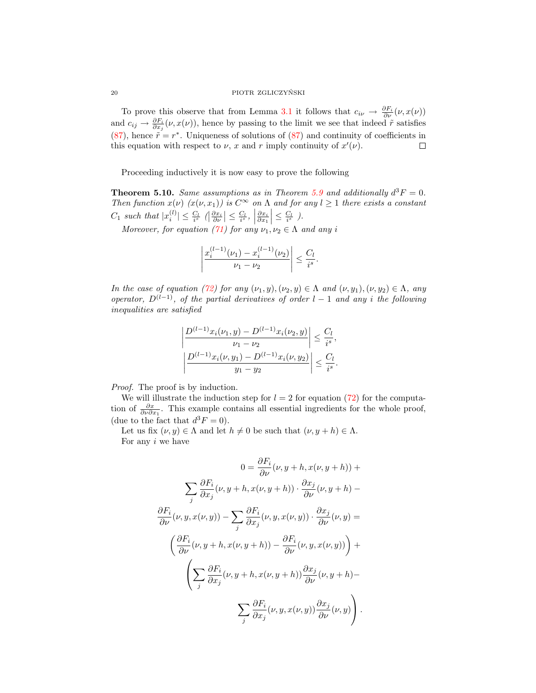### ${\color{red}\textbf{P} \textbf{I} \textbf{O} \textbf{T} \textbf{R}}{\color{red}\textbf{Z} \textbf{G} \textbf{L} \textbf{I} \textbf{C} \textbf{Z} \textbf{Y} \textbf{N} \textbf{S} \textbf{K} \textbf{I}}$

To prove this observe that from Lemma [3.1](#page-5-2) it follows that  $c_{i\nu} \to \frac{\partial F_i}{\partial \nu}(\nu, x(\nu))$ and  $c_{ij} \to \frac{\partial F_i}{\partial x_j}(\nu, x(\nu))$ , hence by passing to the limit we see that indeed  $\tilde{r}$  satisfies [\(87\)](#page-18-0), hence  $\tilde{r} = r^*$ . Uniqueness of solutions of (87) and continuity of coefficients in this equation with respect to  $\nu$ , x and r imply continuity of  $x'(\nu)$ .  $\Box$ 

Proceeding inductively it is now easy to prove the following

**Theorem 5.10.** Same assumptions as in Theorem [5.9](#page-17-2) and additionally  $d^3F = 0$ . Then function  $x(\nu)$   $(x(\nu, x_1))$  is  $C^{\infty}$  on  $\Lambda$  and for any  $l \geq 1$  there exists a constant  $C_1$  such that  $|x_i^{(l)}| \leq \frac{C_l}{i^s} \left( \left| \frac{\partial x_i}{\partial \nu} \right| \leq \frac{C_l}{i^s} \right)$  $\frac{\partial x_i}{\partial x_1} \leq \frac{C_l}{i^s}$ ).

Moreover, for equation [\(71\)](#page-16-0) for any  $\nu_1, \nu_2 \in \Lambda$  and any i

$$
\left|\frac{x_i^{(l-1)}(\nu_1) - x_i^{(l-1)}(\nu_2)}{\nu_1 - \nu_2}\right| \le \frac{C_l}{i^s}.
$$

In the case of equation [\(72\)](#page-16-1) for any  $(\nu_1, y), (\nu_2, y) \in \Lambda$  and  $(\nu, y_1), (\nu, y_2) \in \Lambda$ , any operator,  $D^{(l-1)}$ , of the partial derivatives of order  $l-1$  and any i the following inequalities are satisfied

$$
\left| \frac{D^{(l-1)}x_i(\nu_1, y) - D^{(l-1)}x_i(\nu_2, y)}{\nu_1 - \nu_2} \right| \le \frac{C_l}{i^s},
$$
  

$$
\left| \frac{D^{(l-1)}x_i(\nu, y_1) - D^{(l-1)}x_i(\nu, y_2)}{y_1 - y_2} \right| \le \frac{C_l}{i^s}.
$$

*Proof.* The proof is by induction.

We will illustrate the induction step for  $l = 2$  for equation [\(72\)](#page-16-1) for the computation of  $\frac{\partial x}{\partial \nu \partial x_1}$ . This example contains all essential ingredients for the whole proof, (due to the fact that  $d^3F = 0$ ).

Let us fix  $(\nu, y) \in \Lambda$  and let  $h \neq 0$  be such that  $(\nu, y + h) \in \Lambda$ . For any  $i$  we have

$$
0 = \frac{\partial F_i}{\partial \nu}(\nu, y + h, x(\nu, y + h)) +
$$

$$
\sum_j \frac{\partial F_i}{\partial x_j}(\nu, y + h, x(\nu, y + h)) \cdot \frac{\partial x_j}{\partial \nu}(\nu, y + h) -
$$

$$
\frac{\partial F_i}{\partial \nu}(\nu, y, x(\nu, y)) - \sum_j \frac{\partial F_i}{\partial x_j}(\nu, y, x(\nu, y)) \cdot \frac{\partial x_j}{\partial \nu}(\nu, y) =
$$

$$
\left(\frac{\partial F_i}{\partial \nu}(\nu, y + h, x(\nu, y + h)) - \frac{\partial F_i}{\partial \nu}(\nu, y, x(\nu, y))\right) +
$$

$$
\left(\sum_j \frac{\partial F_i}{\partial x_j}(\nu, y + h, x(\nu, y + h)) \frac{\partial x_j}{\partial \nu}(\nu, y + h) -
$$

$$
\sum_j \frac{\partial F_i}{\partial x_j}(\nu, y, x(\nu, y)) \frac{\partial x_j}{\partial \nu}(\nu, y)\right).
$$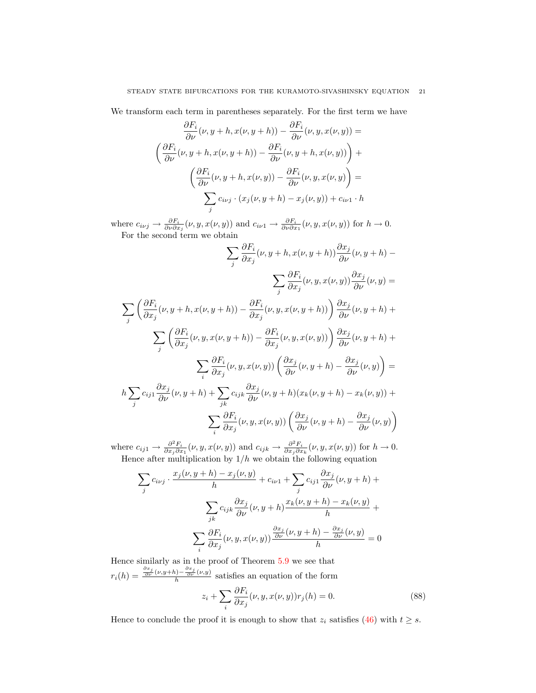We transform each term in parentheses separately. For the first term we have

$$
\frac{\partial F_i}{\partial \nu}(\nu, y + h, x(\nu, y + h)) - \frac{\partial F_i}{\partial \nu}(\nu, y, x(\nu, y)) =
$$
\n
$$
\left(\frac{\partial F_i}{\partial \nu}(\nu, y + h, x(\nu, y + h)) - \frac{\partial F_i}{\partial \nu}(\nu, y + h, x(\nu, y))\right) +
$$
\n
$$
\left(\frac{\partial F_i}{\partial \nu}(\nu, y + h, x(\nu, y)) - \frac{\partial F_i}{\partial \nu}(\nu, y, x(\nu, y)\right) =
$$
\n
$$
\sum_j c_{i\nu j} \cdot (x_j(\nu, y + h) - x_j(\nu, y)) + c_{i\nu 1} \cdot h
$$

where  $c_{i\nu j} \to \frac{\partial F_i}{\partial \nu \partial x_j}(\nu, y, x(\nu, y))$  and  $c_{i\nu 1} \to \frac{\partial F_i}{\partial \nu \partial x_1}(\nu, y, x(\nu, y))$  for  $h \to 0$ . For the second term we obtain

$$
\sum_{j} \frac{\partial F_i}{\partial x_j}(\nu, y + h, x(\nu, y + h)) \frac{\partial x_j}{\partial \nu}(\nu, y + h) -
$$
\n
$$
\sum_{j} \frac{\partial F_i}{\partial x_j}(\nu, y, x(\nu, y)) \frac{\partial x_j}{\partial \nu}(\nu, y) =
$$
\n
$$
\sum_{j} \left(\frac{\partial F_i}{\partial x_j}(\nu, y + h, x(\nu, y + h)) - \frac{\partial F_i}{\partial x_j}(\nu, y, x(\nu, y + h))\right) \frac{\partial x_j}{\partial \nu}(\nu, y + h) +
$$
\n
$$
\sum_{j} \left(\frac{\partial F_i}{\partial x_j}(\nu, y, x(\nu, y + h)) - \frac{\partial F_i}{\partial x_j}(\nu, y, x(\nu, y))\right) \frac{\partial x_j}{\partial \nu}(\nu, y + h) +
$$
\n
$$
\sum_{i} \frac{\partial F_i}{\partial x_j}(\nu, y, x(\nu, y)) \left(\frac{\partial x_j}{\partial \nu}(\nu, y + h) - \frac{\partial x_j}{\partial \nu}(\nu, y)\right) =
$$
\n
$$
h \sum_{j} c_{ij1} \frac{\partial x_j}{\partial \nu}(\nu, y + h) + \sum_{jk} c_{ijk} \frac{\partial x_j}{\partial \nu}(\nu, y + h)(x_k(\nu, y + h) - x_k(\nu, y)) +
$$
\n
$$
\sum_{i} \frac{\partial F_i}{\partial x_j}(\nu, y, x(\nu, y)) \left(\frac{\partial x_j}{\partial \nu}(\nu, y + h) - \frac{\partial x_j}{\partial \nu}(\nu, y)\right)
$$

where  $c_{ij1} \to \frac{\partial^2 F_i}{\partial x_j \partial x_1}(\nu, y, x(\nu, y))$  and  $c_{ijk} \to \frac{\partial^2 F_i}{\partial x_j \partial x_k}(\nu, y, x(\nu, y))$  for  $h \to 0$ . Hence after multiplication by  $1/h$  we obtain the following equation

$$
\sum_{j} c_{i\nu j} \cdot \frac{x_j(\nu, y+h) - x_j(\nu, y)}{h} + c_{i\nu 1} + \sum_{j} c_{ij1} \frac{\partial x_j}{\partial \nu}(\nu, y+h) +
$$

$$
\sum_{jk} c_{ijk} \frac{\partial x_j}{\partial \nu}(\nu, y+h) \frac{x_k(\nu, y+h) - x_k(\nu, y)}{h} +
$$

$$
\sum_{i} \frac{\partial F_i}{\partial x_j}(\nu, y, x(\nu, y)) \frac{\frac{\partial x_j}{\partial \nu}(\nu, y+h) - \frac{\partial x_j}{\partial \nu}(\nu, y)}{h} = 0
$$

Hence similarly as in the proof of Theorem [5.9](#page-17-2) we see that  $r_i(h) = \frac{\frac{\partial x_j}{\partial \nu}(\nu, y+h) - \frac{\partial x_j}{\partial \nu}(\nu, y)}{h}$  satisfies an equation of the form  $\sum \frac{\partial F_i}{\partial x_i}$ 

$$
z_i + \sum_i \frac{\partial F_i}{\partial x_j} (\nu, y, x(\nu, y)) r_j(h) = 0.
$$
 (88)

Hence to conclude the proof it is enough to show that  $z_i$  satisfies [\(46\)](#page-13-2) with  $t \geq s$ .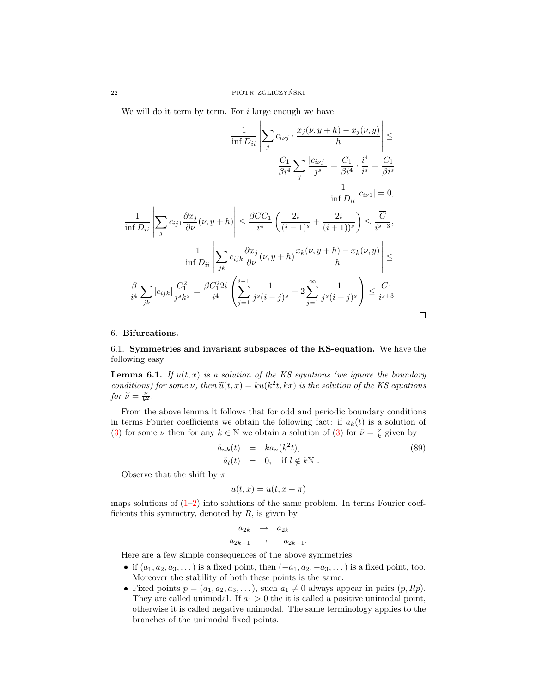We will do it term by term. For  $i$  large enough we have

$$
\frac{1}{\inf D_{ii}} \left| \sum_{j} c_{i\nu j} \cdot \frac{x_j(\nu, y + h) - x_j(\nu, y)}{h} \right| \le
$$

$$
\frac{C_1}{\beta i^4} \sum_{j} \frac{|c_{i\nu j}|}{j^s} = \frac{C_1}{\beta i^4} \cdot \frac{i^4}{i^s} = \frac{C_1}{\beta i^s}
$$

$$
\frac{1}{\inf D_{ii}} |c_{i\nu 1}| = 0,
$$

$$
\frac{1}{\inf D_{ii}} \left| \sum_{j} c_{ij} \frac{\partial x_j}{\partial \nu}(\nu, y + h) \right| \le \frac{\beta CC_1}{i^4} \left( \frac{2i}{(i-1)^s} + \frac{2i}{(i+1))^s} \right) \le \frac{\overline{C}}{i^{s+3}},
$$

$$
\frac{1}{\inf D_{ii}} \left| \sum_{jk} c_{ijk} \frac{\partial x_j}{\partial \nu}(\nu, y + h) \frac{x_k(\nu, y + h) - x_k(\nu, y)}{h} \right| \le
$$

$$
\frac{\beta}{i^4} \sum_{jk} |c_{ijk}| \frac{C_1^2}{j^s k^s} = \frac{\beta C_1^2 2i}{i^4} \left( \sum_{j=1}^{i-1} \frac{1}{j^s (i-j)^s} + 2 \sum_{j=1}^{\infty} \frac{1}{j^s (i+j)^s} \right) \le \frac{\overline{C}_1}{i^{s+3}}
$$

### <span id="page-21-1"></span>6. Bifurcations.

## <span id="page-21-0"></span>6.1. Symmetries and invariant subspaces of the KS-equation. We have the following easy

<span id="page-21-3"></span>**Lemma 6.1.** If  $u(t, x)$  is a solution of the KS equations (we ignore the boundary conditions) for some  $\nu$ , then  $\tilde{u}(t, x) = ku(k^2t, kx)$  is the solution of the KS equations for  $\tilde{u} - \nu$ for  $\widetilde{\nu} = \frac{\nu}{k^2}$ .

From the above lemma it follows that for odd and periodic boundary conditions in terms Fourier coefficients we obtain the following fact: if  $a_k(t)$  is a solution of [\(3\)](#page-3-1) for some  $\nu$  then for any  $k \in \mathbb{N}$  we obtain a solution of (3) for  $\tilde{\nu} = \frac{\nu}{k}$  given by

<span id="page-21-2"></span>
$$
\tilde{a}_{nk}(t) = ka_n(k^2t), \n\tilde{a}_l(t) = 0, \text{ if } l \notin k\mathbb{N} .
$$
\n(89)

 $\Box$ 

Observe that the shift by  $\pi$ 

 $\tilde{u}(t, x) = u(t, x + \pi)$ 

maps solutions of  $(1-2)$  $(1-2)$  into solutions of the same problem. In terms Fourier coefficients this symmetry, denoted by  $R$ , is given by

$$
a_{2k} \rightarrow a_{2k}
$$
  

$$
a_{2k+1} \rightarrow -a_{2k+1}.
$$

Here are a few simple consequences of the above symmetries

- if  $(a_1, a_2, a_3, ...)$  is a fixed point, then  $(-a_1, a_2, -a_3, ...)$  is a fixed point, too. Moreover the stability of both these points is the same.
- Fixed points  $p = (a_1, a_2, a_3, \dots)$ , such  $a_1 \neq 0$  always appear in pairs  $(p, Rp)$ . They are called unimodal. If  $a_1 > 0$  the it is called a positive unimodal point, otherwise it is called negative unimodal. The same terminology applies to the branches of the unimodal fixed points.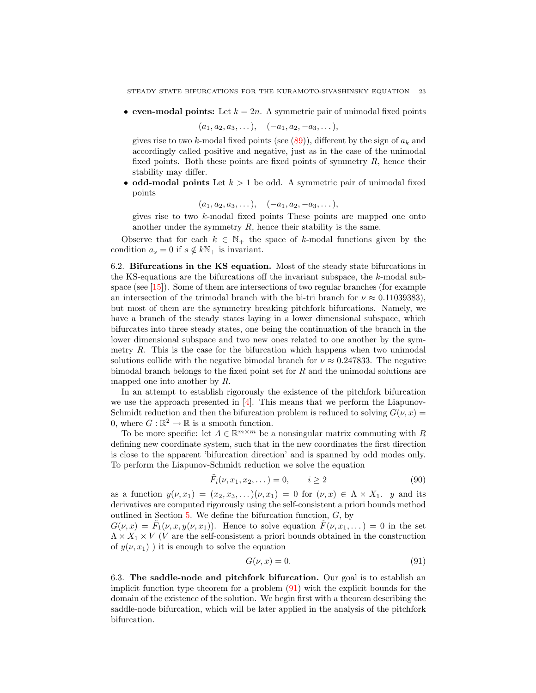• even-modal points: Let  $k = 2n$ . A symmetric pair of unimodal fixed points

$$
(a_1, a_2, a_3, \ldots), \quad (-a_1, a_2, -a_3, \ldots),
$$

gives rise to two k-modal fixed points (see  $(89)$ ), different by the sign of  $a_k$  and accordingly called positive and negative, just as in the case of the unimodal fixed points. Both these points are fixed points of symmetry  $R$ , hence their stability may differ.

• odd-modal points Let  $k > 1$  be odd. A symmetric pair of unimodal fixed points

$$
(a_1, a_2, a_3, \ldots), \quad (-a_1, a_2, -a_3, \ldots),
$$

gives rise to two k-modal fixed points These points are mapped one onto another under the symmetry  $R$ , hence their stability is the same.

Observe that for each  $k \in \mathbb{N}_+$  the space of k-modal functions given by the condition  $a_s = 0$  if  $s \notin k\mathbb{N}_+$  is invariant.

6.2. Bifurcations in the KS equation. Most of the steady state bifurcations in the KS-equations are the bifurcations off the invariant subspace, the k-modal subspace (see  $[15]$ ). Some of them are intersections of two regular branches (for example an intersection of the trimodal branch with the bi-tri branch for  $\nu \approx 0.11039383$ , but most of them are the symmetry breaking pitchfork bifurcations. Namely, we have a branch of the steady states laying in a lower dimensional subspace, which bifurcates into three steady states, one being the continuation of the branch in the lower dimensional subspace and two new ones related to one another by the symmetry  $R$ . This is the case for the bifurcation which happens when two unimodal solutions collide with the negative bimodal branch for  $\nu \approx 0.247833$ . The negative bimodal branch belongs to the fixed point set for  $R$  and the unimodal solutions are mapped one into another by R.

In an attempt to establish rigorously the existence of the pitchfork bifurcation we use the approach presented in  $[4]$ . This means that we perform the Liapunov-Schmidt reduction and then the bifurcation problem is reduced to solving  $G(\nu, x) =$ 0, where  $G : \mathbb{R}^2 \to \mathbb{R}$  is a smooth function.

To be more specific: let  $A \in \mathbb{R}^{m \times m}$  be a nonsingular matrix commuting with R defining new coordinate system, such that in the new coordinates the first direction is close to the apparent 'bifurcation direction' and is spanned by odd modes only. To perform the Liapunov-Schmidt reduction we solve the equation

<span id="page-22-2"></span>
$$
\tilde{F}_i(\nu, x_1, x_2, \dots) = 0, \qquad i \ge 2
$$
\n(90)

as a function  $y(\nu, x_1) = (x_2, x_3, \dots)(\nu, x_1) = 0$  for  $(\nu, x) \in \Lambda \times X_1$ . y and its derivatives are computed rigorously using the self-consistent a priori bounds method outlined in Section  $5$ . We define the bifurcation function,  $G$ , by

 $G(\nu, x) = \tilde{F}_1(\nu, x, y(\nu, x_1)).$  Hence to solve equation  $\tilde{F}(\nu, x_1, ...) = 0$  in the set  $\Lambda \times X_1 \times V$  (V are the self-consistent a priori bounds obtained in the construction of  $y(\nu, x_1)$ ) it is enough to solve the equation

<span id="page-22-0"></span>
$$
G(\nu, x) = 0.\t\t(91)
$$

<span id="page-22-1"></span>6.3. The saddle-node and pitchfork bifurcation. Our goal is to establish an implicit function type theorem for a problem  $(91)$  with the explicit bounds for the domain of the existence of the solution. We begin first with a theorem describing the saddle-node bifurcation, which will be later applied in the analysis of the pitchfork bifurcation.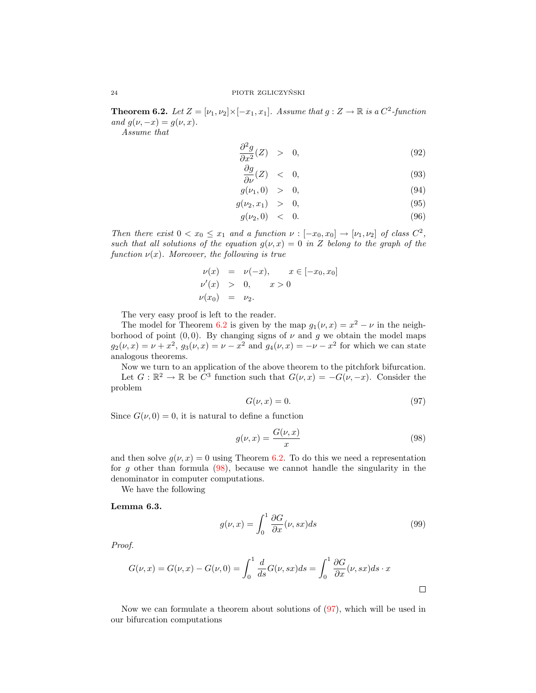**Theorem 6.2.** Let  $Z = [\nu_1, \nu_2] \times [-x_1, x_1]$ . Assume that  $g : Z \to \mathbb{R}$  is a  $C^2$ -function and  $q(\nu, -x) = g(\nu, x)$ .

Assume that

$$
\frac{\partial^2 g}{\partial x^2}(Z) > 0, \tag{92}
$$

<span id="page-23-3"></span>
$$
\frac{\partial g}{\partial \nu}(Z) \quad < \quad 0,\tag{93}
$$

$$
g(\nu_1, 0) > 0, \t\t(94)
$$

$$
g(\nu_2, x_1) > 0, \t\t(95)
$$

$$
g(\nu_2, 0) \quad < \quad 0. \tag{96}
$$

Then there exist  $0 < x_0 \leq x_1$  and a function  $\nu : [-x_0, x_0] \to [\nu_1, \nu_2]$  of class  $C^2$ , such that all solutions of the equation  $g(\nu, x) = 0$  in Z belong to the graph of the function  $\nu(x)$ . Moreover, the following is true

$$
\nu(x) = \nu(-x), \quad x \in [-x_0, x_0]
$$
  
\n
$$
\nu'(x) > 0, \quad x > 0
$$
  
\n
$$
\nu(x_0) = \nu_2.
$$

The very easy proof is left to the reader.

The model for Theorem [6.2](#page-22-1) is given by the map  $g_1(\nu, x) = x^2 - \nu$  in the neighborhood of point  $(0, 0)$ . By changing signs of  $\nu$  and  $g$  we obtain the model maps  $g_2(\nu, x) = \nu + x^2$ ,  $g_3(\nu, x) = \nu - x^2$  and  $g_4(\nu, x) = -\nu - x^2$  for which we can state analogous theorems.

Now we turn to an application of the above theorem to the pitchfork bifurcation.

Let  $G: \mathbb{R}^2 \to \mathbb{R}$  be  $C^3$  function such that  $G(\nu, x) = -G(\nu, -x)$ . Consider the problem

<span id="page-23-1"></span>
$$
G(\nu, x) = 0.\t\t(97)
$$

Since  $G(\nu, 0) = 0$ , it is natural to define a function

<span id="page-23-0"></span>
$$
g(\nu, x) = \frac{G(\nu, x)}{x} \tag{98}
$$

and then solve  $g(\nu, x) = 0$  using Theorem [6.2.](#page-22-1) To do this we need a representation for q other than formula  $(98)$ , because we cannot handle the singularity in the denominator in computer computations.

We have the following

<span id="page-23-2"></span>Lemma 6.3.

$$
g(\nu, x) = \int_0^1 \frac{\partial G}{\partial x}(\nu, sx) ds \tag{99}
$$

Proof.

$$
G(\nu, x) = G(\nu, x) - G(\nu, 0) = \int_0^1 \frac{d}{ds} G(\nu, sx) ds = \int_0^1 \frac{\partial G}{\partial x}(\nu, sx) ds \cdot x
$$

<span id="page-23-4"></span>Now we can formulate a theorem about solutions of [\(97\)](#page-23-1), which will be used in our bifurcation computations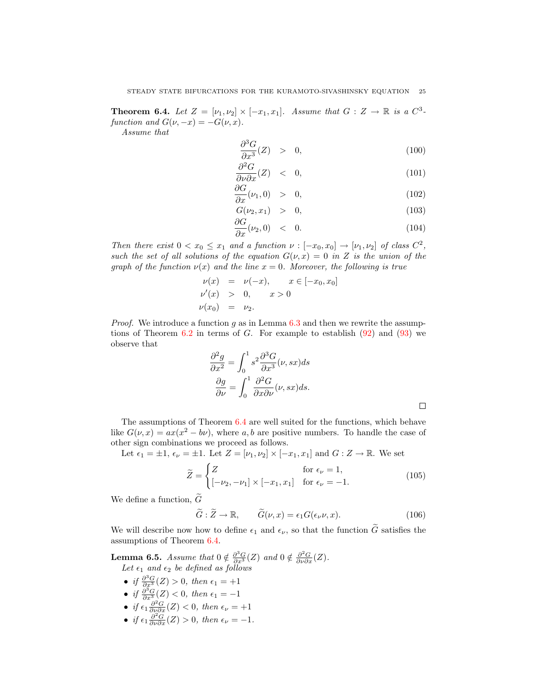**Theorem 6.4.** Let  $Z = [\nu_1, \nu_2] \times [-x_1, x_1]$ . Assume that  $G : Z \to \mathbb{R}$  is a  $C^3$ function and  $G(\nu, -x) = -G(\nu, x)$ .

Assume that

$$
\frac{\partial^3 G}{\partial x^3}(Z) > 0, \tag{100}
$$

$$
\frac{\partial^2 G}{\partial \nu \partial x}(Z) < 0,\tag{101}
$$

$$
\frac{\partial G}{\partial x}(\nu_1,0) > 0, \qquad (102)
$$

$$
G(\nu_2, x_1) > 0,
$$
\n
$$
\frac{\partial G}{\partial \nu_1} + \frac{\partial G}{\partial \nu_2} + \frac{\partial G}{\partial \nu_1} + \frac{\partial G}{\partial \nu_2} + \frac{\partial G}{\partial \nu_1} + \frac{\partial G}{\partial \nu_2} + \frac{\partial G}{\partial \nu_1} + \frac{\partial G}{\partial \nu_2} + \frac{\partial G}{\partial \nu_1} + \frac{\partial G}{\partial \nu_2} + \frac{\partial G}{\partial \nu_1} + \frac{\partial G}{\partial \nu_2} + \frac{\partial G}{\partial \nu_1} + \frac{\partial G}{\partial \nu_2} + \frac{\partial G}{\partial \nu_1} + \frac{\partial G}{\partial \nu_2} + \frac{\partial G}{\partial \nu_1} + \frac{\partial G}{\partial \nu_2} + \frac{\partial G}{\partial \nu_2} + \frac{\partial G}{\partial \nu_1} + \frac{\partial G}{\partial \nu_2} + \frac{\partial G}{\partial \nu_1} + \frac{\partial G}{\partial \nu_2} + \frac{\partial G}{\partial \nu_2} + \frac{\partial G}{\partial \nu_1} + \frac{\partial G}{\partial \nu_2} + \frac{\partial G}{\partial \nu_1} + \frac{\partial G}{\partial \nu_2} + \frac{\partial G}{\partial \nu_2} + \frac{\partial G}{\partial \nu_1} + \frac{\partial G}{\partial \nu_2} + \frac{\partial G}{\partial \nu_2} + \frac{\partial G}{\partial \nu_2} + \frac{\partial G}{\partial \nu_1} + \frac{\partial G}{\partial \nu_2} + \frac{\partial G}{\partial \nu_2} + \frac{\partial G}{\partial \nu_2} + \frac{\partial G}{\partial \nu_2} + \frac{\partial G}{\partial \nu_1} + \frac{\partial G}{\partial \nu_2} + \frac{\partial G}{\partial \nu_2} + \frac{\partial G}{\partial \nu_2} + \frac{\partial G}{\partial \nu_1} + \frac{\partial G}{\partial \nu_2} + \frac{\partial G}{\partial \nu_2} + \frac{\partial G}{\partial \nu_1} + \frac{\partial G}{\partial \nu_2} + \frac{\partial G}{\partial \nu_2} + \frac{\partial G}{\partial \nu_1} + \frac{\partial G}{\partial \nu_2} + \frac{\partial G}{\partial \nu_1} + \frac{\partial G}{\partial \nu_2} + \frac{\partial G}{\partial \
$$

$$
\frac{\partial G}{\partial x}(\nu_2,0) \quad < \quad 0. \tag{104}
$$

Then there exist  $0 < x_0 \leq x_1$  and a function  $\nu : [-x_0, x_0] \to [\nu_1, \nu_2]$  of class  $C^2$ , such the set of all solutions of the equation  $G(\nu, x) = 0$  in Z is the union of the graph of the function  $\nu(x)$  and the line  $x = 0$ . Moreover, the following is true

$$
\nu(x) = \nu(-x), \quad x \in [-x_0, x_0]
$$
  
\n
$$
\nu'(x) > 0, \quad x > 0
$$
  
\n
$$
\nu(x_0) = \nu_2.
$$

*Proof.* We introduce a function g as in Lemma  $6.3$  and then we rewrite the assumptions of Theorem  $6.2$  in terms of G. For example to establish  $(92)$  and  $(93)$  we observe that

$$
\frac{\partial^2 g}{\partial x^2} = \int_0^1 s^2 \frac{\partial^3 G}{\partial x^3}(\nu, sx) ds
$$

$$
\frac{\partial g}{\partial \nu} = \int_0^1 \frac{\partial^2 G}{\partial x \partial \nu}(\nu, sx) ds.
$$

The assumptions of Theorem [6.4](#page-23-4) are well suited for the functions, which behave like  $G(\nu, x) = ax(x^2 - b\nu)$ , where a, b are positive numbers. To handle the case of other sign combinations we proceed as follows.

Let  $\epsilon_1 = \pm 1$ ,  $\epsilon_\nu = \pm 1$ . Let  $Z = [\nu_1, \nu_2] \times [-x_1, x_1]$  and  $G : Z \to \mathbb{R}$ . We set

$$
\widetilde{Z} = \begin{cases}\nZ & \text{for } \epsilon_{\nu} = 1, \\
[-\nu_2, -\nu_1] \times [-x_1, x_1] & \text{for } \epsilon_{\nu} = -1.\n\end{cases}
$$
\n(105)

We define a function,  $\widetilde{G}$ 

$$
\widetilde{G} : \widetilde{Z} \to \mathbb{R}, \qquad \widetilde{G}(\nu, x) = \epsilon_1 G(\epsilon_\nu \nu, x). \tag{106}
$$

We will describe now how to define  $\epsilon_1$  and  $\epsilon_{\nu}$ , so that the function  $\tilde{G}$  satisfies the assumptions of Theorem [6.4.](#page-23-4)

**Lemma 6.5.** Assume that  $0 \notin \frac{\partial^3 G}{\partial x^3}(Z)$  and  $0 \notin \frac{\partial^2 G}{\partial \nu \partial x}(Z)$ . Let  $\epsilon_1$  and  $\epsilon_2$  be defined as follows

- if  $\frac{\partial^3 G}{\partial x^3}(Z) > 0$ , then  $\epsilon_1 = +1$
- if  $\frac{\partial^3 G}{\partial x^3}(Z) < 0$ , then  $\epsilon_1 = -1$
- if  $\epsilon_1 \frac{\partial^2 G}{\partial \nu \partial x}(Z) < 0$ , then  $\epsilon_\nu = +1$
- if  $\epsilon_1 \frac{\partial^2 G}{\partial \nu \partial x}(Z) > 0$ , then  $\epsilon_\nu = -1$ .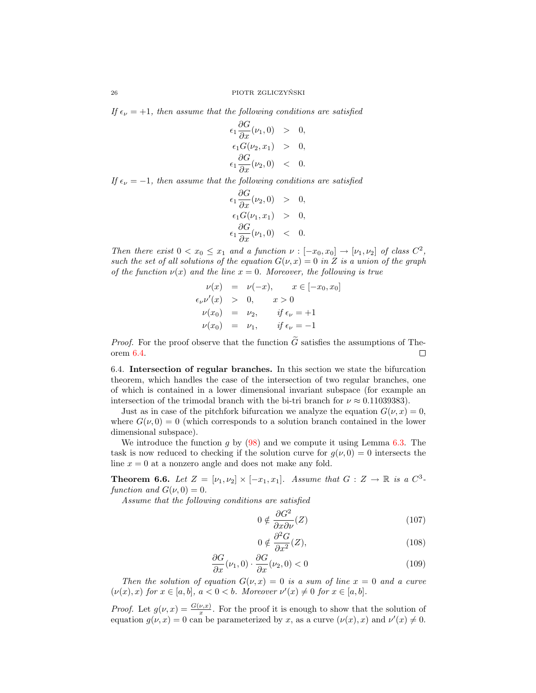If  $\epsilon_{\nu} = +1$ , then assume that the following conditions are satisfied

$$
\epsilon_1 \frac{\partial G}{\partial x}(\nu_1, 0) > 0, \n\epsilon_1 G(\nu_2, x_1) > 0, \n\epsilon_1 \frac{\partial G}{\partial x}(\nu_2, 0) < 0.
$$

If  $\epsilon_{\nu} = -1$ , then assume that the following conditions are satisfied

$$
\epsilon_1 \frac{\partial G}{\partial x}(\nu_2, 0) > 0, \n\epsilon_1 G(\nu_1, x_1) > 0, \n\epsilon_1 \frac{\partial G}{\partial x}(\nu_1, 0) < 0.
$$

Then there exist  $0 < x_0 \leq x_1$  and a function  $\nu : [-x_0, x_0] \to [\nu_1, \nu_2]$  of class  $C^2$ , such the set of all solutions of the equation  $G(\nu, x) = 0$  in Z is a union of the graph of the function  $\nu(x)$  and the line  $x = 0$ . Moreover, the following is true

$$
\nu(x) = \nu(-x), \quad x \in [-x_0, x_0]
$$
  
\n
$$
\epsilon_{\nu} \nu'(x) > 0, \quad x > 0
$$
  
\n
$$
\nu(x_0) = \nu_2, \quad if \epsilon_{\nu} = +1
$$
  
\n
$$
\nu(x_0) = \nu_1, \quad if \epsilon_{\nu} = -1
$$

*Proof.* For the proof observe that the function  $\tilde{G}$  satisfies the assumptions of Theorem 6.4. orem [6.4.](#page-23-4)

6.4. Intersection of regular branches. In this section we state the bifurcation theorem, which handles the case of the intersection of two regular branches, one of which is contained in a lower dimensional invariant subspace (for example an intersection of the trimodal branch with the bi-tri branch for  $\nu \approx 0.11039383$ .

Just as in case of the pitchfork bifurcation we analyze the equation  $G(\nu, x) = 0$ , where  $G(\nu, 0) = 0$  (which corresponds to a solution branch contained in the lower dimensional subspace).

We introduce the function g by  $(98)$  and we compute it using Lemma [6.3.](#page-23-2) The task is now reduced to checking if the solution curve for  $g(\nu, 0) = 0$  intersects the line  $x = 0$  at a nonzero angle and does not make any fold.

<span id="page-25-1"></span>**Theorem 6.6.** Let  $Z = [\nu_1, \nu_2] \times [-x_1, x_1]$ . Assume that  $G : Z \to \mathbb{R}$  is a  $C^3$ function and  $G(\nu, 0) = 0$ .

Assume that the following conditions are satisfied

$$
0 \notin \frac{\partial G^2}{\partial x \partial \nu}(Z) \tag{107}
$$

<span id="page-25-0"></span>
$$
0 \notin \frac{\partial^2 G}{\partial x^2}(Z),\tag{108}
$$

$$
\frac{\partial G}{\partial x}(\nu_1, 0) \cdot \frac{\partial G}{\partial x}(\nu_2, 0) < 0 \tag{109}
$$

Then the solution of equation  $G(\nu, x) = 0$  is a sum of line  $x = 0$  and a curve  $(\nu(x), x)$  for  $x \in [a, b], a < 0 < b$ . Moreover  $\nu'(x) \neq 0$  for  $x \in [a, b]$ .

*Proof.* Let  $g(\nu, x) = \frac{G(\nu, x)}{x}$ . For the proof it is enough to show that the solution of equation  $g(\nu, x) = 0$  can be parameterized by x, as a curve  $(\nu(x), x)$  and  $\nu'(x) \neq 0$ .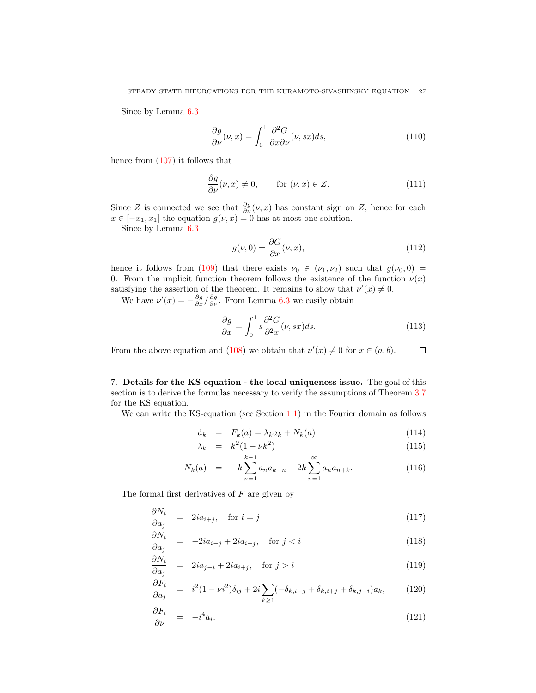Since by Lemma [6.3](#page-23-2)

$$
\frac{\partial g}{\partial \nu}(\nu, x) = \int_0^1 \frac{\partial^2 G}{\partial x \partial \nu}(\nu, sx) ds,
$$
\n(110)

hence from [\(107\)](#page-25-0) it follows that

$$
\frac{\partial g}{\partial \nu}(\nu, x) \neq 0, \qquad \text{for } (\nu, x) \in Z. \tag{111}
$$

Since Z is connected we see that  $\frac{\partial g}{\partial \nu}(\nu, x)$  has constant sign on Z, hence for each  $x \in [-x_1, x_1]$  the equation  $g(\nu, x) = 0$  has at most one solution.

Since by Lemma [6.3](#page-23-2)

$$
g(\nu,0) = \frac{\partial G}{\partial x}(\nu,x),\tag{112}
$$

hence it follows from [\(109\)](#page-25-0) that there exists  $\nu_0 \in (\nu_1, \nu_2)$  such that  $g(\nu_0, 0)$ 0. From the implicit function theorem follows the existence of the function  $\nu(x)$ satisfying the assertion of the theorem. It remains to show that  $\nu'(x) \neq 0$ .

We have  $\nu'(x) = -\frac{\partial g}{\partial x} / \frac{\partial g}{\partial \nu}$ . From Lemma [6.3](#page-23-2) we easily obtain

$$
\frac{\partial g}{\partial x} = \int_0^1 s \frac{\partial^2 G}{\partial^2 x}(\nu, sx) ds.
$$
 (113)

From the above equation and [\(108\)](#page-25-0) we obtain that  $\nu'(x) \neq 0$  for  $x \in (a, b)$ .  $\Box$ 

<span id="page-26-0"></span>7. Details for the KS equation - the local uniqueness issue. The goal of this section is to derive the formulas necessary to verify the assumptions of Theorem [3.7](#page-8-0) for the KS equation.

We can write the KS-equation (see Section [1.1\)](#page-3-2) in the Fourier domain as follows

$$
\dot{a}_k = F_k(a) = \lambda_k a_k + N_k(a) \tag{114}
$$

<span id="page-26-1"></span>
$$
\lambda_k = k^2 (1 - \nu k^2) \tag{115}
$$
\n
$$
\infty
$$

$$
N_k(a) = -k \sum_{n=1}^{k-1} a_n a_{k-n} + 2k \sum_{n=1}^{\infty} a_n a_{n+k}.
$$
 (116)

The formal first derivatives of  $F$  are given by

$$
\frac{\partial N_i}{\partial a_j} = 2ia_{i+j}, \quad \text{for } i = j \tag{117}
$$

$$
\frac{\partial N_i}{\partial a_j} = -2ia_{i-j} + 2ia_{i+j}, \quad \text{for } j < i \tag{118}
$$

$$
\frac{\partial N_i}{\partial a_j} = 2ia_{j-i} + 2ia_{i+j}, \quad \text{for } j > i
$$
\n(119)

$$
\frac{\partial F_i}{\partial a_j} = i^2 (1 - \nu i^2) \delta_{ij} + 2i \sum_{k \ge 1} (-\delta_{k,i-j} + \delta_{k,i+j} + \delta_{k,j-i}) a_k, \tag{120}
$$

$$
\frac{\partial F_i}{\partial \nu} = -i^4 a_i. \tag{121}
$$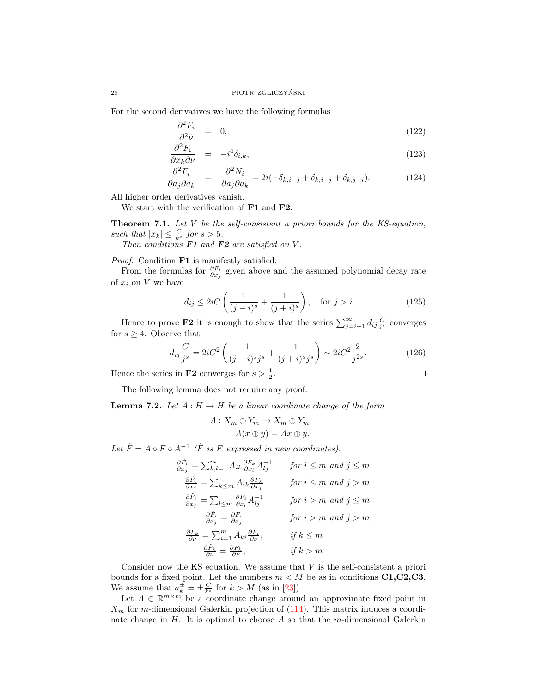For the second derivatives we have the following formulas

$$
\frac{\partial^2 F_i}{\partial^2 \nu} = 0, \tag{122}
$$

$$
\frac{\partial^2 F_i}{\partial x_k \partial \nu} = -i^4 \delta_{i,k},\tag{123}
$$

$$
\frac{\partial^2 F_i}{\partial a_j \partial a_k} = \frac{\partial^2 N_i}{\partial a_j \partial a_k} = 2i(-\delta_{k,i-j} + \delta_{k,i+j} + \delta_{k,j-i}).
$$
\n(124)

All higher order derivatives vanish.

We start with the verification of F1 and F2.

Theorem 7.1. Let V be the self-consistent a priori bounds for the KS-equation, such that  $|x_k| \leq \frac{C}{k^s}$  for  $s > 5$ .

Then conditions  $F1$  and  $F2$  are satisfied on V.

Proof. Condition **F1** is manifestly satisfied.

From the formulas for  $\frac{\partial F_i}{\partial x_j}$  given above and the assumed polynomial decay rate of  $x_i$  on  $V$  we have

$$
d_{ij} \le 2iC\left(\frac{1}{(j-i)^s} + \frac{1}{(j+i)^s}\right), \quad \text{for } j > i
$$
\n
$$
(125)
$$

Hence to prove **F2** it is enough to show that the series  $\sum_{j=i+1}^{\infty} d_{ij} \frac{C}{j^s}$  converges for  $s \geq 4$ . Observe that

$$
d_{ij}\frac{C}{j^s} = 2iC^2 \left(\frac{1}{(j-i)^s j^s} + \frac{1}{(j+i)^s j^s}\right) \sim 2iC^2 \frac{2}{j^{2s}}.\tag{126}
$$

 $\Box$ 

Hence the series in **F2** converges for  $s > \frac{1}{2}$ .

The following lemma does not require any proof.

<span id="page-27-0"></span>**Lemma 7.2.** Let  $A: H \to H$  be a linear coordinate change of the form

$$
A: X_m \oplus Y_m \to X_m \oplus Y_m
$$
  

$$
A(x \oplus y) = Ax \oplus y.
$$

Let  $\tilde{F} = A \circ F \circ A^{-1}$  ( $\tilde{F}$  is F expressed in new coordinates).

$$
\frac{\partial \tilde{F}_i}{\partial x_j} = \sum_{k,l=1}^m A_{ik} \frac{\partial F_k}{\partial x_l} A_{lj}^{-1} \quad \text{for } i \le m \text{ and } j \le m
$$
  

$$
\frac{\partial \tilde{F}_i}{\partial x_j} = \sum_{k \le m} A_{ik} \frac{\partial F_k}{\partial x_j} \quad \text{for } i \le m \text{ and } j > m
$$
  

$$
\frac{\partial \tilde{F}_i}{\partial x_j} = \sum_{l \le m} \frac{\partial F_i}{\partial x_l} A_{lj}^{-1} \quad \text{for } i > m \text{ and } j \le m
$$
  

$$
\frac{\partial \tilde{F}_i}{\partial x_j} = \frac{\partial F_i}{\partial x_j} \quad \text{for } i > m \text{ and } j > m
$$
  

$$
\frac{\partial \tilde{F}_k}{\partial \nu} = \sum_{i=1}^m A_{ki} \frac{\partial F_i}{\partial \nu}, \quad \text{if } k \le m
$$
  

$$
\frac{\partial \tilde{F}_k}{\partial \nu} = \frac{\partial F_k}{\partial \nu}, \quad \text{if } k > m.
$$

Consider now the KS equation. We assume that  $V$  is the self-consistent a priori bounds for a fixed point. Let the numbers  $m < M$  be as in conditions C1,C2,C3. We assume that  $a_k^{\pm} = \pm \frac{C}{k^s}$  for  $k > M$  (as in [\[23\]](#page-46-0)).

Let  $A \in \mathbb{R}^{m \times m}$  be a coordinate change around an approximate fixed point in  $X_m$  for m-dimensional Galerkin projection of  $(114)$ . This matrix induces a coordinate change in  $H$ . It is optimal to choose  $A$  so that the m-dimensional Galerkin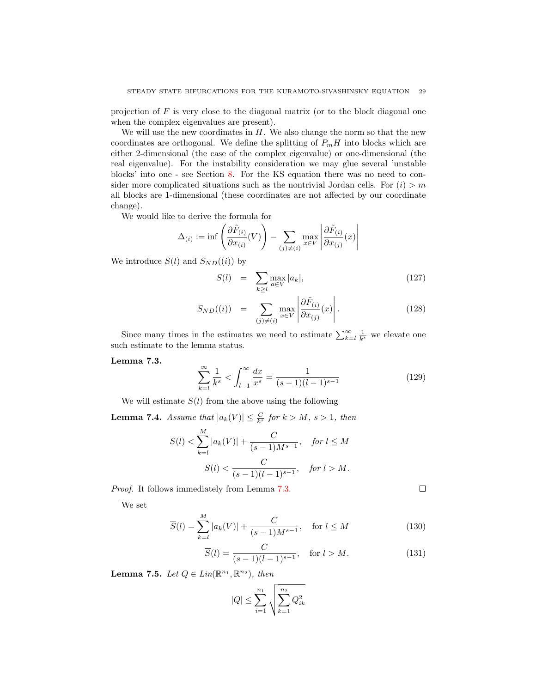projection of  $F$  is very close to the diagonal matrix (or to the block diagonal one when the complex eigenvalues are present).

We will use the new coordinates in  $H$ . We also change the norm so that the new coordinates are orthogonal. We define the splitting of  $P_mH$  into blocks which are either 2-dimensional (the case of the complex eigenvalue) or one-dimensional (the real eigenvalue). For the instability consideration we may glue several 'unstable blocks' into one - see Section [8.](#page-33-0) For the KS equation there was no need to consider more complicated situations such as the nontrivial Jordan cells. For  $(i) > m$ all blocks are 1-dimensional (these coordinates are not affected by our coordinate change).

We would like to derive the formula for

$$
\Delta_{(i)} := \inf \left( \frac{\partial \tilde{F}_{(i)}}{\partial x_{(i)}}(V) \right) - \sum_{(j) \neq (i)} \max_{x \in V} \left| \frac{\partial \tilde{F}_{(i)}}{\partial x_{(j)}}(x) \right|
$$

We introduce  $S(l)$  and  $S_{ND}((i))$  by

$$
S(l) = \sum_{k \ge l} \max_{a \in V} |a_k|, \qquad (127)
$$

$$
S_{ND}((i)) = \sum_{(j)\neq(i)} \max_{x \in V} \left| \frac{\partial \tilde{F}_{(i)}}{\partial x_{(j)}}(x) \right|.
$$
 (128)

Since many times in the estimates we need to estimate  $\sum_{k=1}^{\infty} \frac{1}{k^s}$  we elevate one such estimate to the lemma status.

<span id="page-28-0"></span>Lemma 7.3.

$$
\sum_{k=l}^{\infty} \frac{1}{k^s} < \int_{l-1}^{\infty} \frac{dx}{x^s} = \frac{1}{(s-1)(l-1)^{s-1}} \tag{129}
$$

We will estimate  $S(l)$  from the above using the following

**Lemma 7.4.** Assume that  $|a_k(V)| \leq \frac{C}{k^s}$  for  $k > M$ ,  $s > 1$ , then

$$
S(l) < \sum_{k=l}^{M} |a_k(V)| + \frac{C}{(s-1)M^{s-1}}, \quad \text{for } l \le M
$$
\n
$$
S(l) < \frac{C}{(s-1)(l-1)^{s-1}}, \quad \text{for } l > M.
$$

Proof. It follows immediately from Lemma [7.3.](#page-28-0)

We set

$$
\overline{S}(l) = \sum_{k=l}^{M} |a_k(V)| + \frac{C}{(s-1)M^{s-1}}, \quad \text{for } l \le M
$$
\n(130)

$$
\overline{S}(l) = \frac{C}{(s-1)(l-1)^{s-1}}, \quad \text{for } l > M.
$$
 (131)

 $\Box$ 

<span id="page-28-2"></span><span id="page-28-1"></span>**Lemma 7.5.** Let  $Q \in Lin(\mathbb{R}^{n_1}, \mathbb{R}^{n_2})$ , then

$$
|Q| \le \sum_{i=1}^{n_1} \sqrt{\sum_{k=1}^{n_2} Q_{ik}^2}
$$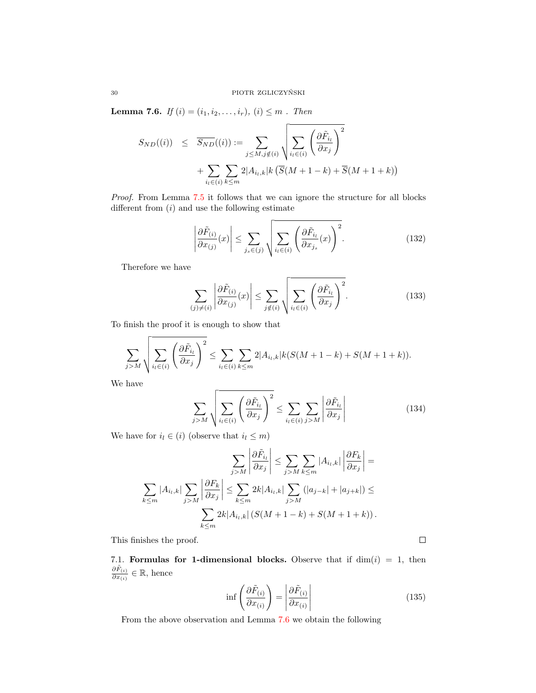**Lemma 7.6.** *If*  $(i) = (i_1, i_2, \ldots, i_r), (i) \leq m$ . *Then* 

$$
S_{ND}((i)) \leq \overline{S_{ND}}((i)) := \sum_{j \leq M, j \notin (i)} \sqrt{\sum_{i_l \in (i)} \left(\frac{\partial \tilde{F}_{i_l}}{\partial x_j}\right)^2}
$$

$$
+ \sum_{i_l \in (i)} \sum_{k \leq m} 2|A_{i_l,k}|k\left(\overline{S}(M+1-k) + \overline{S}(M+1+k)\right)
$$

Proof. From Lemma [7.5](#page-28-1) it follows that we can ignore the structure for all blocks different from  $\left( i\right)$  and use the following estimate

$$
\left| \frac{\partial \tilde{F}_{(i)}}{\partial x_{(j)}}(x) \right| \le \sum_{j_s \in (j)} \sqrt{\sum_{i_l \in (i)} \left( \frac{\partial \tilde{F}_{i_l}}{\partial x_{j_s}}(x) \right)^2}.
$$
\n(132)

Therefore we have

$$
\sum_{(j)\neq(i)} \left| \frac{\partial \tilde{F}_{(i)}}{\partial x_{(j)}}(x) \right| \leq \sum_{j\notin(i)} \sqrt{\sum_{i_l \in (i)} \left( \frac{\partial \tilde{F}_{i_l}}{\partial x_j} \right)^2}.
$$
\n(133)

To finish the proof it is enough to show that

$$
\sum_{j>M} \sqrt{\sum_{i_l \in (i)} \left(\frac{\partial \tilde{F}_{i_l}}{\partial x_j}\right)^2} \le \sum_{i_l \in (i)} \sum_{k \le m} 2|A_{i_l,k}| k(S(M+1-k)+S(M+1+k)).
$$

We have

$$
\sum_{j>M} \sqrt{\sum_{i_l \in (i)} \left(\frac{\partial \tilde{F}_{i_l}}{\partial x_j}\right)^2} \le \sum_{i_l \in (i)} \sum_{j>M} \left|\frac{\partial \tilde{F}_{i_l}}{\partial x_j}\right| \tag{134}
$$

We have for  $i_l \in (i)$  (observe that  $i_l \leq m)$ 

$$
\sum_{j>M} \left| \frac{\partial \tilde{F}_{i_l}}{\partial x_j} \right| \leq \sum_{j>M} \sum_{k \leq m} |A_{i_l,k}| \left| \frac{\partial F_k}{\partial x_j} \right| =
$$
  

$$
\sum_{k \leq m} |A_{i_l,k}| \sum_{j>M} \left| \frac{\partial F_k}{\partial x_j} \right| \leq \sum_{k \leq m} 2k |A_{i_l,k}| \sum_{j>M} (|a_{j-k}| + |a_{j+k}|) \leq
$$
  

$$
\sum_{k \leq m} 2k |A_{i_l,k}| (S(M+1-k) + S(M+1+k)).
$$

This finishes the proof.

7.1. Formulas for 1-dimensional blocks. Observe that if  $\dim(i) = 1$ , then  $\frac{\partial \tilde{F}_{(i)}}{\partial x_{(i)}} \in \mathbb{R}$ , hence

$$
\inf \left( \frac{\partial \tilde{F}_{(i)}}{\partial x_{(i)}} \right) = \left| \frac{\partial \tilde{F}_{(i)}}{\partial x_{(i)}} \right| \tag{135}
$$

<span id="page-29-0"></span>From the above observation and Lemma [7.6](#page-28-2) we obtain the following

 $\Box$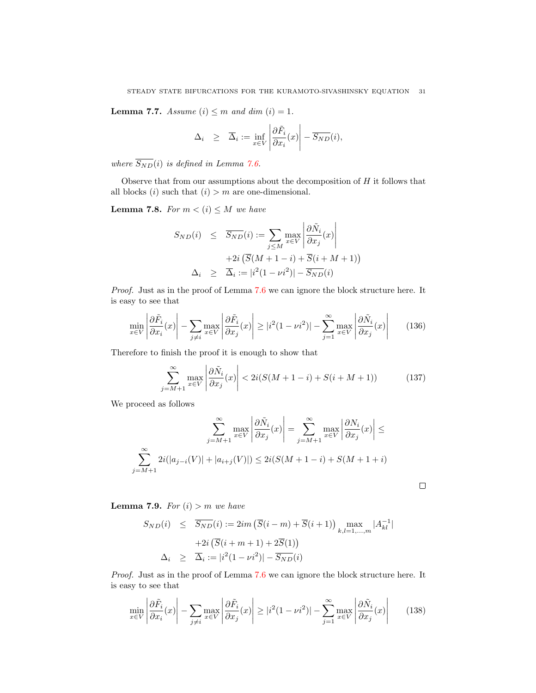**Lemma 7.7.** Assume  $(i) \leq m$  and dim  $(i) = 1$ .

$$
\Delta_i \geq \overline{\Delta}_i := \inf_{x \in V} \left| \frac{\partial \tilde{F}_i}{\partial x_i}(x) \right| - \overline{S_{ND}}(i),
$$

where  $\overline{S_{ND}}(i)$  is defined in Lemma [7.6.](#page-28-2)

Observe that from our assumptions about the decomposition of  $H$  it follows that all blocks  $(i)$  such that  $(i) > m$  are one-dimensional.

<span id="page-30-1"></span>**Lemma 7.8.** For  $m < (i) \leq M$  we have

$$
S_{ND}(i) \leq \overline{S_{ND}}(i) := \sum_{j \leq M} \max_{x \in V} \left| \frac{\partial \tilde{N}_i}{\partial x_j}(x) \right|
$$

$$
+ 2i \left( \overline{S}(M+1-i) + \overline{S}(i+M+1) \right)
$$

$$
\Delta_i \geq \overline{\Delta}_i := |i^2(1 - \nu i^2)| - \overline{S_{ND}}(i)
$$

Proof. Just as in the proof of Lemma [7.6](#page-28-2) we can ignore the block structure here. It is easy to see that

$$
\min_{x \in V} \left| \frac{\partial \tilde{F}_i}{\partial x_i}(x) \right| - \sum_{j \neq i} \max_{x \in V} \left| \frac{\partial \tilde{F}_i}{\partial x_j}(x) \right| \geq |i^2 (1 - \nu i^2)| - \sum_{j=1}^{\infty} \max_{x \in V} \left| \frac{\partial \tilde{N}_i}{\partial x_j}(x) \right| \tag{136}
$$

Therefore to finish the proof it is enough to show that

$$
\sum_{j=M+1}^{\infty} \max_{x \in V} \left| \frac{\partial \tilde{N}_i}{\partial x_j}(x) \right| < 2i(S(M+1-i) + S(i+M+1)) \tag{137}
$$

 $\Box$ 

We proceed as follows

$$
\sum_{j=M+1}^{\infty} \max_{x \in V} \left| \frac{\partial \tilde{N}_i}{\partial x_j}(x) \right| = \sum_{j=M+1}^{\infty} \max_{x \in V} \left| \frac{\partial N_i}{\partial x_j}(x) \right| \le
$$

$$
\sum_{j=M+1}^{\infty} 2i(|a_{j-i}(V)| + |a_{i+j}(V)|) \le 2i(S(M+1-i) + S(M+1+i)
$$

<span id="page-30-0"></span>**Lemma 7.9.** For  $(i) > m$  we have

$$
S_{ND}(i) \leq \overline{S_{ND}}(i) := 2im \left( \overline{S}(i-m) + \overline{S}(i+1) \right) \max_{k,l=1,\dots,m} |A_{kl}^{-1}|
$$
  
+2i \left( \overline{S}(i+m+1) + 2\overline{S}(1) \right)  

$$
\Delta_i \geq \overline{\Delta}_i := |i^2(1 - \nu i^2)| - \overline{S_{ND}}(i)
$$

Proof. Just as in the proof of Lemma [7.6](#page-28-2) we can ignore the block structure here. It is easy to see that

$$
\min_{x \in V} \left| \frac{\partial \tilde{F}_i}{\partial x_i}(x) \right| - \sum_{j \neq i} \max_{x \in V} \left| \frac{\partial \tilde{F}_i}{\partial x_j}(x) \right| \geq |i^2 (1 - \nu i^2)| - \sum_{j=1}^{\infty} \max_{x \in V} \left| \frac{\partial \tilde{N}_i}{\partial x_j}(x) \right| \tag{138}
$$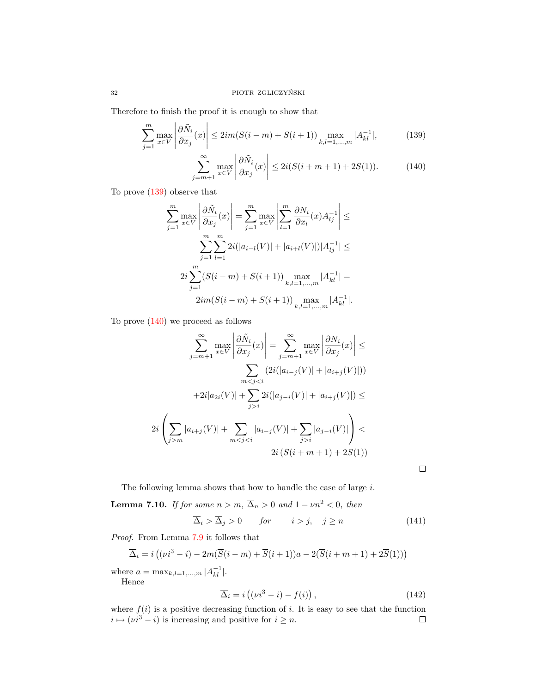Therefore to finish the proof it is enough to show that

<span id="page-31-0"></span>
$$
\sum_{j=1}^{m} \max_{x \in V} \left| \frac{\partial \tilde{N}_i}{\partial x_j}(x) \right| \le 2im(S(i-m) + S(i+1)) \max_{k,l=1,\dots,m} |A_{kl}^{-1}|,\tag{139}
$$

$$
\sum_{j=m+1}^{\infty} \max_{x \in V} \left| \frac{\partial \tilde{N}_i}{\partial x_j}(x) \right| \le 2i(S(i+m+1) + 2S(1)).\tag{140}
$$

To prove [\(139\)](#page-31-0) observe that

$$
\sum_{j=1}^{m} \max_{x \in V} \left| \frac{\partial \tilde{N}_i}{\partial x_j}(x) \right| = \sum_{j=1}^{m} \max_{x \in V} \left| \sum_{l=1}^{m} \frac{\partial N_i}{\partial x_l}(x) A_{lj}^{-1} \right| \le
$$
  

$$
\sum_{j=1}^{m} \sum_{l=1}^{m} 2i(|a_{i-l}(V)| + |a_{i+l}(V)|)|A_{lj}^{-1}| \le
$$
  

$$
2i \sum_{j=1}^{m} (S(i-m) + S(i+1)) \max_{k,l=1,...,m} |A_{kl}^{-1}| =
$$
  

$$
2im(S(i-m) + S(i+1)) \max_{k,l=1,...,m} |A_{kl}^{-1}|.
$$

To prove  $(140)$  we proceed as follows

$$
\sum_{j=m+1}^{\infty} \max_{x \in V} \left| \frac{\partial \tilde{N}_i}{\partial x_j}(x) \right| = \sum_{j=m+1}^{\infty} \max_{x \in V} \left| \frac{\partial N_i}{\partial x_j}(x) \right| \le
$$

$$
\sum_{m < j < i} (2i(|a_{i-j}(V)| + |a_{i+j}(V)|))
$$

$$
+ 2i|a_{2i}(V)| + \sum_{j > i} 2i(|a_{j-i}(V)| + |a_{i+j}(V)|) \le
$$

$$
2i\left(\sum_{j > m} |a_{i+j}(V)| + \sum_{m < j < i} |a_{i-j}(V)| + \sum_{j > i} |a_{j-i}(V)|\right) <
$$

$$
2i\left(S(i+m+1) + 2S(1)\right)
$$

The following lemma shows that how to handle the case of large  $i$ .

<span id="page-31-1"></span>**Lemma 7.10.** If for some  $n > m$ ,  $\overline{\Delta}_n > 0$  and  $1 - \nu n^2 < 0$ , then

$$
\overline{\Delta}_i > \overline{\Delta}_j > 0 \qquad \text{for} \qquad i > j, \quad j \ge n \tag{141}
$$

Proof. From Lemma [7.9](#page-30-0) it follows that

$$
\overline{\Delta}_i = i\left((\nu i^3 - i) - 2m(\overline{S}(i-m) + \overline{S}(i+1))a - 2(\overline{S}(i+m+1) + 2\overline{S}(1))\right)
$$

where  $a = \max_{k,l=1,...,m} |A_{kl}^{-1}|$ . Hence

$$
\overline{\Delta}_{i} = i\left((\nu i^{3} - i) - f(i)\right),\tag{142}
$$

 $\Box$ 

where  $f(i)$  is a positive decreasing function of i. It is easy to see that the function  $i \mapsto (\nu i^3 - i)$  is increasing and positive for  $i \geq n$ .  $\Box$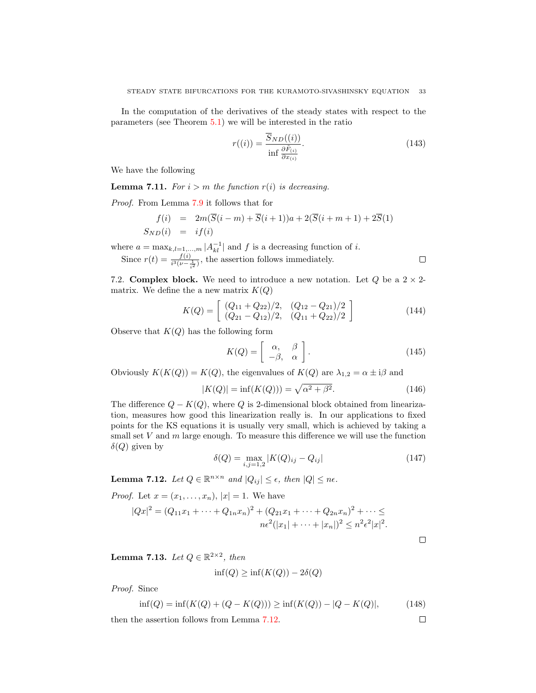In the computation of the derivatives of the steady states with respect to the parameters (see Theorem [5.1\)](#page-12-2) we will be interested in the ratio

$$
r((i)) = \frac{\overline{S}_{ND}((i))}{\inf \frac{\partial \tilde{F}_{(i)}}{\partial x_{(i)}}}.
$$
\n(143)

We have the following

**Lemma 7.11.** For  $i > m$  the function  $r(i)$  is decreasing.

Proof. From Lemma [7.9](#page-30-0) it follows that for

$$
f(i) = 2m(\overline{S}(i-m) + \overline{S}(i+1))a + 2(\overline{S}(i+m+1) + 2\overline{S}(1))
$$
  
\n
$$
S_{ND}(i) = i f(i)
$$

where  $a = \max_{k,l=1,\dots,m} |A_{kl}^{-1}|$  and f is a decreasing function of i. Since  $r(t) = \frac{f(i)}{i^3(\nu - \frac{1}{i^2})}$ , the assertion follows immediately.

7.2. **Complex block.** We need to introduce a new notation. Let Q be a  $2 \times 2$ matrix. We define the a new matrix  $K(Q)$ 

$$
K(Q) = \left[ \begin{array}{cc} (Q_{11} + Q_{22})/2, & (Q_{12} - Q_{21})/2 \\ (Q_{21} - Q_{12})/2, & (Q_{11} + Q_{22})/2 \end{array} \right]
$$
(144)

Observe that  $K(Q)$  has the following form

$$
K(Q) = \left[ \begin{array}{cc} \alpha, & \beta \\ -\beta, & \alpha \end{array} \right].\tag{145}
$$

Obviously  $K(K(Q)) = K(Q)$ , the eigenvalues of  $K(Q)$  are  $\lambda_{1,2} = \alpha \pm i\beta$  and

$$
|K(Q)| = \inf(K(Q))) = \sqrt{\alpha^2 + \beta^2}.
$$
 (146)

The difference  $Q - K(Q)$ , where Q is 2-dimensional block obtained from linearization, measures how good this linearization really is. In our applications to fixed points for the KS equations it is usually very small, which is achieved by taking a small set  $V$  and  $m$  large enough. To measure this difference we will use the function  $\delta(Q)$  given by

$$
\delta(Q) = \max_{i,j=1,2} |K(Q)_{ij} - Q_{ij}| \tag{147}
$$

<span id="page-32-0"></span>**Lemma 7.12.** Let  $Q \in \mathbb{R}^{n \times n}$  and  $|Q_{ij}| \leq \epsilon$ , then  $|Q| \leq n\epsilon$ .

*Proof.* Let  $x = (x_1, ..., x_n), |x| = 1$ . We have

$$
|Qx|^2 = (Q_{11}x_1 + \dots + Q_{1n}x_n)^2 + (Q_{21}x_1 + \dots + Q_{2n}x_n)^2 + \dots \le
$$
  

$$
n\epsilon^2(|x_1| + \dots + |x_n|)^2 \le n^2\epsilon^2|x|^2.
$$

 $\Box$ 

 $\Box$ 

 $\Box$ 

<span id="page-32-1"></span>**Lemma 7.13.** Let  $Q \in \mathbb{R}^{2 \times 2}$ , then

$$
\inf(Q) \ge \inf(K(Q)) - 2\delta(Q)
$$

Proof. Since

$$
\inf(Q) = \inf(K(Q) + (Q - K(Q))) \ge \inf(K(Q)) - |Q - K(Q)|,\tag{148}
$$

then the assertion follows from Lemma [7.12.](#page-32-0)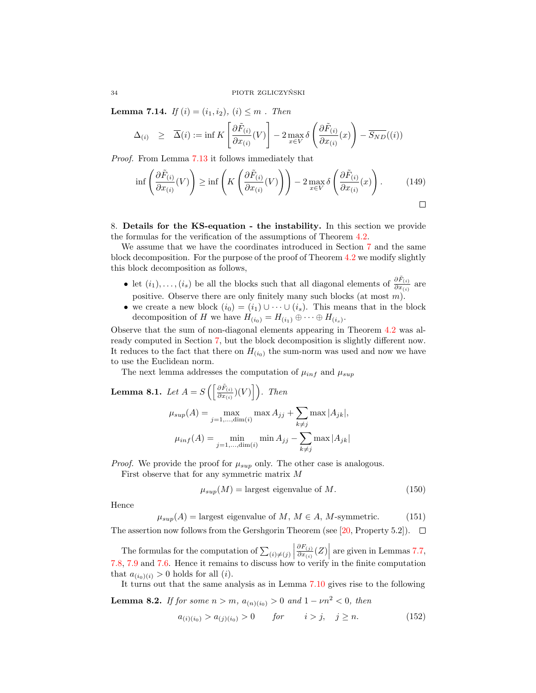**Lemma 7.14.** If  $(i) = (i_1, i_2), (i) \leq m$ . Then

$$
\Delta_{(i)} \geq \overline{\Delta}(i) := \inf K \left[ \frac{\partial \tilde{F}_{(i)}}{\partial x_{(i)}}(V) \right] - 2 \max_{x \in V} \delta \left( \frac{\partial \tilde{F}_{(i)}}{\partial x_{(i)}}(x) \right) - \overline{S_{ND}}((i))
$$

Proof. From Lemma [7.13](#page-32-1) it follows immediately that

$$
\inf \left( \frac{\partial \tilde{F}_{(i)}}{\partial x_{(i)}}(V) \right) \ge \inf \left( K \left( \frac{\partial \tilde{F}_{(i)}}{\partial x_{(i)}}(V) \right) \right) - 2 \max_{x \in V} \delta \left( \frac{\partial \tilde{F}_{(i)}}{\partial x_{(i)}}(x) \right). \tag{149}
$$

<span id="page-33-0"></span>8. Details for the KS-equation - the instability. In this section we provide the formulas for the verification of the assumptions of Theorem [4.2.](#page-9-0)

We assume that we have the coordinates introduced in Section [7](#page-26-0) and the same block decomposition. For the purpose of the proof of Theorem [4.2](#page-9-0) we modify slightly this block decomposition as follows,

- let  $(i_1), \ldots, (i_s)$  be all the blocks such that all diagonal elements of  $\frac{\partial \tilde{F}_{(i)}}{\partial x_{(i)}}$  are positive. Observe there are only finitely many such blocks (at most  $m$ ).
- we create a new block  $(i_0) = (i_1) \cup \cdots \cup (i_s)$ . This means that in the block decomposition of H we have  $H_{(i_0)} = H_{(i_1)} \oplus \cdots \oplus H_{(i_s)}$ .

Observe that the sum of non-diagonal elements appearing in Theorem [4.2](#page-9-0) was already computed in Section [7,](#page-26-0) but the block decomposition is slightly different now. It reduces to the fact that there on  $H_{(i_0)}$  the sum-norm was used and now we have to use the Euclidean norm.

The next lemma addresses the computation of  $\mu_{inf}$  and  $\mu_{sup}$ 

**Lemma 8.1.** Let 
$$
A = S\left(\left[\frac{\partial \tilde{F}_{(i)}}{\partial x_{(i)}}\right)(V)\right]
$$
. Then  
\n
$$
\mu_{sup}(A) = \max_{j=1,\dots,\dim(i)} \max A_{jj} + \sum_{k \neq j} \max |A_{jk}|,
$$
\n
$$
\mu_{inf}(A) = \min_{j=1,\dots,\dim(i)} \min A_{jj} - \sum_{k \neq j} \max |A_{jk}|
$$

*Proof.* We provide the proof for  $\mu_{sup}$  only. The other case is analogous.

First observe that for any symmetric matrix M

$$
\mu_{sup}(M) = \text{largest eigenvalue of } M. \tag{150}
$$

Hence

$$
\mu_{sup}(A) = \text{largest eigenvalue of } M, M \in A, M\text{-symmetric.} \tag{151}
$$

The assertion now follows from the Gershgorin Theorem (see [\[20,](#page-46-15) Property 5.2]).  $\Box$ 

The formulas for the computation of  $\sum_{(i)\neq(j)}$  $\partial F_{(j)}$ The formulas for the computation of  $\sum_{(i)\neq(j)} \left|\frac{\partial F_{(j)}}{\partial x_{(i)}}(Z)\right|$  are given in Lemmas [7.7,](#page-29-0) [7.8,](#page-30-1) [7.9](#page-30-0) and [7.6.](#page-28-2) Hence it remains to discuss how to verify in the finite computation that  $a_{(i_0)(i)} > 0$  holds for all  $(i)$ .

It turns out that the same analysis as in Lemma [7.10](#page-31-1) gives rise to the following

**Lemma 8.2.** If for some  $n > m$ ,  $a_{(n)(i_0)} > 0$  and  $1 - \nu n^2 < 0$ , then

$$
a_{(i)(i_0)} > a_{(j)(i_0)} > 0 \tfor \t i > j, \t j \ge n. \t(152)
$$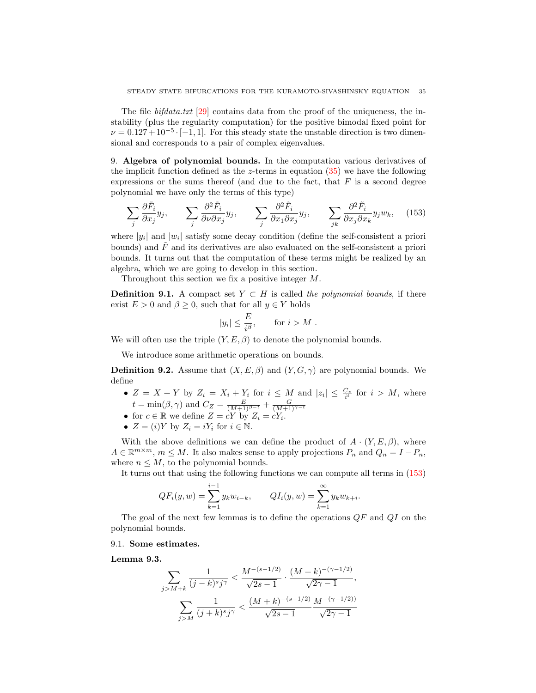The file *bifdata.txt* [\[29\]](#page-46-11) contains data from the proof of the uniqueness, the instability (plus the regularity computation) for the positive bimodal fixed point for  $\nu = 0.127 + 10^{-5} \cdot [-1, 1]$ . For this steady state the unstable direction is two dimensional and corresponds to a pair of complex eigenvalues.

<span id="page-34-2"></span>9. Algebra of polynomial bounds. In the computation various derivatives of the implicit function defined as the z-terms in equation  $(35)$  we have the following expressions or the sums thereof (and due to the fact, that  $F$  is a second degree polynomial we have only the terms of this type)

<span id="page-34-0"></span>
$$
\sum_{j} \frac{\partial \tilde{F}_i}{\partial x_j} y_j, \qquad \sum_{j} \frac{\partial^2 \tilde{F}_i}{\partial \nu \partial x_j} y_j, \qquad \sum_{j} \frac{\partial^2 \tilde{F}_i}{\partial x_1 \partial x_j} y_j, \qquad \sum_{j,k} \frac{\partial^2 \tilde{F}_i}{\partial x_j \partial x_k} y_j w_k, \quad (153)
$$

where  $|y_i|$  and  $|w_i|$  satisfy some decay condition (define the self-consistent a priori bounds) and  $\tilde{F}$  and its derivatives are also evaluated on the self-consistent a priori bounds. It turns out that the computation of these terms might be realized by an algebra, which we are going to develop in this section.

Throughout this section we fix a positive integer M.

**Definition 9.1.** A compact set  $Y \subset H$  is called the polynomial bounds, if there exist  $E > 0$  and  $\beta > 0$ , such that for all  $y \in Y$  holds

$$
|y_i| \le \frac{E}{i^{\beta}}, \quad \text{for } i > M.
$$

We will often use the triple  $(Y, E, \beta)$  to denote the polynomial bounds.

We introduce some arithmetic operations on bounds.

**Definition 9.2.** Assume that  $(X, E, \beta)$  and  $(Y, G, \gamma)$  are polynomial bounds. We define

- $Z = X + Y$  by  $Z_i = X_i + Y_i$  for  $i \leq M$  and  $|z_i| \leq \frac{C_z}{i^t}$  for  $i > M$ , where
- $t = \min(\beta, \gamma)$  and  $C_Z = \frac{E}{(M+1)^{\beta-t}} + \frac{G}{(M+1)^{\gamma-t}}$ <br>• for  $c \in \mathbb{R}$  we define  $Z = cY$  by  $Z_i = cY_i$ .
- $Z = (i)Y$  by  $Z_i = iY_i$  for  $i \in \mathbb{N}$ .

With the above definitions we can define the product of  $A \cdot (Y, E, \beta)$ , where  $A \in \mathbb{R}^{m \times m}$ ,  $m \leq M$ . It also makes sense to apply projections  $P_n$  and  $Q_n = I - P_n$ , where  $n \leq M$ , to the polynomial bounds.

It turns out that using the following functions we can compute all terms in [\(153\)](#page-34-0)

$$
QF_i(y, w) = \sum_{k=1}^{i-1} y_k w_{i-k}, \qquad QI_i(y, w) = \sum_{k=1}^{\infty} y_k w_{k+i}.
$$

The goal of the next few lemmas is to define the operations  $QF$  and  $QI$  on the polynomial bounds.

### <span id="page-34-1"></span>9.1. Some estimates.

Lemma 9.3.

$$
\sum_{j>M+k} \frac{1}{(j-k)sj^{\gamma}} < \frac{M^{-(s-1/2)}}{\sqrt{2s-1}} \cdot \frac{(M+k)^{-(\gamma-1/2)}}{\sqrt{2\gamma-1}},
$$

$$
\sum_{j>M} \frac{1}{(j+k)sj^{\gamma}} < \frac{(M+k)^{-(s-1/2)}}{\sqrt{2s-1}} \frac{M^{-(\gamma-1/2)}}{\sqrt{2\gamma-1}}
$$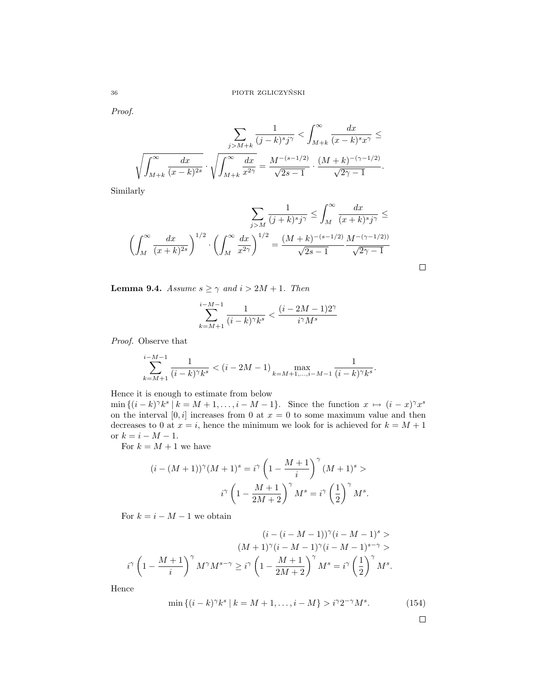Proof.

$$
\sum_{j>M+k} \frac{1}{(j-k)^s j^{\gamma}} < \int_{M+k}^{\infty} \frac{dx}{(x-k)^s x^{\gamma}} \le
$$

$$
\sqrt{\int_{M+k}^{\infty} \frac{dx}{(x-k)^{2s}}} \cdot \sqrt{\int_{M+k}^{\infty} \frac{dx}{x^{2\gamma}}} = \frac{M^{-(s-1/2)}}{\sqrt{2s-1}} \cdot \frac{(M+k)^{-(\gamma-1/2)}}{\sqrt{2\gamma-1}}.
$$

Similarly

$$
\sum_{j>M} \frac{1}{(j+k)^s j^{\gamma}} \le \int_M^{\infty} \frac{dx}{(x+k)^s j^{\gamma}} \le
$$

$$
\left(\int_M^{\infty} \frac{dx}{(x+k)^{2s}}\right)^{1/2} \cdot \left(\int_M^{\infty} \frac{dx}{x^{2\gamma}}\right)^{1/2} = \frac{(M+k)^{-(s-1/2)}}{\sqrt{2s-1}} \frac{M^{-(\gamma-1/2))}}{\sqrt{2\gamma-1}}
$$

 $\Box$ 

<span id="page-35-0"></span>**Lemma 9.4.** Assume  $s \geq \gamma$  and  $i > 2M + 1$ . Then

$$
\sum_{k=M+1}^{i-M-1} \frac{1}{(i-k)^\gamma k^s} < \frac{(i-2M-1)2^\gamma}{i^\gamma M^s}
$$

Proof. Observe that

$$
\sum_{k=M+1}^{i-M-1} \frac{1}{(i-k)^\gamma k^s} < (i-2M-1) \max_{k=M+1,\dots,i-M-1} \frac{1}{(i-k)^\gamma k^s}.
$$

Hence it is enough to estimate from below

 $\min\{(i-k)^{\gamma}k^{s} \mid k=M+1,\ldots,i-M-1\}.$  Since the function  $x \mapsto (i-x)^{\gamma}x^{s}$ on the interval  $[0, i]$  increases from 0 at  $x = 0$  to some maximum value and then decreases to 0 at  $x = i$ , hence the minimum we look for is achieved for  $k = M + 1$ or  $k = i - M - 1$ .

For  $k = M + 1$  we have

$$
(i - (M+1))^{\gamma} (M+1)^s = i^{\gamma} \left(1 - \frac{M+1}{i}\right)^{\gamma} (M+1)^s >
$$

$$
i^{\gamma} \left(1 - \frac{M+1}{2M+2}\right)^{\gamma} M^s = i^{\gamma} \left(\frac{1}{2}\right)^{\gamma} M^s.
$$

For  $k = i - M - 1$  we obtain

$$
(i-(i-M-1))^\gamma(i-M-1)^s >
$$

$$
(M+1)^\gamma(i-M-1)^\gamma(i-M-1)^{s-\gamma}>
$$

$$
i^\gamma\left(1-\frac{M+1}{i}\right)^\gamma M^\gamma M^{s-\gamma}\geq i^\gamma\left(1-\frac{M+1}{2M+2}\right)^\gamma M^s=i^\gamma\left(\frac{1}{2}\right)^\gamma M^s.
$$

Hence

$$
\min \left\{ (i - k)^{\gamma} k^s \mid k = M + 1, \dots, i - M \right\} > i^{\gamma} 2^{-\gamma} M^s. \tag{154}
$$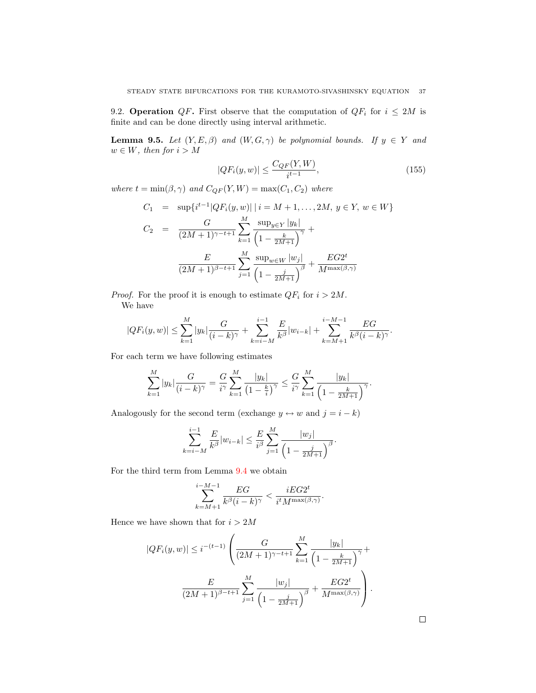9.2. **Operation** QF. First observe that the computation of  $QF_i$  for  $i \leq 2M$  is finite and can be done directly using interval arithmetic.

**Lemma 9.5.** Let  $(Y, E, \beta)$  and  $(W, G, \gamma)$  be polynomial bounds. If  $y \in Y$  and  $w \in W$ , then for  $i > M$ 

$$
|QF_i(y, w)| \le \frac{C_{QF}(Y, W)}{i^{t-1}},
$$
\n(155)

where  $t = min(\beta, \gamma)$  and  $C_{QF}(Y, W) = max(C_1, C_2)$  where

$$
C_1 = \sup\{i^{t-1}|QF_i(y, w)| \mid i = M + 1, ..., 2M, y \in Y, w \in W\}
$$
  
\n
$$
C_2 = \frac{G}{(2M+1)^{\gamma-t+1}} \sum_{k=1}^{M} \frac{\sup_{y \in Y} |y_k|}{\left(1 - \frac{k}{2M+1}\right)^{\gamma}} +
$$
  
\n
$$
\frac{E}{(2M+1)^{\beta-t+1}} \sum_{j=1}^{M} \frac{\sup_{w \in W} |w_j|}{\left(1 - \frac{j}{2M+1}\right)^{\beta}} + \frac{EG2^t}{M^{\max(\beta, \gamma)}}
$$

*Proof.* For the proof it is enough to estimate  $QF_i$  for  $i > 2M$ . We have

$$
|QF_i(y, w)| \leq \sum_{k=1}^M |y_k| \frac{G}{(i-k)^\gamma} + \sum_{k=i-M}^{i-1} \frac{E}{k^{\beta}} |w_{i-k}| + \sum_{k=M+1}^{i-M-1} \frac{EG}{k^{\beta}(i-k)^\gamma}.
$$

For each term we have following estimates

$$
\sum_{k=1}^{M} |y_k| \frac{G}{(i-k)^{\gamma}} = \frac{G}{i^{\gamma}} \sum_{k=1}^{M} \frac{|y_k|}{\left(1 - \frac{k}{i}\right)^{\gamma}} \le \frac{G}{i^{\gamma}} \sum_{k=1}^{M} \frac{|y_k|}{\left(1 - \frac{k}{2M+1}\right)^{\gamma}}.
$$

Analogously for the second term (exchange  $y \leftrightarrow w$  and  $j = i - k$ )

$$
\sum_{k=i-M}^{i-1} \frac{E}{k^{\beta}} |w_{i-k}| \le \frac{E}{i^{\beta}} \sum_{j=1}^{M} \frac{|w_j|}{\left(1 - \frac{j}{2M+1}\right)^{\beta}}.
$$

For the third term from Lemma [9.4](#page-35-0) we obtain

$$
\sum_{k=M+1}^{i-M-1} \frac{EG}{k^{\beta}(i-k)^{\gamma}} < \frac{iEG2^t}{i^t M^{\max(\beta,\gamma)}}.
$$

Hence we have shown that for  $i > 2M$ 

$$
|QF_i(y, w)| \le i^{-(t-1)} \left( \frac{G}{(2M+1)^{\gamma-t+1}} \sum_{k=1}^M \frac{|y_k|}{\left(1 - \frac{k}{2M+1}\right)^{\gamma}} + \frac{E}{(2M+1)^{\beta-t+1}} \sum_{j=1}^M \frac{|w_j|}{\left(1 - \frac{j}{2M+1}\right)^{\beta}} + \frac{EG2^t}{M^{\max(\beta, \gamma)}} \right).
$$

 $\Box$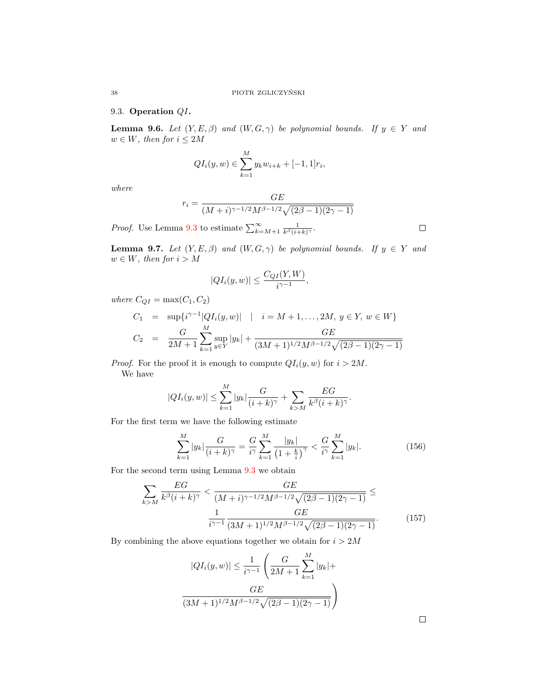## 9.3. Operation QI.

**Lemma 9.6.** Let  $(Y, E, \beta)$  and  $(W, G, \gamma)$  be polynomial bounds. If  $y \in Y$  and  $w \in W$ , then for  $i \leq 2M$ 

$$
QI_i(y, w) \in \sum_{k=1}^{M} y_k w_{i+k} + [-1, 1]r_i,
$$

where

$$
r_i = \frac{GE}{(M+i)^{\gamma - 1/2} M^{\beta - 1/2} \sqrt{(2\beta - 1)(2\gamma - 1)}}
$$

*Proof.* Use Lemma [9.3](#page-34-1) to estimate  $\sum_{k=M+1}^{\infty} \frac{1}{k^{\beta}(i+k)^{\gamma}}$ .

**Lemma 9.7.** Let  $(Y, E, \beta)$  and  $(W, G, \gamma)$  be polynomial bounds. If  $y \in Y$  and  $w \in W$ , then for  $i > M$ 

$$
|QI_i(y,w)| \le \frac{C_{QI}(Y,W)}{i^{\gamma-1}},
$$

where  $C_{QI} = \max(C_1, C_2)$ 

$$
C_1 = \sup \{ i^{\gamma - 1} |QI_i(y, w)| \mid i = M + 1, ..., 2M, y \in Y, w \in W \}
$$
  

$$
C_2 = \frac{G}{2M + 1} \sum_{k=1}^{M} \sup_{y \in Y} |y_k| + \frac{GE}{(3M + 1)^{1/2} M^{\beta - 1/2} \sqrt{(2\beta - 1)(2\gamma - 1)}}
$$

*Proof.* For the proof it is enough to compute  $QI_i(y, w)$  for  $i > 2M$ . We have

$$
|QI_i(y, w)| \leq \sum_{k=1}^M |y_k| \frac{G}{(i+k)^\gamma} + \sum_{k>M} \frac{EG}{k^{\beta}(i+k)^\gamma}.
$$

For the first term we have the following estimate

$$
\sum_{k=1}^{M} |y_k| \frac{G}{(i+k)^\gamma} = \frac{G}{i^\gamma} \sum_{k=1}^{M} \frac{|y_k|}{\left(1 + \frac{k}{i}\right)^\gamma} < \frac{G}{i^\gamma} \sum_{k=1}^{M} |y_k|. \tag{156}
$$

For the second term using Lemma [9.3](#page-34-1) we obtain

$$
\sum_{k>M} \frac{EG}{k^{\beta}(i+k)^{\gamma}} < \frac{GE}{(M+i)^{\gamma-1/2} M^{\beta-1/2} \sqrt{(2\beta-1)(2\gamma-1)}} \leq \frac{1}{i^{\gamma-1}} \frac{GE}{(3M+1)^{1/2} M^{\beta-1/2} \sqrt{(2\beta-1)(2\gamma-1)}}.
$$
\n(157)

By combining the above equations together we obtain for  $i > 2M$ 

$$
|QI_i(y, w)| \le \frac{1}{i^{\gamma - 1}} \left( \frac{G}{2M + 1} \sum_{k=1}^M |y_k| + \frac{GE}{(3M + 1)^{1/2} M^{\beta - 1/2} \sqrt{(2\beta - 1)(2\gamma - 1)}} \right)
$$

 $\Box$ 

$$
^{38}
$$

 $\Box$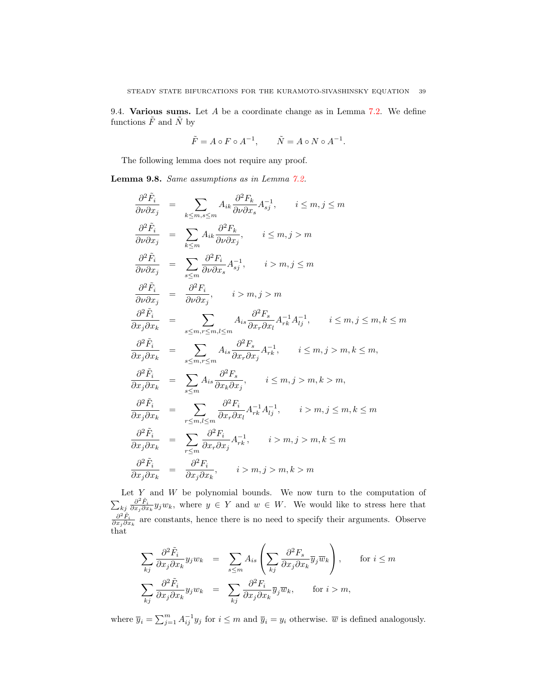9.4. Various sums. Let  $A$  be a coordinate change as in Lemma [7.2.](#page-27-0) We define functions  $\tilde{F}$  and  $\tilde{N}$  by

$$
\tilde{F} = A \circ F \circ A^{-1}, \qquad \tilde{N} = A \circ N \circ A^{-1}.
$$

The following lemma does not require any proof.

<span id="page-38-0"></span>Lemma 9.8. Same assumptions as in Lemma [7.2.](#page-27-0)

$$
\frac{\partial^2 \tilde{F}_i}{\partial \nu \partial x_j} = \sum_{k \le m, s \le m} A_{ik} \frac{\partial^2 F_k}{\partial \nu \partial x_s} A_{sj}^{-1}, \quad i \le m, j \le m
$$
\n
$$
\frac{\partial^2 \tilde{F}_i}{\partial \nu \partial x_j} = \sum_{k \le m} A_{ik} \frac{\partial^2 F_k}{\partial \nu \partial x_j}, \quad i \le m, j > m
$$
\n
$$
\frac{\partial^2 \tilde{F}_i}{\partial \nu \partial x_j} = \sum_{s \le m} \frac{\partial^2 F_i}{\partial \nu \partial x_s} A_{sj}^{-1}, \quad i > m, j \le m
$$
\n
$$
\frac{\partial^2 \tilde{F}_i}{\partial \nu \partial x_j} = \frac{\partial^2 F_i}{\partial \nu \partial x_j}, \quad i > m, j > m
$$
\n
$$
\frac{\partial^2 \tilde{F}_i}{\partial x_j \partial x_k} = \sum_{s \le m, r \le m, l \le m} A_{is} \frac{\partial^2 F_s}{\partial x_r \partial x_l} A_{rk}^{-1} A_{lj}^{-1}, \quad i \le m, j \le m, k \le m
$$
\n
$$
\frac{\partial^2 \tilde{F}_i}{\partial x_j \partial x_k} = \sum_{s \le m, r \le m} A_{is} \frac{\partial^2 F_s}{\partial x_r \partial x_j} A_{rk}^{-1}, \quad i \le m, j > m, k \le m,
$$
\n
$$
\frac{\partial^2 \tilde{F}_i}{\partial x_j \partial x_k} = \sum_{s \le m} A_{is} \frac{\partial^2 F_s}{\partial x_k \partial x_j}, \quad i \le m, j > m, k > m,
$$
\n
$$
\frac{\partial^2 \tilde{F}_i}{\partial x_j \partial x_k} = \sum_{r \le m, l \le m} \frac{\partial^2 F_i}{\partial x_r \partial x_l} A_{rk}^{-1} A_{lj}^{-1}, \quad i > m, j \le m, k \le m
$$
\n
$$
\frac{\partial^2 \tilde{F}_i}{\partial x_j \partial x_k} = \sum_{r \le m} \frac{\partial^2 F_i}{\partial x_r \partial x_j} A_{rk}^{-1}, \quad i > m, j > m, k \le m
$$
\n
$$
\frac{\partial^2 \tilde{F}_i}{\partial x_j \partial x_k
$$

Let  $Y$  and  $W$  be polynomial bounds. We now turn to the computation of  $\sum_{kj} \frac{\partial^2 \tilde{F}_i}{\partial x_j \partial x_k} y_j w_k$ , where  $y \in Y$  and  $w \in W$ . We would like to stress here that  $\frac{\partial^2 \tilde{F}_i}{\partial x_j \partial x_k}$  are constants, hence there is no need to specify their arguments. Observe that

$$
\sum_{kj} \frac{\partial^2 \tilde{F}_i}{\partial x_j \partial x_k} y_j w_k = \sum_{s \le m} A_{is} \left( \sum_{kj} \frac{\partial^2 F_s}{\partial x_j \partial x_k} \overline{y}_j \overline{w}_k \right), \quad \text{for } i \le m
$$
  

$$
\sum_{kj} \frac{\partial^2 \tilde{F}_i}{\partial x_j \partial x_k} y_j w_k = \sum_{kj} \frac{\partial^2 F_i}{\partial x_j \partial x_k} \overline{y}_j \overline{w}_k, \quad \text{for } i > m,
$$

where  $\overline{y}_i = \sum_{j=1}^m A_{ij}^{-1} y_j$  for  $i \leq m$  and  $\overline{y}_i = y_i$  otherwise.  $\overline{w}$  is defined analogously.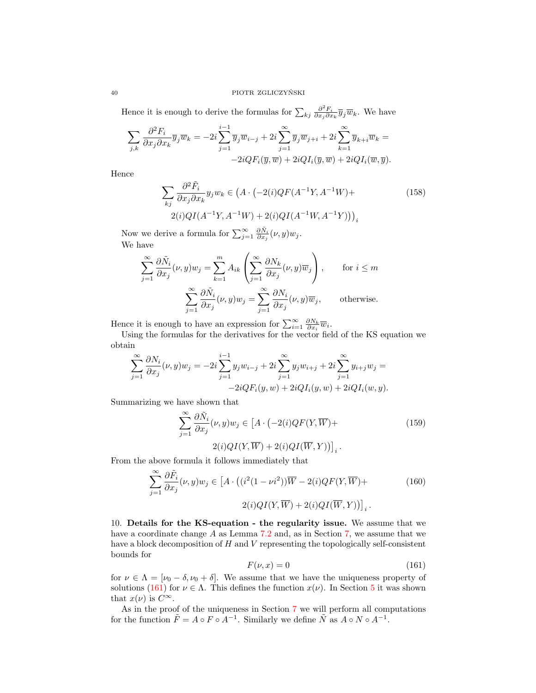Hence it is enough to derive the formulas for  $\sum_{kj} \frac{\partial^2 F_i}{\partial x_j \partial x_k} \overline{y}_j \overline{w}_k$ . We have

$$
\sum_{j,k} \frac{\partial^2 F_i}{\partial x_j \partial x_k} \overline{y}_j \overline{w}_k = -2i \sum_{j=1}^{i-1} \overline{y}_j \overline{w}_{i-j} + 2i \sum_{j=1}^{\infty} \overline{y}_j \overline{w}_{j+i} + 2i \sum_{k=1}^{\infty} \overline{y}_{k+i} \overline{w}_k = -2i Q F_i(\overline{y}, \overline{w}) + 2i Q I_i(\overline{y}, \overline{w}) + 2i Q I_i(\overline{w}, \overline{y}).
$$

Hence

<span id="page-39-4"></span>
$$
\sum_{kj} \frac{\partial^2 \tilde{F}_i}{\partial x_j \partial x_k} y_j w_k \in \left( A \cdot \left( -2(i) Q F(A^{-1} Y, A^{-1} W) + \right) \right)
$$
\n
$$
2(i) Q I(A^{-1} Y, A^{-1} W) + 2(i) Q I(A^{-1} W, A^{-1} Y) \Big) \Big)_i
$$
\n
$$
(158)
$$

Now we derive a formula for  $\sum_{j=1}^{\infty} \frac{\partial \tilde{N}_i}{\partial x_j}(\nu, y) w_j$ . We have

$$
\sum_{j=1}^{\infty} \frac{\partial \tilde{N}_i}{\partial x_j}(\nu, y) w_j = \sum_{k=1}^m A_{ik} \left( \sum_{j=1}^{\infty} \frac{\partial N_k}{\partial x_j}(\nu, y) \overline{w}_j \right), \quad \text{for } i \le m
$$

$$
\sum_{j=1}^{\infty} \frac{\partial \tilde{N}_i}{\partial x_j}(\nu, y) w_j = \sum_{j=1}^{\infty} \frac{\partial N_i}{\partial x_j}(\nu, y) \overline{w}_j, \quad \text{otherwise.}
$$

Hence it is enough to have an expression for  $\sum_{i=1}^{\infty} \frac{\partial N_k}{\partial x_i} \overline{w}_i$ .

Using the formulas for the derivatives for the vector field of the KS equation we obtain

$$
\sum_{j=1}^{\infty} \frac{\partial N_i}{\partial x_j}(\nu, y) w_j = -2i \sum_{j=1}^{i-1} y_j w_{i-j} + 2i \sum_{j=1}^{\infty} y_j w_{i+j} + 2i \sum_{j=1}^{\infty} y_{i+j} w_j = -2i Q F_i(y, w) + 2i Q I_i(y, w) + 2i Q I_i(w, y).
$$

Summarizing we have shown that

<span id="page-39-2"></span>
$$
\sum_{j=1}^{\infty} \frac{\partial \tilde{N}_i}{\partial x_j}(\nu, y) w_j \in \left[ A \cdot \left( -2(i) Q F(Y, \overline{W}) + \right. \right. \tag{159}
$$
\n
$$
2(i) Q I(Y, \overline{W}) + 2(i) Q I(\overline{W}, Y) \Big) \Big]_i \, .
$$

From the above formula it follows immediately that

<span id="page-39-3"></span>
$$
\sum_{j=1}^{\infty} \frac{\partial \tilde{F}_i}{\partial x_j}(\nu, y) w_j \in \left[ A \cdot \left( (i^2 (1 - \nu i^2)) \overline{W} - 2(i) Q F(Y, \overline{W}) + 2(i) Q I(\overline{W}, Y) \right) \right]_i.
$$
\n
$$
(160)
$$

<span id="page-39-0"></span>10. Details for the KS-equation - the regularity issue. We assume that we have a coordinate change A as Lemma [7.2](#page-27-0) and, as in Section [7,](#page-26-0) we assume that we have a block decomposition of  $H$  and  $V$  representing the topologically self-consistent bounds for

<span id="page-39-1"></span>
$$
F(\nu, x) = 0 \tag{161}
$$

for  $\nu \in \Lambda = [\nu_0 - \delta, \nu_0 + \delta]$ . We assume that we have the uniqueness property of solutions [\(161\)](#page-39-1) for  $\nu \in \Lambda$ . This defines the function  $x(\nu)$ . In Section [5](#page-11-0) it was shown that  $x(\nu)$  is  $C^{\infty}$ .

As in the proof of the uniqueness in Section [7](#page-26-0) we will perform all computations for the function  $\tilde{F} = A \circ F \circ A^{-1}$ . Similarly we define  $\tilde{N}$  as  $A \circ N \circ A^{-1}$ .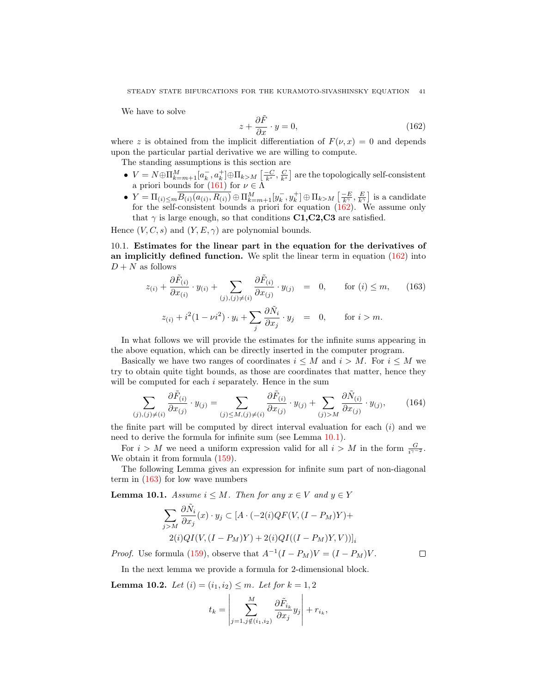We have to solve

<span id="page-40-0"></span>
$$
z + \frac{\partial \tilde{F}}{\partial x} \cdot y = 0,\tag{162}
$$

where z is obtained from the implicit differentiation of  $F(\nu, x) = 0$  and depends upon the particular partial derivative we are willing to compute.

The standing assumptions is this section are

- $V = N \oplus \prod_{k=m+1}^{M} [a_k^-, a_k^+] \oplus \prod_{k>M} \left[\frac{-C}{k^s}, \frac{C}{k^s}\right]$  are the topologically self-consistent a priori bounds for  $(161)$  for  $\nu \in \Lambda$
- $Y = \Pi_{(i) \le m} \overline{B_{(i)}(a_{(i)}, R_{(i)})} \oplus \Pi_{k=m+1}^M [y_k^-, y_k^+] \oplus \Pi_{k>M} \left[\frac{-E}{k}, \frac{E}{k'}\right]$  is a candidate for the self-consistent bounds a priori for equation [\(162\)](#page-40-0). We assume only that  $\gamma$  is large enough, so that conditions C1,C2,C3 are satisfied.

Hence  $(V, C, s)$  and  $(Y, E, \gamma)$  are polynomial bounds.

10.1. Estimates for the linear part in the equation for the derivatives of an implicitly defined function. We split the linear term in equation  $(162)$  into  $D + N$  as follows

<span id="page-40-2"></span>
$$
z_{(i)} + \frac{\partial \tilde{F}_{(i)}}{\partial x_{(i)}} \cdot y_{(i)} + \sum_{(j),(j)\neq(i)} \frac{\partial \tilde{F}_{(i)}}{\partial x_{(j)}} \cdot y_{(j)} = 0, \quad \text{for } (i) \leq m,
$$
 (163)  

$$
z_{(i)} + i^2 (1 - \nu i^2) \cdot y_i + \sum_i \frac{\partial \tilde{N}_i}{\partial x_j} \cdot y_j = 0, \quad \text{for } i > m.
$$

j In what follows we will provide the estimates for the infinite sums appearing in

the above equation, which can be directly inserted in the computer program. Basically we have two ranges of coordinates  $i \leq M$  and  $i > M$ . For  $i \leq M$  we try to obtain quite tight bounds, as those are coordinates that matter, hence they will be computed for each *i* separately. Hence in the sum

$$
\sum_{(j),(j)\neq(i)} \frac{\partial \tilde{F}_{(i)}}{\partial x_{(j)}} \cdot y_{(j)} = \sum_{(j)\leq M, (j)\neq(i)} \frac{\partial \tilde{F}_{(i)}}{\partial x_{(j)}} \cdot y_{(j)} + \sum_{(j)>M} \frac{\partial \tilde{N}_{(i)}}{\partial x_{(j)}} \cdot y_{(j)},\tag{164}
$$

the finite part will be computed by direct interval evaluation for each  $(i)$  and we need to derive the formula for infinite sum (see Lemma [10.1\)](#page-40-1).

For  $i > M$  we need a uniform expression valid for all  $i > M$  in the form  $\frac{G}{i^{\gamma-2}}$ . We obtain it from formula  $(159)$ .

The following Lemma gives an expression for infinite sum part of non-diagonal term in  $(163)$  for low wave numbers

<span id="page-40-1"></span>**Lemma 10.1.** Assume  $i \leq M$ . Then for any  $x \in V$  and  $y \in Y$ 

$$
\sum_{j>M} \frac{\partial \tilde{N}_i}{\partial x_j}(x) \cdot y_j \subset [A \cdot (-2(i)QF(V, (I - P_M)Y) + 2(i)QI(V, (I - P_M)Y) + 2(i)QI((I - P_M)Y, V))]_i
$$

*Proof.* Use formula [\(159\)](#page-39-2), observe that  $A^{-1}(I - P_M)V = (I - P_M)V$ .

 $\Box$ 

In the next lemma we provide a formula for 2-dimensional block.

**Lemma 10.2.** Let  $(i) = (i_1, i_2) \leq m$ . Let for  $k = 1, 2$ 

$$
t_k = \left| \sum_{j=1, j \notin (i_1, i_2)}^M \frac{\partial \tilde{F}_{i_k}}{\partial x_j} y_j \right| + r_{i_k},
$$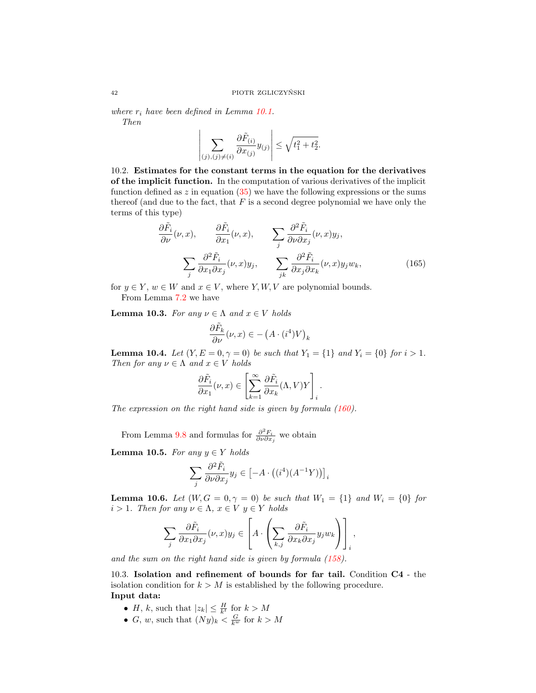where  $r_i$  have been defined in Lemma [10.1.](#page-40-1) Then

$$
\left|\sum_{(j),(j)\neq(i)}\frac{\partial \tilde{F}_{(i)}}{\partial x_{(j)}}y_{(j)}\right| \leq \sqrt{t_1^2 + t_2^2}.
$$

10.2. Estimates for the constant terms in the equation for the derivatives of the implicit function. In the computation of various derivatives of the implicit function defined as  $z$  in equation  $(35)$  we have the following expressions or the sums thereof (and due to the fact, that  $F$  is a second degree polynomial we have only the terms of this type)

$$
\frac{\partial \tilde{F}_i}{\partial \nu}(\nu, x), \qquad \frac{\partial \tilde{F}_i}{\partial x_1}(\nu, x), \qquad \sum_j \frac{\partial^2 \tilde{F}_i}{\partial \nu \partial x_j}(\nu, x) y_j,
$$
\n
$$
\sum_j \frac{\partial^2 \tilde{F}_i}{\partial x_1 \partial x_j}(\nu, x) y_j, \qquad \sum_{jk} \frac{\partial^2 \tilde{F}_i}{\partial x_j \partial x_k}(\nu, x) y_j w_k,
$$
\n(165)

for  $y \in Y$ ,  $w \in W$  and  $x \in V$ , where Y, W, V are polynomial bounds. From Lemma [7.2](#page-27-0) we have

**Lemma 10.3.** For any  $\nu \in \Lambda$  and  $x \in V$  holds

$$
\frac{\partial \tilde{F}_k}{\partial \nu}(\nu, x) \in -\left(A \cdot (i^4)V\right)_k
$$

**Lemma 10.4.** Let  $(Y, E = 0, \gamma = 0)$  be such that  $Y_1 = \{1\}$  and  $Y_i = \{0\}$  for  $i > 1$ . Then for any  $\nu \in \Lambda$  and  $x \in V$  holds

$$
\frac{\partial \tilde{F}_i}{\partial x_1}(\nu, x) \in \left[ \sum_{k=1}^{\infty} \frac{\partial \tilde{F}_i}{\partial x_k}(\Lambda, V) Y \right]_i.
$$

The expression on the right hand side is given by formula  $(160)$ .

From Lemma [9.8](#page-38-0) and formulas for  $\frac{\partial^2 F_i}{\partial \nu \partial x_j}$  we obtain

**Lemma 10.5.** For any  $y \in Y$  holds

$$
\sum_{j} \frac{\partial^2 \tilde{F}_i}{\partial \nu \partial x_j} y_j \in \left[ -A \cdot \left( (i^4)(A^{-1}Y) \right) \right]_i
$$

**Lemma 10.6.** Let  $(W, G = 0, \gamma = 0)$  be such that  $W_1 = \{1\}$  and  $W_i = \{0\}$  for  $i>1.$  Then for any  $\nu\in \Lambda,$   $x\in V$   $y\in Y$  holds

$$
\sum_{j} \frac{\partial \tilde{F}_i}{\partial x_1 \partial x_j}(\nu, x) y_j \in \left[ A \cdot \left( \sum_{k,j} \frac{\partial \tilde{F}_i}{\partial x_k \partial x_j} y_j w_k \right) \right]_i,
$$

and the sum on the right hand side is given by formula [\(158\)](#page-39-4).

<span id="page-41-0"></span>10.3. Isolation and refinement of bounds for far tail. Condition C4 - the isolation condition for  $k > M$  is established by the following procedure. Input data:

- *H*, *k*, such that  $|z_k| \leq \frac{H}{k^t}$  for  $k > M$
- *G*, *w*, such that  $(Ny)_k < \frac{G}{k^w}$  for  $k > M$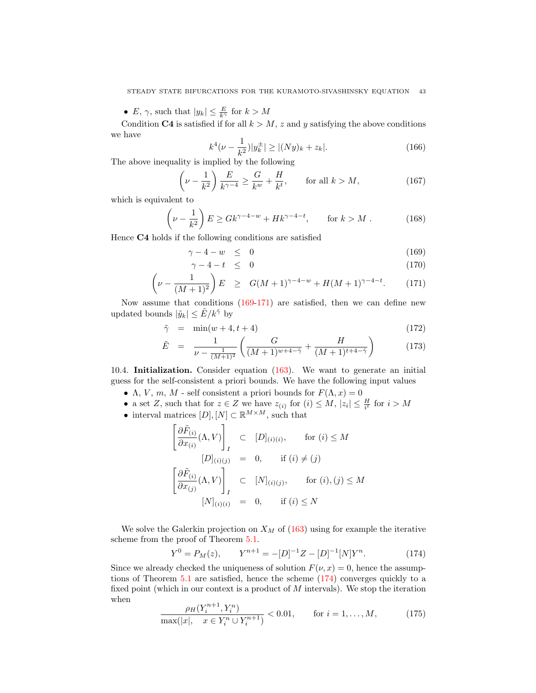•  $E, \gamma$ , such that  $|y_k| \leq \frac{E}{k^{\gamma}}$  for  $k > M$ 

Condition C4 is satisfied if for all  $k > M$ , z and y satisfying the above conditions we have

$$
k^4(\nu - \frac{1}{k^2})|y_k^{\pm}| \ge |(Ny)_k + z_k|.
$$
 (166)

The above inequality is implied by the following

$$
\left(\nu - \frac{1}{k^2}\right) \frac{E}{k^{\gamma - 4}} \ge \frac{G}{k^w} + \frac{H}{k^t}, \qquad \text{for all } k > M,
$$
\n(167)

which is equivalent to

$$
\left(\nu - \frac{1}{k^2}\right) E \ge G k^{\gamma - 4 - w} + H k^{\gamma - 4 - t}, \qquad \text{for } k > M. \tag{168}
$$

Hence C4 holds if the following conditions are satisfied

<span id="page-42-0"></span>
$$
\gamma - 4 - w \leq 0 \tag{169}
$$

$$
\gamma - 4 - t \leq 0 \tag{170}
$$

$$
\left(\nu - \frac{1}{(M+1)^2}\right)E \geq G(M+1)^{\gamma - 4 - w} + H(M+1)^{\gamma - 4 - t}.\tag{171}
$$

Now assume that conditions [\(169-171\)](#page-42-0) are satisfied, then we can define new updated bounds  $|\tilde{y}_k| \leq \tilde{E}/k^{\tilde{\gamma}}$  by

$$
\tilde{\gamma} = \min(w+4, t+4) \tag{172}
$$

$$
\tilde{E} = \frac{1}{\nu - \frac{1}{(M+1)^2}} \left( \frac{G}{(M+1)^{w+4-\tilde{\gamma}}} + \frac{H}{(M+1)^{t+4-\tilde{\gamma}}} \right) \tag{173}
$$

10.4. Initialization. Consider equation [\(163\)](#page-40-2). We want to generate an initial guess for the self-consistent a priori bounds. We have the following input values

- Λ, V, m, M self consistent a priori bounds for  $F(\Lambda, x) = 0$
- a set Z, such that for  $z \in Z$  we have  $z_{(i)}$  for  $(i) \leq M$ ,  $|z_i| \leq \frac{H}{i}$  for  $i > M$
- interval matrices  $[D], [N] \subset \mathbb{R}^{M \times M}$ , such that

$$
\begin{bmatrix}\n\frac{\partial \tilde{F}_{(i)}}{\partial x_{(i)}}(\Lambda, V)\n\end{bmatrix}_I \subset [D]_{(i)(i)}, \quad \text{for } (i) \leq M
$$
\n
$$
[D]_{(i)(j)} = 0, \quad \text{if } (i) \neq (j)
$$
\n
$$
\begin{bmatrix}\n\frac{\partial \tilde{F}_{(i)}}{\partial x_{(j)}}(\Lambda, V)\n\end{bmatrix}_I \subset [N]_{(i)(j)}, \quad \text{for } (i), (j) \leq M
$$
\n
$$
[N]_{(i)(i)} = 0, \quad \text{if } (i) \leq N
$$

We solve the Galerkin projection on  $X_M$  of [\(163\)](#page-40-2) using for example the iterative scheme from the proof of Theorem [5.1.](#page-12-2)

<span id="page-42-1"></span>
$$
Y^{0} = P_{M}(z), \qquad Y^{n+1} = -[D]^{-1}Z - [D]^{-1}[N]Y^{n}.
$$
 (174)

Since we already checked the uniqueness of solution  $F(\nu, x) = 0$ , hence the assumptions of Theorem [5.1](#page-12-2) are satisfied, hence the scheme [\(174\)](#page-42-1) converges quickly to a fixed point (which in our context is a product of M intervals). We stop the iteration when n+1

$$
\frac{\rho_H(Y_i^{n+1}, Y_i^n)}{\max(|x|, x \in Y_i^n \cup Y_i^{n+1})} < 0.01, \qquad \text{for } i = 1, \dots, M,\tag{175}
$$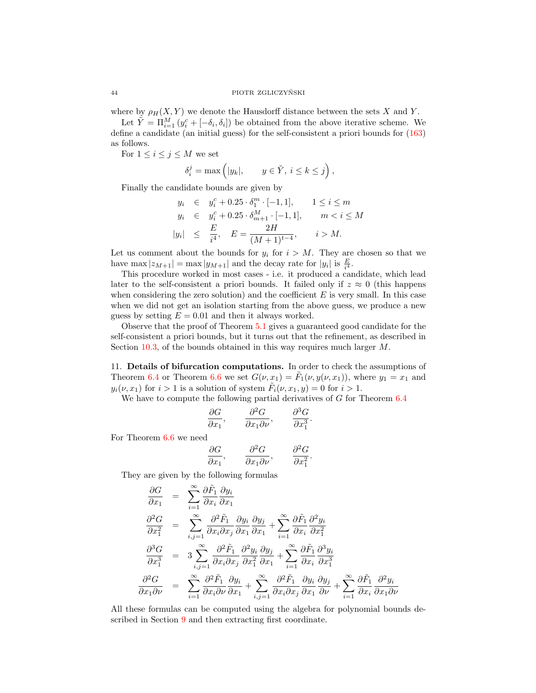### 44 PIOTR ZGLICZYNSKI ´

where by  $\rho_H(X, Y)$  we denote the Hausdorff distance between the sets X and Y.

Let  $\tilde{Y} = \prod_{i=1}^{M} (y_i^c + [-\delta_i, \delta_i])$  be obtained from the above iterative scheme. We define a candidate (an initial guess) for the self-consistent a priori bounds for [\(163\)](#page-40-2) as follows.

For  $1 \leq i \leq j \leq M$  we set

$$
\delta_i^j = \max\left(|y_k|, \qquad y \in \tilde{Y}, \ i \le k \le j\right),\
$$

Finally the candidate bounds are given by

$$
y_i \in y_i^c + 0.25 \cdot \delta_1^m \cdot [-1, 1], \quad 1 \le i \le m
$$
  
\n
$$
y_i \in y_i^c + 0.25 \cdot \delta_{m+1}^M \cdot [-1, 1], \quad m < i \le M
$$
  
\n
$$
|y_i| \le \frac{E}{i^4}, \quad E = \frac{2H}{(M+1)^{t-4}}, \quad i > M.
$$

Let us comment about the bounds for  $y_i$  for  $i > M$ . They are chosen so that we have max  $|z_{M+1}| = \max |y_{M+1}|$  and the decay rate for  $|y_i|$  is  $\frac{E}{i^4}$ .

This procedure worked in most cases - i.e. it produced a candidate, which lead later to the self-consistent a priori bounds. It failed only if  $z \approx 0$  (this happens when considering the zero solution) and the coefficient  $E$  is very small. In this case when we did not get an isolation starting from the above guess, we produce a new guess by setting  $E = 0.01$  and then it always worked.

Observe that the proof of Theorem [5.1](#page-12-2) gives a guaranteed good candidate for the self-consistent a priori bounds, but it turns out that the refinement, as described in Section [10.3,](#page-41-0) of the bounds obtained in this way requires much larger M.

<span id="page-43-0"></span>11. Details of bifurcation computations. In order to check the assumptions of Theorem [6.4](#page-23-4) or Theorem [6.6](#page-25-1) we set  $G(\nu, x_1) = \tilde{F}_1(\nu, y(\nu, x_1))$ , where  $y_1 = x_1$  and  $y_i(\nu, x_1)$  for  $i > 1$  is a solution of system  $\tilde{F}_i(\nu, x_1, y) = 0$  for  $i > 1$ .

We have to compute the following partial derivatives of G for Theorem  $6.4$ 

$$
\frac{\partial G}{\partial x_1}, \qquad \frac{\partial^2 G}{\partial x_1 \partial \nu}, \qquad \frac{\partial^3 G}{\partial x_1^3}.
$$

For Theorem [6.6](#page-25-1) we need

$$
\frac{\partial G}{\partial x_1}, \qquad \frac{\partial^2 G}{\partial x_1 \partial \nu}, \qquad \frac{\partial^2 G}{\partial x_1^2}.
$$

They are given by the following formulas

$$
\frac{\partial G}{\partial x_1} = \sum_{i=1}^{\infty} \frac{\partial \tilde{F}_1}{\partial x_i} \frac{\partial y_i}{\partial x_1}
$$
\n
$$
\frac{\partial^2 G}{\partial x_1^2} = \sum_{i,j=1}^{\infty} \frac{\partial^2 \tilde{F}_1}{\partial x_i \partial x_j} \frac{\partial y_i}{\partial x_1} \frac{\partial y_j}{\partial x_1} + \sum_{i=1}^{\infty} \frac{\partial \tilde{F}_1}{\partial x_i} \frac{\partial^2 y_i}{\partial x_1^2}
$$
\n
$$
\frac{\partial^3 G}{\partial x_1^3} = 3 \sum_{i,j=1}^{\infty} \frac{\partial^2 \tilde{F}_1}{\partial x_i \partial x_j} \frac{\partial^2 y_i}{\partial x_1^2} \frac{\partial y_j}{\partial x_1} + \sum_{i=1}^{\infty} \frac{\partial \tilde{F}_1}{\partial x_i} \frac{\partial^3 y_i}{\partial x_1^3}
$$
\n
$$
\frac{\partial^2 G}{\partial x_1 \partial \nu} = \sum_{i=1}^{\infty} \frac{\partial^2 \tilde{F}_1}{\partial x_i \partial \nu} \frac{\partial y_i}{\partial x_1} + \sum_{i,j=1}^{\infty} \frac{\partial^2 \tilde{F}_1}{\partial x_i \partial x_j} \frac{\partial y_i}{\partial x_1} \frac{\partial y_j}{\partial \nu} + \sum_{i=1}^{\infty} \frac{\partial \tilde{F}_1}{\partial x_i} \frac{\partial^2 y_i}{\partial x_1 \partial \nu}
$$

All these formulas can be computed using the algebra for polynomial bounds described in Section [9](#page-34-2) and then extracting first coordinate.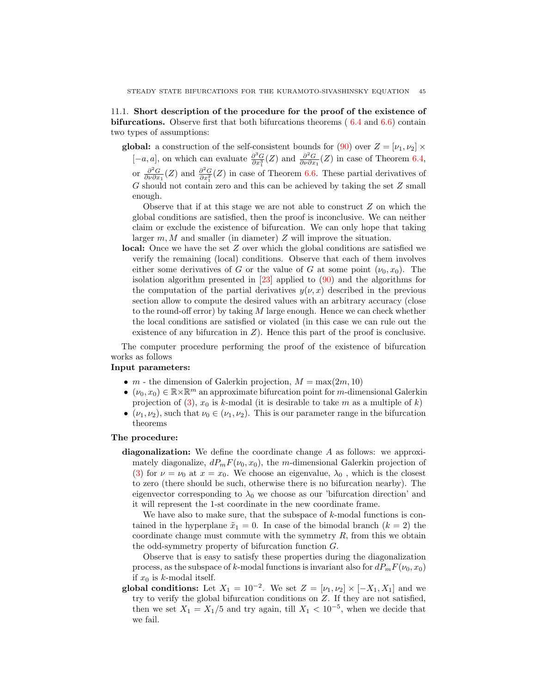11.1. Short description of the procedure for the proof of the existence of bifurcations. Observe first that both bifurcations theorems ( [6.4](#page-23-4) and [6.6\)](#page-25-1) contain two types of assumptions:

global: a construction of the self-consistent bounds for [\(90\)](#page-22-2) over  $Z = [\nu_1, \nu_2] \times$  $[-a, a]$ , on which can evaluate  $\frac{\partial^3 G}{\partial x_1^3}(Z)$  and  $\frac{\partial^2 G}{\partial \nu \partial x_1}(Z)$  in case of Theorem [6.4,](#page-23-4) or  $\frac{\partial^2 G}{\partial \nu \partial x_1}(Z)$  and  $\frac{\partial^2 G}{\partial x_1^2}(Z)$  in case of Theorem [6.6.](#page-25-1) These partial derivatives of

G should not contain zero and this can be achieved by taking the set Z small enough.

Observe that if at this stage we are not able to construct  $Z$  on which the global conditions are satisfied, then the proof is inconclusive. We can neither claim or exclude the existence of bifurcation. We can only hope that taking larger  $m, M$  and smaller (in diameter) Z will improve the situation.

local: Once we have the set Z over which the global conditions are satisfied we verify the remaining (local) conditions. Observe that each of them involves either some derivatives of G or the value of G at some point  $(\nu_0, x_0)$ . The isolation algorithm presented in [\[23\]](#page-46-0) applied to [\(90\)](#page-22-2) and the algorithms for the computation of the partial derivatives  $y(\nu, x)$  described in the previous section allow to compute the desired values with an arbitrary accuracy (close to the round-off error) by taking  $M$  large enough. Hence we can check whether the local conditions are satisfied or violated (in this case we can rule out the existence of any bifurcation in  $Z$ ). Hence this part of the proof is conclusive.

The computer procedure performing the proof of the existence of bifurcation works as follows

### Input parameters:

- $m$  the dimension of Galerkin projection,  $M = \max(2m, 10)$
- $(\nu_0, x_0) \in \mathbb{R} \times \mathbb{R}^m$  an approximate bifurcation point for m-dimensional Galerkin projection of [\(3\)](#page-3-1),  $x_0$  is k-modal (it is desirable to take m as a multiple of k)
- $(\nu_1, \nu_2)$ , such that  $\nu_0 \in (\nu_1, \nu_2)$ . This is our parameter range in the bifurcation theorems

### The procedure:

diagonalization: We define the coordinate change A as follows: we approximately diagonalize,  $dP_mF(\nu_0, x_0)$ , the m-dimensional Galerkin projection of [\(3\)](#page-3-1) for  $\nu = \nu_0$  at  $x = x_0$ . We choose an eigenvalue,  $\lambda_0$ , which is the closest to zero (there should be such, otherwise there is no bifurcation nearby). The eigenvector corresponding to  $\lambda_0$  we choose as our 'bifurcation direction' and it will represent the 1-st coordinate in the new coordinate frame.

We have also to make sure, that the subspace of  $k$ -modal functions is contained in the hyperplane  $\tilde{x}_1 = 0$ . In case of the bimodal branch  $(k = 2)$  the coordinate change must commute with the symmetry  $R$ , from this we obtain the odd-symmetry property of bifurcation function G.

Observe that is easy to satisfy these properties during the diagonalization process, as the subspace of k-modal functions is invariant also for  $dP_mF(\nu_0, x_0)$ if  $x_0$  is k-modal itself.

global conditions: Let  $X_1 = 10^{-2}$ . We set  $Z = [\nu_1, \nu_2] \times [-X_1, X_1]$  and we try to verify the global bifurcation conditions on Z. If they are not satisfied, then we set  $X_1 = X_1/5$  and try again, till  $X_1 < 10^{-5}$ , when we decide that we fail.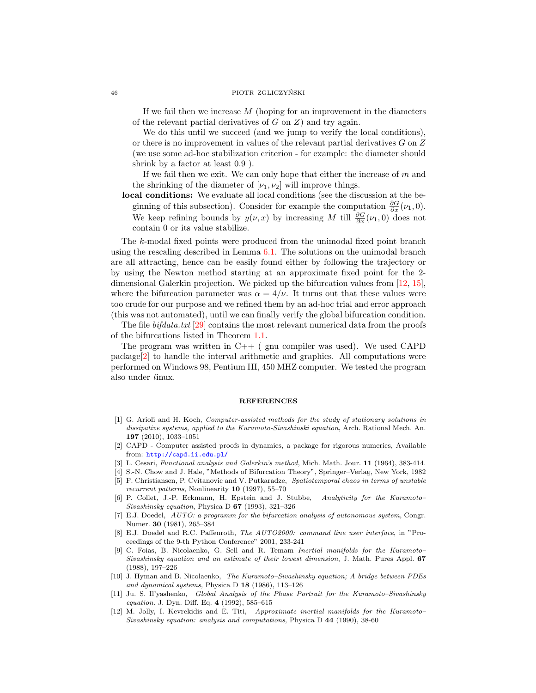#### 46 PIOTR ZGLICZYŃSKI

If we fail then we increase  $M$  (hoping for an improvement in the diameters of the relevant partial derivatives of  $G$  on  $Z$ ) and try again.

We do this until we succeed (and we jump to verify the local conditions), or there is no improvement in values of the relevant partial derivatives G on Z (we use some ad-hoc stabilization criterion - for example: the diameter should shrink by a factor at least 0.9 ).

If we fail then we exit. We can only hope that either the increase of  $m$  and the shrinking of the diameter of  $[\nu_1, \nu_2]$  will improve things.

local conditions: We evaluate all local conditions (see the discussion at the beginning of this subsection). Consider for example the computation  $\frac{\partial G}{\partial x}(\nu_1, 0)$ . We keep refining bounds by  $y(\nu, x)$  by increasing M till  $\frac{\partial G}{\partial x}(\nu_1, 0)$  does not contain 0 or its value stabilize.

The k-modal fixed points were produced from the unimodal fixed point branch using the rescaling described in Lemma  $6.1$ . The solutions on the unimodal branch are all attracting, hence can be easily found either by following the trajectory or by using the Newton method starting at an approximate fixed point for the 2 dimensional Galerkin projection. We picked up the bifurcation values from [\[12,](#page-45-6) [15\]](#page-46-9), where the bifurcation parameter was  $\alpha = 4/\nu$ . It turns out that these values were too crude for our purpose and we refined them by an ad-hoc trial and error approach (this was not automated), until we can finally verify the global bifurcation condition.

The file *bifdata.txt* [\[29\]](#page-46-11) contains the most relevant numerical data from the proofs of the bifurcations listed in Theorem [1.1.](#page-1-0)

The program was written in  $C++$  (gnu compiler was used). We used CAPD package[\[2\]](#page-45-9) to handle the interval arithmetic and graphics. All computations were performed on Windows 98, Pentium III, 450 MHZ computer. We tested the program also under linux.

#### REFERENCES

- <span id="page-45-8"></span>[1] G. Arioli and H. Koch, Computer-assisted methods for the study of stationary solutions in dissipative systems, applied to the Kuramoto-Sivashinski equation, Arch. Rational Mech. An. 197 (2010), 1033–1051
- <span id="page-45-9"></span>[2] CAPD - Computer assisted proofs in dynamics, a package for rigorous numerics, Available from: <http://capd.ii.edu.pl/>
- <span id="page-45-0"></span>[3] L. Cesari, Functional analysis and Galerkin's method, Mich. Math. Jour. 11 (1964), 383-414.
- <span id="page-45-7"></span>[4] S.-N. Chow and J. Hale, "Methods of Bifurcation Theory", Springer–Verlag, New York, 1982
- <span id="page-45-1"></span>[5] F. Christiansen, P. Cvitanovic and V. Putkaradze, Spatiotemporal chaos in terms of unstable recurrent patterns, Nonlinearity  $10$  (1997), 55-70
- <span id="page-45-2"></span>[6] P. Collet, J.-P. Eckmann, H. Epstein and J. Stubbe, Analyticity for the Kuramoto– Sivashinsky equation, Physica D 67 (1993), 321–326
- [7] E.J. Doedel, AUTO: a programm for the bifurcation analysis of autonomous system, Congr. Numer. 30 (1981), 265–384
- [8] E.J. Doedel and R.C. Paffenroth, The AUTO2000: command line user interface, in "Proceedings of the 9-th Python Conference" 2001, 233-241
- <span id="page-45-3"></span>[9] C. Foias, B. Nicolaenko, G. Sell and R. Temam Inertial manifolds for the Kuramoto– Sivashinsky equation and an estimate of their lowest dimension, J. Math. Pures Appl. 67 (1988), 197–226
- <span id="page-45-4"></span>[10] J. Hyman and B. Nicolaenko, The Kuramoto–Sivashinsky equation; A bridge between PDEs and dynamical systems, Physica D  $18$  (1986), 113-126
- <span id="page-45-5"></span>[11] Ju. S. Il'yashenko, Global Analysis of the Phase Portrait for the Kuramoto–Sivashinsky equation. J. Dyn. Diff. Eq. 4 (1992), 585–615
- <span id="page-45-6"></span>[12] M. Jolly, I. Kevrekidis and E. Titi, Approximate inertial manifolds for the Kuramoto– Sivashinsky equation: analysis and computations, Physica D 44 (1990), 38-60